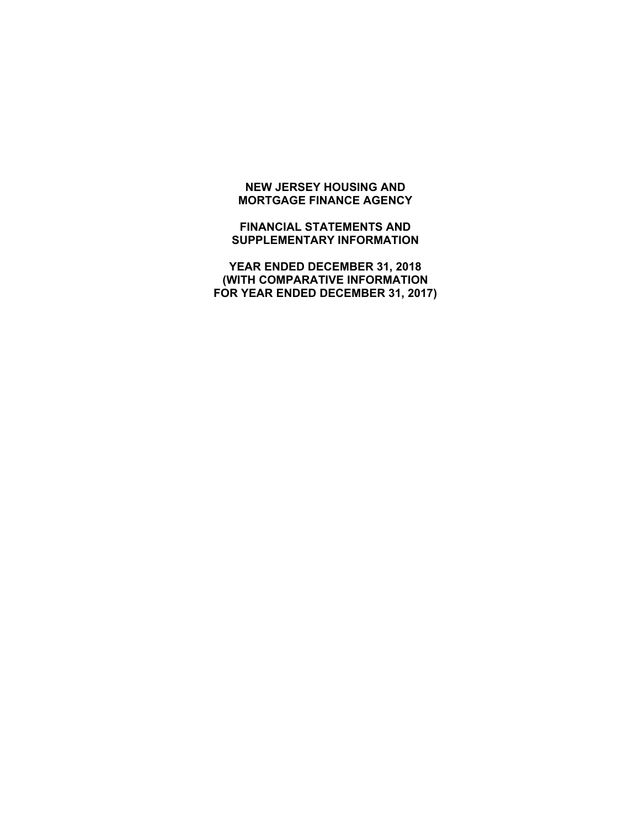# **NEW JERSEY HOUSING AND MORTGAGE FINANCE AGENCY**

**FINANCIAL STATEMENTS AND SUPPLEMENTARY INFORMATION** 

**YEAR ENDED DECEMBER 31, 2018 (WITH COMPARATIVE INFORMATION FOR YEAR ENDED DECEMBER 31, 2017)**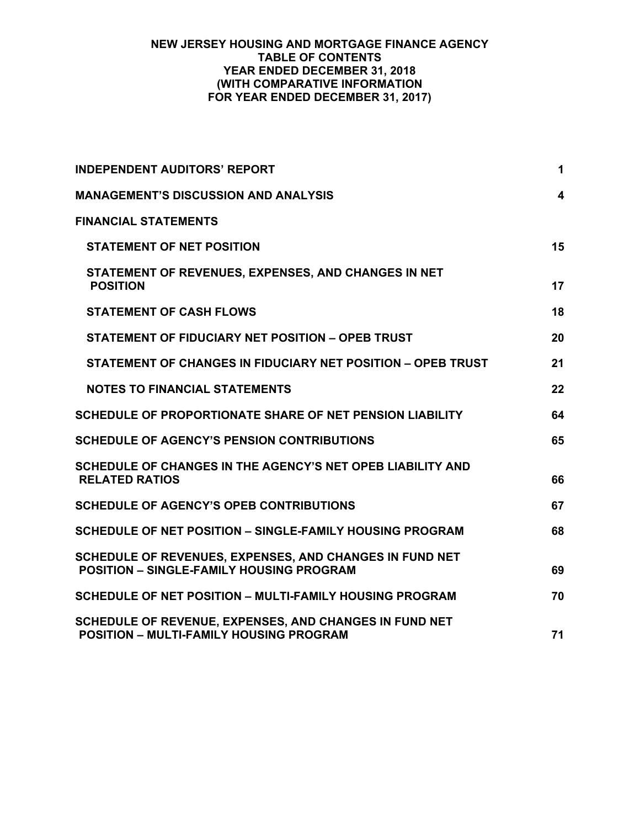## **NEW JERSEY HOUSING AND MORTGAGE FINANCE AGENCY TABLE OF CONTENTS YEAR ENDED DECEMBER 31, 2018 (WITH COMPARATIVE INFORMATION FOR YEAR ENDED DECEMBER 31, 2017)**

| <b>INDEPENDENT AUDITORS' REPORT</b>                                                                        | $\mathbf 1$             |
|------------------------------------------------------------------------------------------------------------|-------------------------|
| <b>MANAGEMENT'S DISCUSSION AND ANALYSIS</b>                                                                | $\overline{\mathbf{4}}$ |
| <b>FINANCIAL STATEMENTS</b>                                                                                |                         |
| <b>STATEMENT OF NET POSITION</b>                                                                           | 15                      |
| STATEMENT OF REVENUES, EXPENSES, AND CHANGES IN NET<br><b>POSITION</b>                                     | 17                      |
| <b>STATEMENT OF CASH FLOWS</b>                                                                             | 18                      |
| STATEMENT OF FIDUCIARY NET POSITION - OPEB TRUST                                                           | 20                      |
| STATEMENT OF CHANGES IN FIDUCIARY NET POSITION - OPEB TRUST                                                | 21                      |
| <b>NOTES TO FINANCIAL STATEMENTS</b>                                                                       | 22                      |
| SCHEDULE OF PROPORTIONATE SHARE OF NET PENSION LIABILITY                                                   | 64                      |
| <b>SCHEDULE OF AGENCY'S PENSION CONTRIBUTIONS</b>                                                          | 65                      |
| SCHEDULE OF CHANGES IN THE AGENCY'S NET OPEB LIABILITY AND<br><b>RELATED RATIOS</b>                        | 66                      |
| <b>SCHEDULE OF AGENCY'S OPEB CONTRIBUTIONS</b>                                                             | 67                      |
| SCHEDULE OF NET POSITION – SINGLE-FAMILY HOUSING PROGRAM                                                   | 68                      |
| SCHEDULE OF REVENUES, EXPENSES, AND CHANGES IN FUND NET<br><b>POSITION - SINGLE-FAMILY HOUSING PROGRAM</b> | 69                      |
| SCHEDULE OF NET POSITION - MULTI-FAMILY HOUSING PROGRAM                                                    | 70                      |
| SCHEDULE OF REVENUE, EXPENSES, AND CHANGES IN FUND NET<br><b>POSITION - MULTI-FAMILY HOUSING PROGRAM</b>   | 71                      |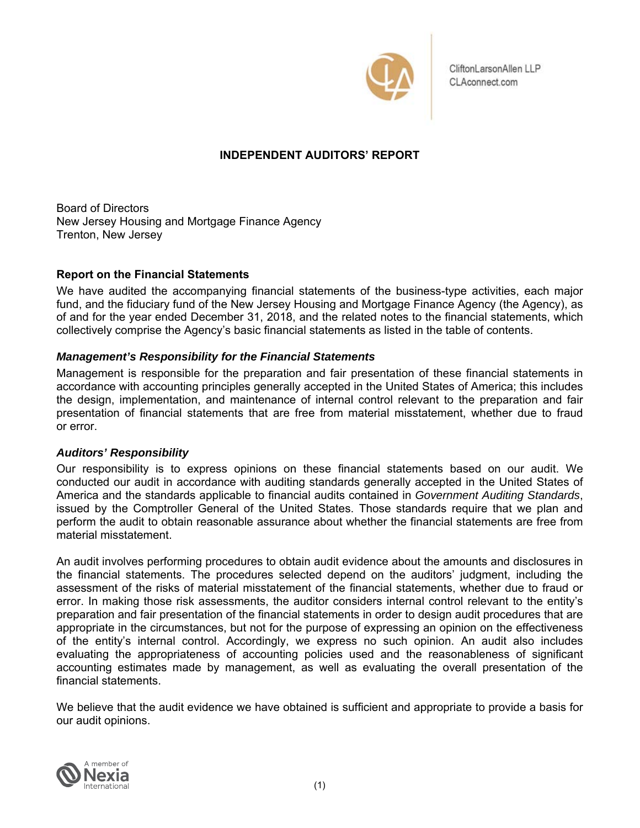

CliftonLarsonAllen LLP CLAconnect.com

# **INDEPENDENT AUDITORS' REPORT**

Board of Directors New Jersey Housing and Mortgage Finance Agency Trenton, New Jersey

# **Report on the Financial Statements**

We have audited the accompanying financial statements of the business-type activities, each major fund, and the fiduciary fund of the New Jersey Housing and Mortgage Finance Agency (the Agency), as of and for the year ended December 31, 2018, and the related notes to the financial statements, which collectively comprise the Agency's basic financial statements as listed in the table of contents.

# *Management's Responsibility for the Financial Statements*

Management is responsible for the preparation and fair presentation of these financial statements in accordance with accounting principles generally accepted in the United States of America; this includes the design, implementation, and maintenance of internal control relevant to the preparation and fair presentation of financial statements that are free from material misstatement, whether due to fraud or error.

## *Auditors' Responsibility*

Our responsibility is to express opinions on these financial statements based on our audit. We conducted our audit in accordance with auditing standards generally accepted in the United States of America and the standards applicable to financial audits contained in *Government Auditing Standards*, issued by the Comptroller General of the United States. Those standards require that we plan and perform the audit to obtain reasonable assurance about whether the financial statements are free from material misstatement.

An audit involves performing procedures to obtain audit evidence about the amounts and disclosures in the financial statements. The procedures selected depend on the auditors' judgment, including the assessment of the risks of material misstatement of the financial statements, whether due to fraud or error. In making those risk assessments, the auditor considers internal control relevant to the entity's preparation and fair presentation of the financial statements in order to design audit procedures that are appropriate in the circumstances, but not for the purpose of expressing an opinion on the effectiveness of the entity's internal control. Accordingly, we express no such opinion. An audit also includes evaluating the appropriateness of accounting policies used and the reasonableness of significant accounting estimates made by management, as well as evaluating the overall presentation of the financial statements.

We believe that the audit evidence we have obtained is sufficient and appropriate to provide a basis for our audit opinions.

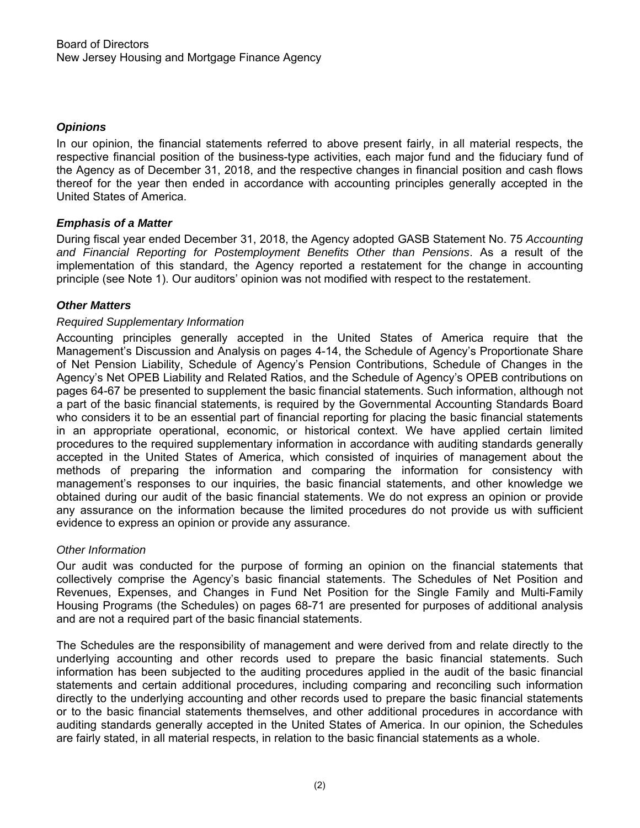# *Opinions*

In our opinion, the financial statements referred to above present fairly, in all material respects, the respective financial position of the business-type activities, each major fund and the fiduciary fund of the Agency as of December 31, 2018, and the respective changes in financial position and cash flows thereof for the year then ended in accordance with accounting principles generally accepted in the United States of America.

# *Emphasis of a Matter*

During fiscal year ended December 31, 2018, the Agency adopted GASB Statement No. 75 *Accounting and Financial Reporting for Postemployment Benefits Other than Pensions*. As a result of the implementation of this standard, the Agency reported a restatement for the change in accounting principle (see Note 1). Our auditors' opinion was not modified with respect to the restatement.

# *Other Matters*

# *Required Supplementary Information*

Accounting principles generally accepted in the United States of America require that the Management's Discussion and Analysis on pages 4-14, the Schedule of Agency's Proportionate Share of Net Pension Liability, Schedule of Agency's Pension Contributions, Schedule of Changes in the Agency's Net OPEB Liability and Related Ratios, and the Schedule of Agency's OPEB contributions on pages 64-67 be presented to supplement the basic financial statements. Such information, although not a part of the basic financial statements, is required by the Governmental Accounting Standards Board who considers it to be an essential part of financial reporting for placing the basic financial statements in an appropriate operational, economic, or historical context. We have applied certain limited procedures to the required supplementary information in accordance with auditing standards generally accepted in the United States of America, which consisted of inquiries of management about the methods of preparing the information and comparing the information for consistency with management's responses to our inquiries, the basic financial statements, and other knowledge we obtained during our audit of the basic financial statements. We do not express an opinion or provide any assurance on the information because the limited procedures do not provide us with sufficient evidence to express an opinion or provide any assurance.

## *Other Information*

Our audit was conducted for the purpose of forming an opinion on the financial statements that collectively comprise the Agency's basic financial statements. The Schedules of Net Position and Revenues, Expenses, and Changes in Fund Net Position for the Single Family and Multi-Family Housing Programs (the Schedules) on pages 68-71 are presented for purposes of additional analysis and are not a required part of the basic financial statements.

The Schedules are the responsibility of management and were derived from and relate directly to the underlying accounting and other records used to prepare the basic financial statements. Such information has been subjected to the auditing procedures applied in the audit of the basic financial statements and certain additional procedures, including comparing and reconciling such information directly to the underlying accounting and other records used to prepare the basic financial statements or to the basic financial statements themselves, and other additional procedures in accordance with auditing standards generally accepted in the United States of America. In our opinion, the Schedules are fairly stated, in all material respects, in relation to the basic financial statements as a whole.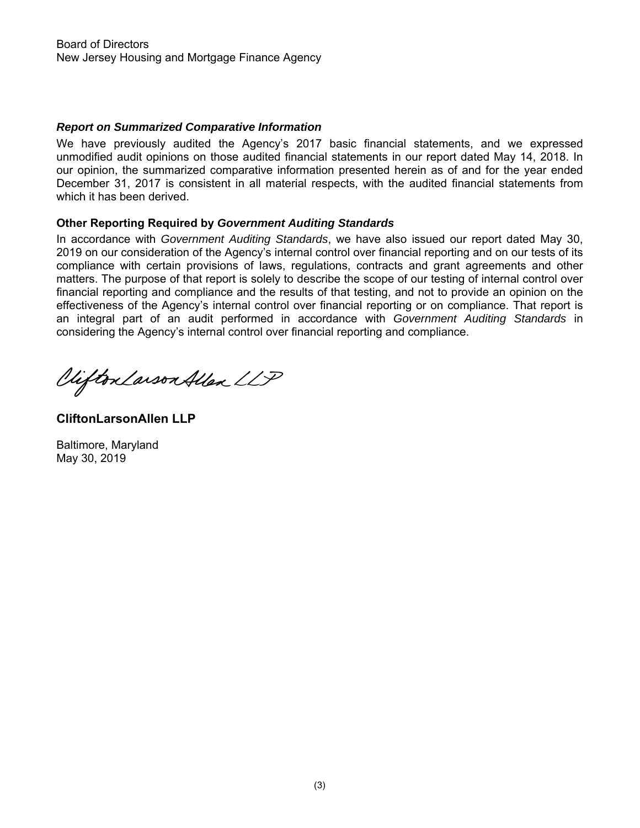# *Report on Summarized Comparative Information*

We have previously audited the Agency's 2017 basic financial statements, and we expressed unmodified audit opinions on those audited financial statements in our report dated May 14, 2018. In our opinion, the summarized comparative information presented herein as of and for the year ended December 31, 2017 is consistent in all material respects, with the audited financial statements from which it has been derived.

## **Other Reporting Required by** *Government Auditing Standards*

In accordance with *Government Auditing Standards*, we have also issued our report dated May 30, 2019 on our consideration of the Agency's internal control over financial reporting and on our tests of its compliance with certain provisions of laws, regulations, contracts and grant agreements and other matters. The purpose of that report is solely to describe the scope of our testing of internal control over financial reporting and compliance and the results of that testing, and not to provide an opinion on the effectiveness of the Agency's internal control over financial reporting or on compliance. That report is an integral part of an audit performed in accordance with *Government Auditing Standards* in considering the Agency's internal control over financial reporting and compliance.

Viifton Larson Allen LLP

**CliftonLarsonAllen LLP** 

Baltimore, Maryland May 30, 2019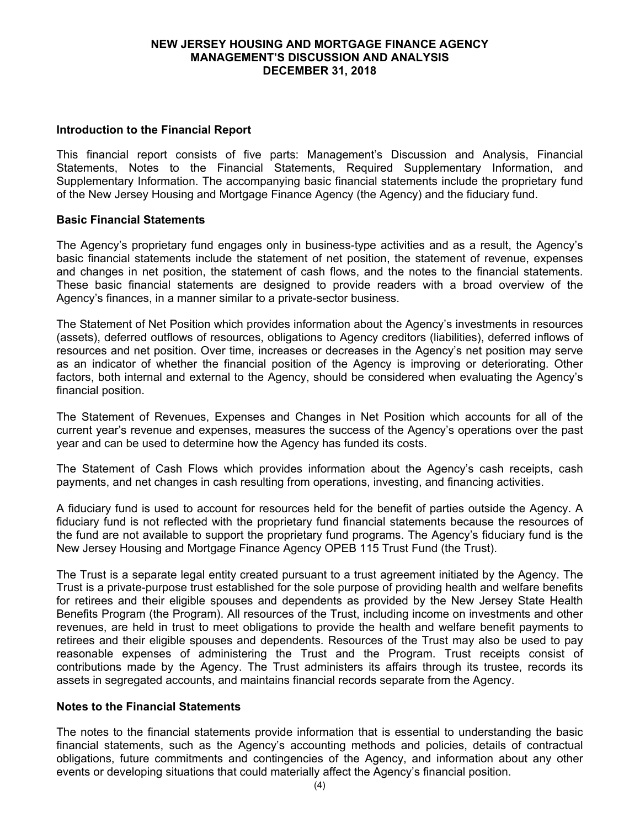## **Introduction to the Financial Report**

This financial report consists of five parts: Management's Discussion and Analysis, Financial Statements, Notes to the Financial Statements, Required Supplementary Information, and Supplementary Information. The accompanying basic financial statements include the proprietary fund of the New Jersey Housing and Mortgage Finance Agency (the Agency) and the fiduciary fund.

## **Basic Financial Statements**

The Agency's proprietary fund engages only in business-type activities and as a result, the Agency's basic financial statements include the statement of net position, the statement of revenue, expenses and changes in net position, the statement of cash flows, and the notes to the financial statements. These basic financial statements are designed to provide readers with a broad overview of the Agency's finances, in a manner similar to a private-sector business.

The Statement of Net Position which provides information about the Agency's investments in resources (assets), deferred outflows of resources, obligations to Agency creditors (liabilities), deferred inflows of resources and net position. Over time, increases or decreases in the Agency's net position may serve as an indicator of whether the financial position of the Agency is improving or deteriorating. Other factors, both internal and external to the Agency, should be considered when evaluating the Agency's financial position.

The Statement of Revenues, Expenses and Changes in Net Position which accounts for all of the current year's revenue and expenses, measures the success of the Agency's operations over the past year and can be used to determine how the Agency has funded its costs.

The Statement of Cash Flows which provides information about the Agency's cash receipts, cash payments, and net changes in cash resulting from operations, investing, and financing activities.

A fiduciary fund is used to account for resources held for the benefit of parties outside the Agency. A fiduciary fund is not reflected with the proprietary fund financial statements because the resources of the fund are not available to support the proprietary fund programs. The Agency's fiduciary fund is the New Jersey Housing and Mortgage Finance Agency OPEB 115 Trust Fund (the Trust).

The Trust is a separate legal entity created pursuant to a trust agreement initiated by the Agency. The Trust is a private-purpose trust established for the sole purpose of providing health and welfare benefits for retirees and their eligible spouses and dependents as provided by the New Jersey State Health Benefits Program (the Program). All resources of the Trust, including income on investments and other revenues, are held in trust to meet obligations to provide the health and welfare benefit payments to retirees and their eligible spouses and dependents. Resources of the Trust may also be used to pay reasonable expenses of administering the Trust and the Program. Trust receipts consist of contributions made by the Agency. The Trust administers its affairs through its trustee, records its assets in segregated accounts, and maintains financial records separate from the Agency.

## **Notes to the Financial Statements**

The notes to the financial statements provide information that is essential to understanding the basic financial statements, such as the Agency's accounting methods and policies, details of contractual obligations, future commitments and contingencies of the Agency, and information about any other events or developing situations that could materially affect the Agency's financial position.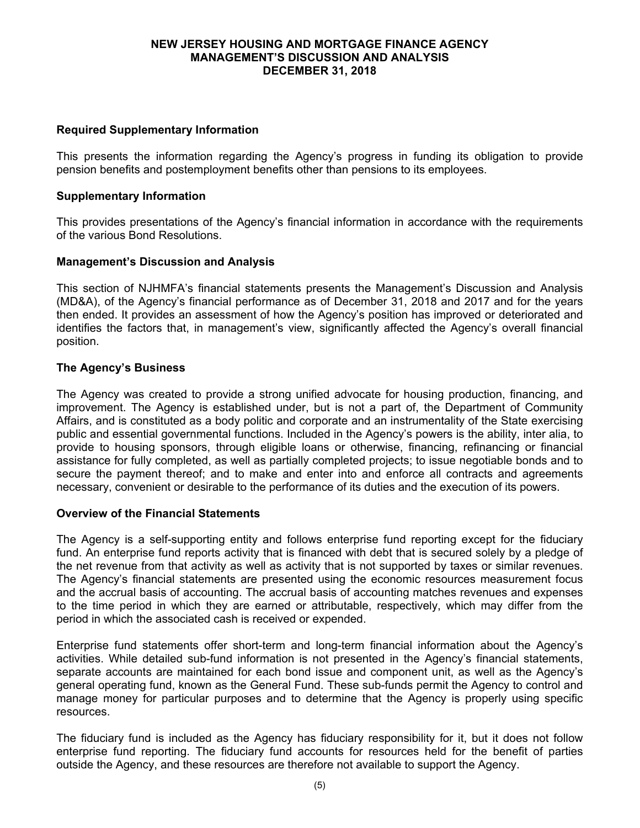## **Required Supplementary Information**

This presents the information regarding the Agency's progress in funding its obligation to provide pension benefits and postemployment benefits other than pensions to its employees.

## **Supplementary Information**

This provides presentations of the Agency's financial information in accordance with the requirements of the various Bond Resolutions.

## **Management's Discussion and Analysis**

This section of NJHMFA's financial statements presents the Management's Discussion and Analysis (MD&A), of the Agency's financial performance as of December 31, 2018 and 2017 and for the years then ended. It provides an assessment of how the Agency's position has improved or deteriorated and identifies the factors that, in management's view, significantly affected the Agency's overall financial position.

## **The Agency's Business**

The Agency was created to provide a strong unified advocate for housing production, financing, and improvement. The Agency is established under, but is not a part of, the Department of Community Affairs, and is constituted as a body politic and corporate and an instrumentality of the State exercising public and essential governmental functions. Included in the Agency's powers is the ability, inter alia, to provide to housing sponsors, through eligible loans or otherwise, financing, refinancing or financial assistance for fully completed, as well as partially completed projects; to issue negotiable bonds and to secure the payment thereof; and to make and enter into and enforce all contracts and agreements necessary, convenient or desirable to the performance of its duties and the execution of its powers.

## **Overview of the Financial Statements**

The Agency is a self-supporting entity and follows enterprise fund reporting except for the fiduciary fund. An enterprise fund reports activity that is financed with debt that is secured solely by a pledge of the net revenue from that activity as well as activity that is not supported by taxes or similar revenues. The Agency's financial statements are presented using the economic resources measurement focus and the accrual basis of accounting. The accrual basis of accounting matches revenues and expenses to the time period in which they are earned or attributable, respectively, which may differ from the period in which the associated cash is received or expended.

Enterprise fund statements offer short-term and long-term financial information about the Agency's activities. While detailed sub-fund information is not presented in the Agency's financial statements, separate accounts are maintained for each bond issue and component unit, as well as the Agency's general operating fund, known as the General Fund. These sub-funds permit the Agency to control and manage money for particular purposes and to determine that the Agency is properly using specific resources.

The fiduciary fund is included as the Agency has fiduciary responsibility for it, but it does not follow enterprise fund reporting. The fiduciary fund accounts for resources held for the benefit of parties outside the Agency, and these resources are therefore not available to support the Agency.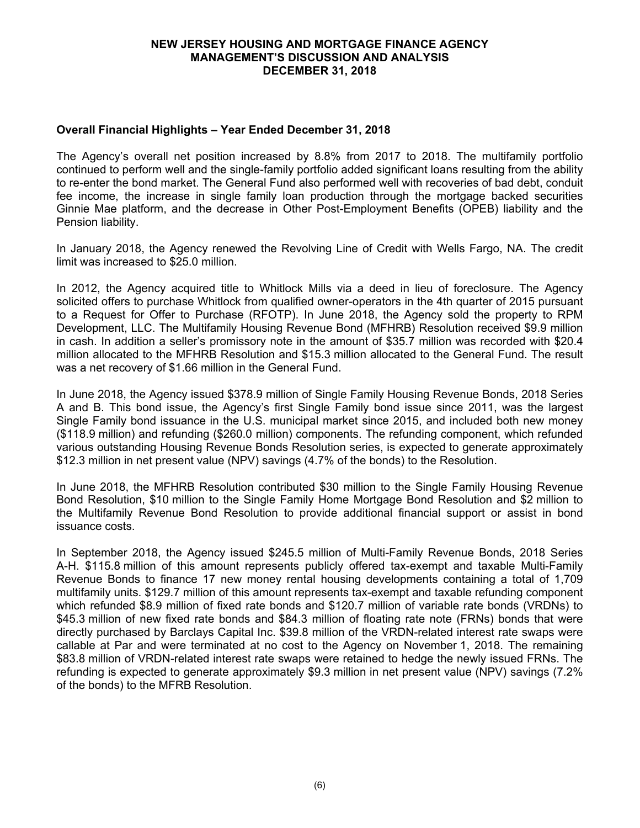## **Overall Financial Highlights – Year Ended December 31, 2018**

The Agency's overall net position increased by 8.8% from 2017 to 2018. The multifamily portfolio continued to perform well and the single-family portfolio added significant loans resulting from the ability to re-enter the bond market. The General Fund also performed well with recoveries of bad debt, conduit fee income, the increase in single family loan production through the mortgage backed securities Ginnie Mae platform, and the decrease in Other Post-Employment Benefits (OPEB) liability and the Pension liability.

In January 2018, the Agency renewed the Revolving Line of Credit with Wells Fargo, NA. The credit limit was increased to \$25.0 million.

In 2012, the Agency acquired title to Whitlock Mills via a deed in lieu of foreclosure. The Agency solicited offers to purchase Whitlock from qualified owner-operators in the 4th quarter of 2015 pursuant to a Request for Offer to Purchase (RFOTP). In June 2018, the Agency sold the property to RPM Development, LLC. The Multifamily Housing Revenue Bond (MFHRB) Resolution received \$9.9 million in cash. In addition a seller's promissory note in the amount of \$35.7 million was recorded with \$20.4 million allocated to the MFHRB Resolution and \$15.3 million allocated to the General Fund. The result was a net recovery of \$1.66 million in the General Fund.

In June 2018, the Agency issued \$378.9 million of Single Family Housing Revenue Bonds, 2018 Series A and B. This bond issue, the Agency's first Single Family bond issue since 2011, was the largest Single Family bond issuance in the U.S. municipal market since 2015, and included both new money (\$118.9 million) and refunding (\$260.0 million) components. The refunding component, which refunded various outstanding Housing Revenue Bonds Resolution series, is expected to generate approximately \$12.3 million in net present value (NPV) savings (4.7% of the bonds) to the Resolution.

In June 2018, the MFHRB Resolution contributed \$30 million to the Single Family Housing Revenue Bond Resolution, \$10 million to the Single Family Home Mortgage Bond Resolution and \$2 million to the Multifamily Revenue Bond Resolution to provide additional financial support or assist in bond issuance costs.

In September 2018, the Agency issued \$245.5 million of Multi-Family Revenue Bonds, 2018 Series A-H. \$115.8 million of this amount represents publicly offered tax-exempt and taxable Multi-Family Revenue Bonds to finance 17 new money rental housing developments containing a total of 1,709 multifamily units. \$129.7 million of this amount represents tax-exempt and taxable refunding component which refunded \$8.9 million of fixed rate bonds and \$120.7 million of variable rate bonds (VRDNs) to \$45.3 million of new fixed rate bonds and \$84.3 million of floating rate note (FRNs) bonds that were directly purchased by Barclays Capital Inc. \$39.8 million of the VRDN-related interest rate swaps were callable at Par and were terminated at no cost to the Agency on November 1, 2018. The remaining \$83.8 million of VRDN-related interest rate swaps were retained to hedge the newly issued FRNs. The refunding is expected to generate approximately \$9.3 million in net present value (NPV) savings (7.2% of the bonds) to the MFRB Resolution.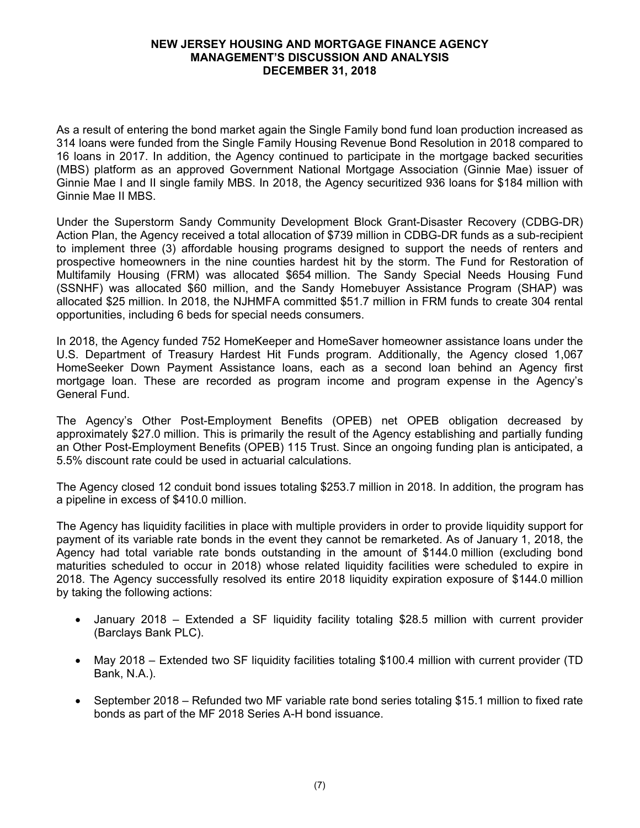As a result of entering the bond market again the Single Family bond fund loan production increased as 314 loans were funded from the Single Family Housing Revenue Bond Resolution in 2018 compared to 16 loans in 2017. In addition, the Agency continued to participate in the mortgage backed securities (MBS) platform as an approved Government National Mortgage Association (Ginnie Mae) issuer of Ginnie Mae I and II single family MBS. In 2018, the Agency securitized 936 loans for \$184 million with Ginnie Mae II MBS.

Under the Superstorm Sandy Community Development Block Grant-Disaster Recovery (CDBG-DR) Action Plan, the Agency received a total allocation of \$739 million in CDBG-DR funds as a sub-recipient to implement three (3) affordable housing programs designed to support the needs of renters and prospective homeowners in the nine counties hardest hit by the storm. The Fund for Restoration of Multifamily Housing (FRM) was allocated \$654 million. The Sandy Special Needs Housing Fund (SSNHF) was allocated \$60 million, and the Sandy Homebuyer Assistance Program (SHAP) was allocated \$25 million. In 2018, the NJHMFA committed \$51.7 million in FRM funds to create 304 rental opportunities, including 6 beds for special needs consumers.

In 2018, the Agency funded 752 HomeKeeper and HomeSaver homeowner assistance loans under the U.S. Department of Treasury Hardest Hit Funds program. Additionally, the Agency closed 1,067 HomeSeeker Down Payment Assistance loans, each as a second loan behind an Agency first mortgage loan. These are recorded as program income and program expense in the Agency's General Fund.

The Agency's Other Post-Employment Benefits (OPEB) net OPEB obligation decreased by approximately \$27.0 million. This is primarily the result of the Agency establishing and partially funding an Other Post-Employment Benefits (OPEB) 115 Trust. Since an ongoing funding plan is anticipated, a 5.5% discount rate could be used in actuarial calculations.

The Agency closed 12 conduit bond issues totaling \$253.7 million in 2018. In addition, the program has a pipeline in excess of \$410.0 million.

The Agency has liquidity facilities in place with multiple providers in order to provide liquidity support for payment of its variable rate bonds in the event they cannot be remarketed. As of January 1, 2018, the Agency had total variable rate bonds outstanding in the amount of \$144.0 million (excluding bond maturities scheduled to occur in 2018) whose related liquidity facilities were scheduled to expire in 2018. The Agency successfully resolved its entire 2018 liquidity expiration exposure of \$144.0 million by taking the following actions:

- January 2018 Extended a SF liquidity facility totaling \$28.5 million with current provider (Barclays Bank PLC).
- May 2018 Extended two SF liquidity facilities totaling \$100.4 million with current provider (TD Bank, N.A.).
- September 2018 Refunded two MF variable rate bond series totaling \$15.1 million to fixed rate bonds as part of the MF 2018 Series A-H bond issuance.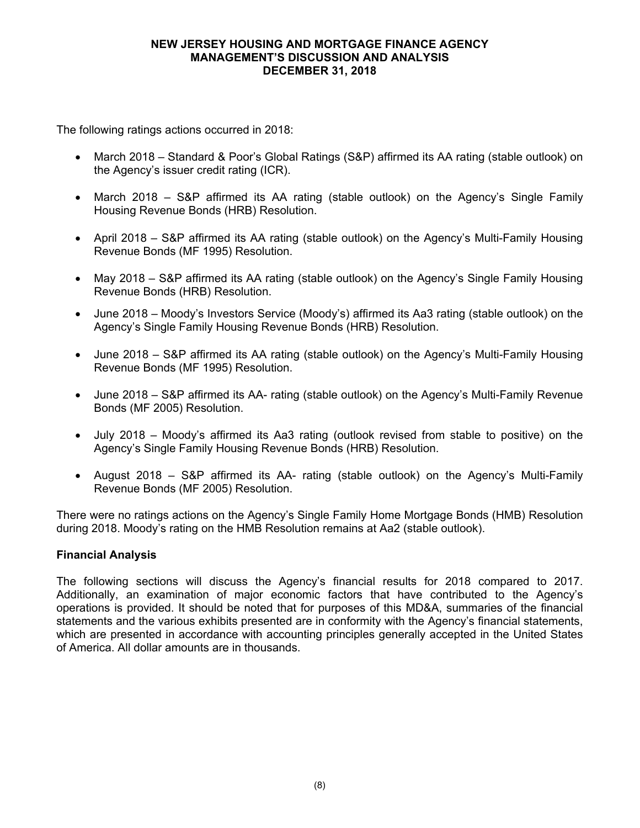The following ratings actions occurred in 2018:

- March 2018 Standard & Poor's Global Ratings (S&P) affirmed its AA rating (stable outlook) on the Agency's issuer credit rating (ICR).
- March 2018 S&P affirmed its AA rating (stable outlook) on the Agency's Single Family Housing Revenue Bonds (HRB) Resolution.
- April 2018 S&P affirmed its AA rating (stable outlook) on the Agency's Multi-Family Housing Revenue Bonds (MF 1995) Resolution.
- May 2018 S&P affirmed its AA rating (stable outlook) on the Agency's Single Family Housing Revenue Bonds (HRB) Resolution.
- June 2018 Moody's Investors Service (Moody's) affirmed its Aa3 rating (stable outlook) on the Agency's Single Family Housing Revenue Bonds (HRB) Resolution.
- June 2018 S&P affirmed its AA rating (stable outlook) on the Agency's Multi-Family Housing Revenue Bonds (MF 1995) Resolution.
- June 2018 S&P affirmed its AA- rating (stable outlook) on the Agency's Multi-Family Revenue Bonds (MF 2005) Resolution.
- July 2018 Moody's affirmed its Aa3 rating (outlook revised from stable to positive) on the Agency's Single Family Housing Revenue Bonds (HRB) Resolution.
- August 2018 S&P affirmed its AA- rating (stable outlook) on the Agency's Multi-Family Revenue Bonds (MF 2005) Resolution.

There were no ratings actions on the Agency's Single Family Home Mortgage Bonds (HMB) Resolution during 2018. Moody's rating on the HMB Resolution remains at Aa2 (stable outlook).

## **Financial Analysis**

The following sections will discuss the Agency's financial results for 2018 compared to 2017. Additionally, an examination of major economic factors that have contributed to the Agency's operations is provided. It should be noted that for purposes of this MD&A, summaries of the financial statements and the various exhibits presented are in conformity with the Agency's financial statements, which are presented in accordance with accounting principles generally accepted in the United States of America. All dollar amounts are in thousands.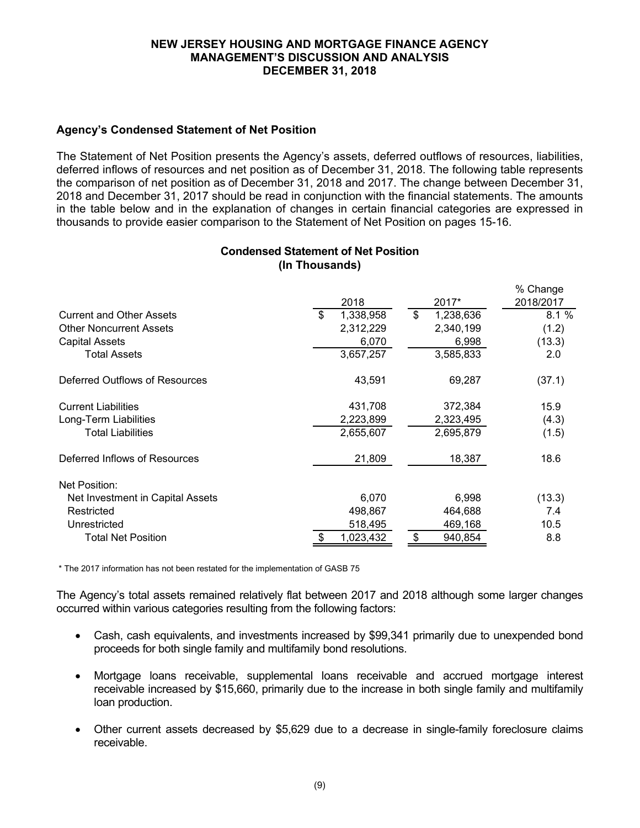# **Agency's Condensed Statement of Net Position**

The Statement of Net Position presents the Agency's assets, deferred outflows of resources, liabilities, deferred inflows of resources and net position as of December 31, 2018. The following table represents the comparison of net position as of December 31, 2018 and 2017. The change between December 31, 2018 and December 31, 2017 should be read in conjunction with the financial statements. The amounts in the table below and in the explanation of changes in certain financial categories are expressed in thousands to provide easier comparison to the Statement of Net Position on pages 15-16.

## **Condensed Statement of Net Position (In Thousands)**

|                 |                             | % Change  |
|-----------------|-----------------------------|-----------|
| 2018            | 2017*                       | 2018/2017 |
| \$<br>1,338,958 | $\mathfrak{S}$<br>1,238,636 | 8.1%      |
| 2,312,229       | 2,340,199                   | (1.2)     |
| 6,070           | 6,998                       | (13.3)    |
| 3,657,257       | 3,585,833                   | 2.0       |
| 43,591          | 69,287                      | (37.1)    |
| 431,708         | 372,384                     | 15.9      |
| 2,223,899       | 2,323,495                   | (4.3)     |
| 2,655,607       | 2,695,879                   | (1.5)     |
| 21,809          | 18,387                      | 18.6      |
|                 |                             |           |
| 6,070           | 6,998                       | (13.3)    |
| 498,867         | 464,688                     | 7.4       |
| 518,495         | 469,168                     | 10.5      |
| 1,023,432<br>\$ | 940,854<br>\$               | 8.8       |
|                 |                             |           |

\* The 2017 information has not been restated for the implementation of GASB 75

The Agency's total assets remained relatively flat between 2017 and 2018 although some larger changes occurred within various categories resulting from the following factors:

- Cash, cash equivalents, and investments increased by \$99,341 primarily due to unexpended bond proceeds for both single family and multifamily bond resolutions.
- Mortgage loans receivable, supplemental loans receivable and accrued mortgage interest receivable increased by \$15,660, primarily due to the increase in both single family and multifamily loan production.
- Other current assets decreased by \$5,629 due to a decrease in single-family foreclosure claims receivable.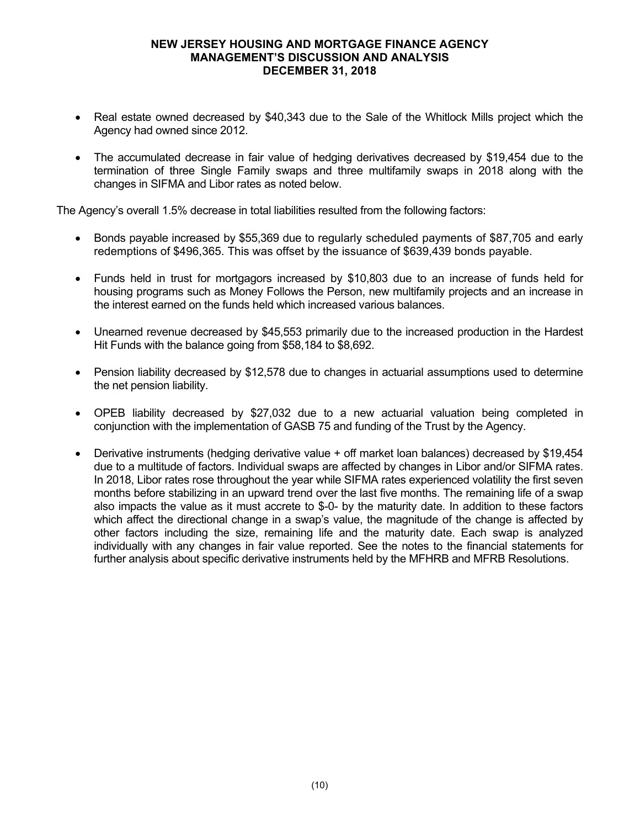- Real estate owned decreased by \$40,343 due to the Sale of the Whitlock Mills project which the Agency had owned since 2012.
- The accumulated decrease in fair value of hedging derivatives decreased by \$19,454 due to the termination of three Single Family swaps and three multifamily swaps in 2018 along with the changes in SIFMA and Libor rates as noted below.

The Agency's overall 1.5% decrease in total liabilities resulted from the following factors:

- Bonds payable increased by \$55,369 due to regularly scheduled payments of \$87,705 and early redemptions of \$496,365. This was offset by the issuance of \$639,439 bonds payable.
- Funds held in trust for mortgagors increased by \$10,803 due to an increase of funds held for housing programs such as Money Follows the Person, new multifamily projects and an increase in the interest earned on the funds held which increased various balances.
- Unearned revenue decreased by \$45,553 primarily due to the increased production in the Hardest Hit Funds with the balance going from \$58,184 to \$8,692.
- Pension liability decreased by \$12,578 due to changes in actuarial assumptions used to determine the net pension liability.
- OPEB liability decreased by \$27,032 due to a new actuarial valuation being completed in conjunction with the implementation of GASB 75 and funding of the Trust by the Agency.
- Derivative instruments (hedging derivative value + off market loan balances) decreased by \$19,454 due to a multitude of factors. Individual swaps are affected by changes in Libor and/or SIFMA rates. In 2018, Libor rates rose throughout the year while SIFMA rates experienced volatility the first seven months before stabilizing in an upward trend over the last five months. The remaining life of a swap also impacts the value as it must accrete to \$-0- by the maturity date. In addition to these factors which affect the directional change in a swap's value, the magnitude of the change is affected by other factors including the size, remaining life and the maturity date. Each swap is analyzed individually with any changes in fair value reported. See the notes to the financial statements for further analysis about specific derivative instruments held by the MFHRB and MFRB Resolutions.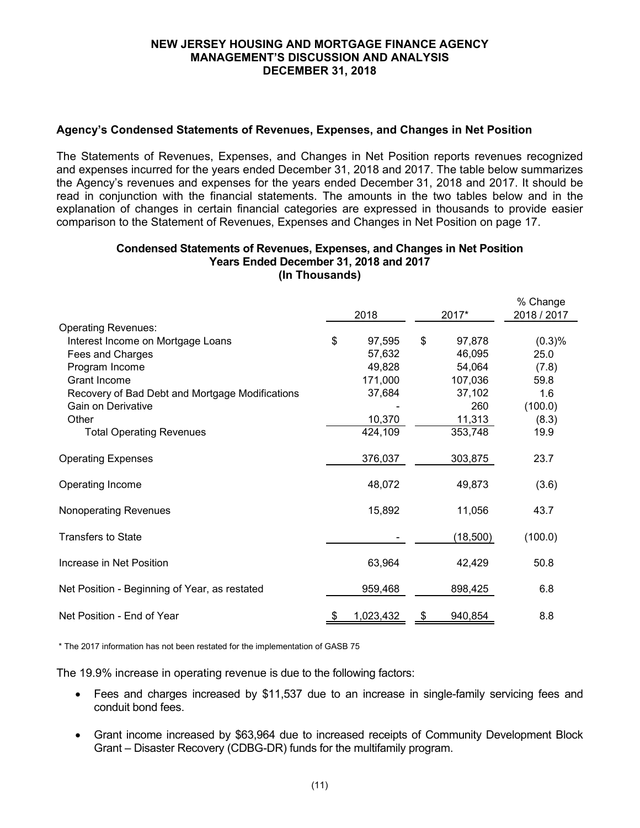## **Agency's Condensed Statements of Revenues, Expenses, and Changes in Net Position**

The Statements of Revenues, Expenses, and Changes in Net Position reports revenues recognized and expenses incurred for the years ended December 31, 2018 and 2017. The table below summarizes the Agency's revenues and expenses for the years ended December 31, 2018 and 2017. It should be read in conjunction with the financial statements. The amounts in the two tables below and in the explanation of changes in certain financial categories are expressed in thousands to provide easier comparison to the Statement of Revenues, Expenses and Changes in Net Position on page 17.

#### **Condensed Statements of Revenues, Expenses, and Changes in Net Position Years Ended December 31, 2018 and 2017 (In Thousands)**

|                                                 |              |               | % Change    |  |
|-------------------------------------------------|--------------|---------------|-------------|--|
|                                                 | 2018         | 2017*         | 2018 / 2017 |  |
| <b>Operating Revenues:</b>                      |              |               |             |  |
| Interest Income on Mortgage Loans               | \$<br>97,595 | \$<br>97,878  | (0.3)%      |  |
| Fees and Charges                                | 57,632       | 46,095        | 25.0        |  |
| Program Income                                  | 49,828       | 54,064        | (7.8)       |  |
| Grant Income                                    | 171,000      | 107,036       | 59.8        |  |
| Recovery of Bad Debt and Mortgage Modifications | 37,684       | 37,102        | 1.6         |  |
| Gain on Derivative                              |              | 260           | (100.0)     |  |
| Other                                           | 10,370       | 11,313        | (8.3)       |  |
| <b>Total Operating Revenues</b>                 | 424,109      | 353,748       | 19.9        |  |
| <b>Operating Expenses</b>                       | 376,037      | 303,875       | 23.7        |  |
| Operating Income                                | 48,072       | 49,873        | (3.6)       |  |
| Nonoperating Revenues                           | 15,892       | 11,056        | 43.7        |  |
| <b>Transfers to State</b>                       |              | (18,500)      | (100.0)     |  |
| Increase in Net Position                        | 63,964       | 42,429        | 50.8        |  |
| Net Position - Beginning of Year, as restated   | 959,468      | 898,425       | 6.8         |  |
| Net Position - End of Year                      | 1,023,432    | \$<br>940,854 | 8.8         |  |

\* The 2017 information has not been restated for the implementation of GASB 75

The 19.9% increase in operating revenue is due to the following factors:

- Fees and charges increased by \$11,537 due to an increase in single-family servicing fees and conduit bond fees.
- Grant income increased by \$63,964 due to increased receipts of Community Development Block Grant – Disaster Recovery (CDBG-DR) funds for the multifamily program.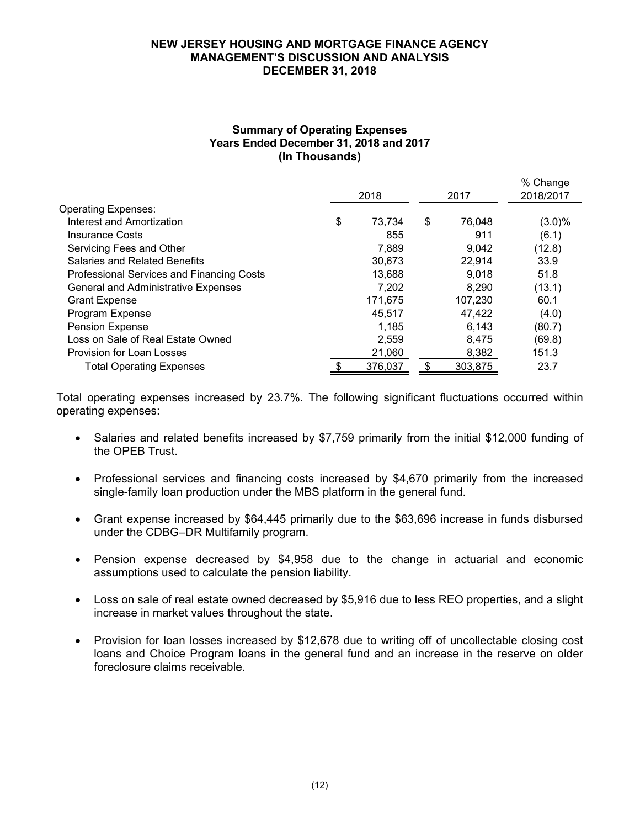## **Summary of Operating Expenses Years Ended December 31, 2018 and 2017 (In Thousands)**

|                                           | 2018          | 2017          | % Change<br>2018/2017 |  |
|-------------------------------------------|---------------|---------------|-----------------------|--|
| <b>Operating Expenses:</b>                |               |               |                       |  |
| Interest and Amortization                 | \$<br>73,734  | \$<br>76,048  | $(3.0)\%$             |  |
| <b>Insurance Costs</b>                    | 855           | 911           | (6.1)                 |  |
| Servicing Fees and Other                  | 7,889         | 9,042         | (12.8)                |  |
| Salaries and Related Benefits             | 30.673        | 22,914        | 33.9                  |  |
| Professional Services and Financing Costs | 13,688        | 9.018         | 51.8                  |  |
| General and Administrative Expenses       | 7,202         | 8.290         | (13.1)                |  |
| <b>Grant Expense</b>                      | 171,675       | 107,230       | 60.1                  |  |
| Program Expense                           | 45,517        | 47,422        | (4.0)                 |  |
| Pension Expense                           | 1,185         | 6,143         | (80.7)                |  |
| Loss on Sale of Real Estate Owned         | 2,559         | 8,475         | (69.8)                |  |
| Provision for Loan Losses                 | 21,060        | 8,382         | 151.3                 |  |
| <b>Total Operating Expenses</b>           | \$<br>376,037 | \$<br>303,875 | 23.7                  |  |

Total operating expenses increased by 23.7%. The following significant fluctuations occurred within operating expenses:

- Salaries and related benefits increased by \$7,759 primarily from the initial \$12,000 funding of the OPEB Trust.
- Professional services and financing costs increased by \$4,670 primarily from the increased single-family loan production under the MBS platform in the general fund.
- Grant expense increased by \$64,445 primarily due to the \$63,696 increase in funds disbursed under the CDBG–DR Multifamily program.
- Pension expense decreased by \$4,958 due to the change in actuarial and economic assumptions used to calculate the pension liability.
- Loss on sale of real estate owned decreased by \$5,916 due to less REO properties, and a slight increase in market values throughout the state.
- Provision for loan losses increased by \$12,678 due to writing off of uncollectable closing cost loans and Choice Program loans in the general fund and an increase in the reserve on older foreclosure claims receivable.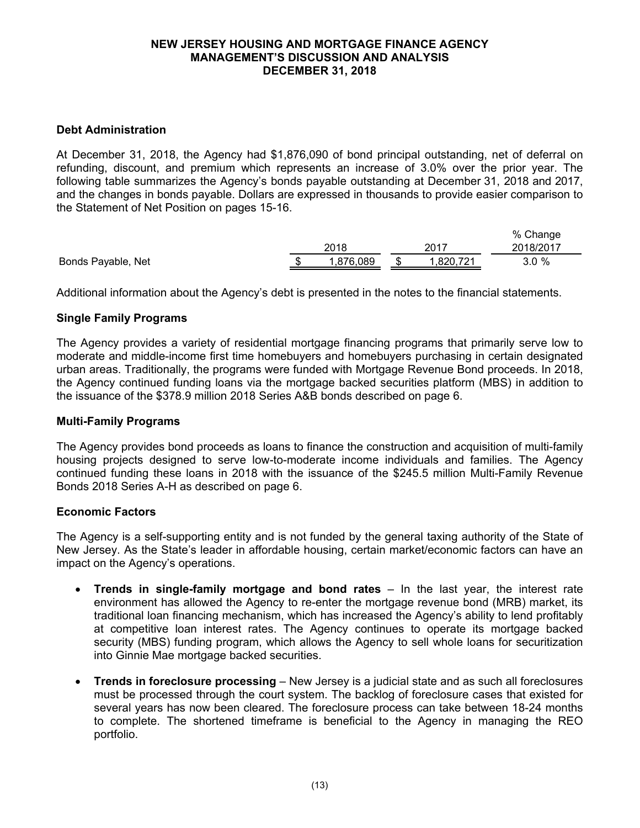## **Debt Administration**

At December 31, 2018, the Agency had \$1,876,090 of bond principal outstanding, net of deferral on refunding, discount, and premium which represents an increase of 3.0% over the prior year. The following table summarizes the Agency's bonds payable outstanding at December 31, 2018 and 2017, and the changes in bonds payable. Dollars are expressed in thousands to provide easier comparison to the Statement of Net Position on pages 15-16.

|                    |          |               | % Change  |
|--------------------|----------|---------------|-----------|
|                    | 2018     | $201^{\circ}$ | 2018/2017 |
| Bonds Payable, Net | ,876,089 | ,820,721      | 3.0%      |

Additional information about the Agency's debt is presented in the notes to the financial statements.

## **Single Family Programs**

The Agency provides a variety of residential mortgage financing programs that primarily serve low to moderate and middle-income first time homebuyers and homebuyers purchasing in certain designated urban areas. Traditionally, the programs were funded with Mortgage Revenue Bond proceeds. In 2018, the Agency continued funding loans via the mortgage backed securities platform (MBS) in addition to the issuance of the \$378.9 million 2018 Series A&B bonds described on page 6.

## **Multi-Family Programs**

The Agency provides bond proceeds as loans to finance the construction and acquisition of multi-family housing projects designed to serve low-to-moderate income individuals and families. The Agency continued funding these loans in 2018 with the issuance of the \$245.5 million Multi-Family Revenue Bonds 2018 Series A-H as described on page 6.

## **Economic Factors**

The Agency is a self-supporting entity and is not funded by the general taxing authority of the State of New Jersey. As the State's leader in affordable housing, certain market/economic factors can have an impact on the Agency's operations.

- **Trends in single-family mortgage and bond rates** In the last year, the interest rate environment has allowed the Agency to re-enter the mortgage revenue bond (MRB) market, its traditional loan financing mechanism, which has increased the Agency's ability to lend profitably at competitive loan interest rates. The Agency continues to operate its mortgage backed security (MBS) funding program, which allows the Agency to sell whole loans for securitization into Ginnie Mae mortgage backed securities.
- **Trends in foreclosure processing**  New Jersey is a judicial state and as such all foreclosures must be processed through the court system. The backlog of foreclosure cases that existed for several years has now been cleared. The foreclosure process can take between 18-24 months to complete. The shortened timeframe is beneficial to the Agency in managing the REO portfolio.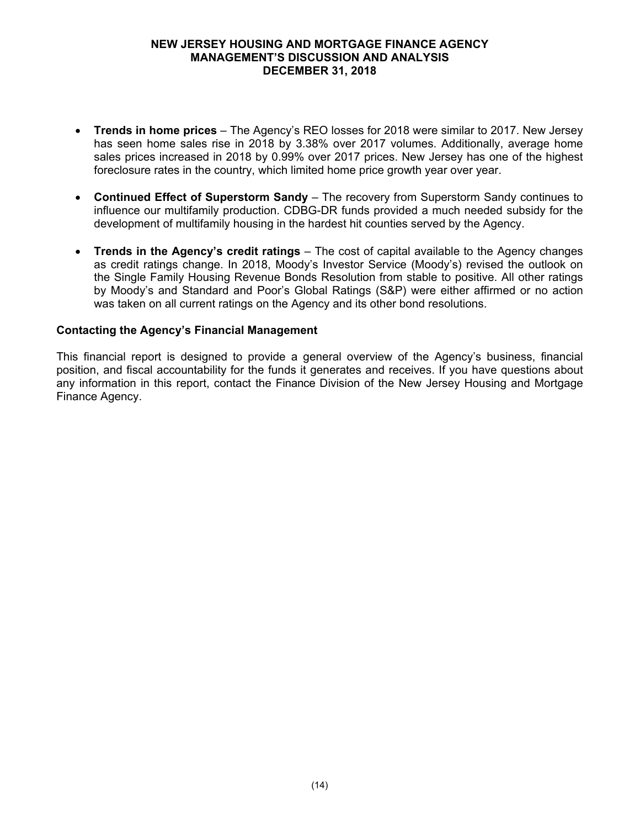- **Trends in home prices**  The Agency's REO losses for 2018 were similar to 2017. New Jersey has seen home sales rise in 2018 by 3.38% over 2017 volumes. Additionally, average home sales prices increased in 2018 by 0.99% over 2017 prices. New Jersey has one of the highest foreclosure rates in the country, which limited home price growth year over year.
- **Continued Effect of Superstorm Sandy** The recovery from Superstorm Sandy continues to influence our multifamily production. CDBG-DR funds provided a much needed subsidy for the development of multifamily housing in the hardest hit counties served by the Agency.
- **Trends in the Agency's credit ratings**  The cost of capital available to the Agency changes as credit ratings change. In 2018, Moody's Investor Service (Moody's) revised the outlook on the Single Family Housing Revenue Bonds Resolution from stable to positive. All other ratings by Moody's and Standard and Poor's Global Ratings (S&P) were either affirmed or no action was taken on all current ratings on the Agency and its other bond resolutions.

## **Contacting the Agency's Financial Management**

This financial report is designed to provide a general overview of the Agency's business, financial position, and fiscal accountability for the funds it generates and receives. If you have questions about any information in this report, contact the Finance Division of the New Jersey Housing and Mortgage Finance Agency.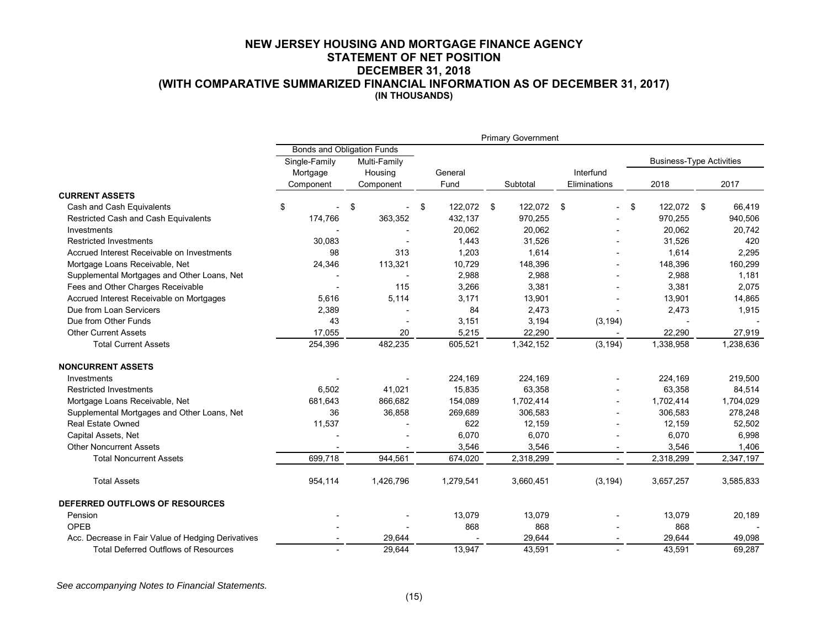#### **NEW JERSEY HOUSING AND MORTGAGE FINANCE AGENCY STATEMENT OF NET POSITION DECEMBER 31, 2018 (WITH COMPARATIVE SUMMARIZED FINANCIAL INFORMATION AS OF DECEMBER 31, 2017) (IN THOUSANDS)**

|                                                    |               |                                   |                  | <b>Primary Government</b> |                          |                                 |           |  |
|----------------------------------------------------|---------------|-----------------------------------|------------------|---------------------------|--------------------------|---------------------------------|-----------|--|
|                                                    |               | <b>Bonds and Obligation Funds</b> |                  |                           |                          |                                 |           |  |
|                                                    | Single-Family | Multi-Family                      |                  |                           |                          | <b>Business-Type Activities</b> |           |  |
|                                                    | Mortgage      | Housing                           | General          |                           | Interfund                |                                 |           |  |
|                                                    | Component     | Component                         | Fund             | Subtotal                  | Eliminations             | 2018                            | 2017      |  |
| <b>CURRENT ASSETS</b>                              |               |                                   |                  |                           |                          |                                 |           |  |
| Cash and Cash Equivalents                          | \$            | \$                                | 122,072 \$<br>\$ | 122,072 \$                | $\overline{\phantom{a}}$ | \$<br>122,072 \$                | 66,419    |  |
| Restricted Cash and Cash Equivalents               | 174,766       | 363,352                           | 432,137          | 970,255                   |                          | 970,255                         | 940,506   |  |
| Investments                                        |               |                                   | 20,062           | 20,062                    |                          | 20,062                          | 20,742    |  |
| <b>Restricted Investments</b>                      | 30,083        |                                   | 1,443            | 31,526                    |                          | 31,526                          | 420       |  |
| Accrued Interest Receivable on Investments         | 98            | 313                               | 1,203            | 1,614                     |                          | 1,614                           | 2,295     |  |
| Mortgage Loans Receivable, Net                     | 24,346        | 113,321                           | 10,729           | 148,396                   |                          | 148,396                         | 160,299   |  |
| Supplemental Mortgages and Other Loans, Net        |               |                                   | 2,988            | 2,988                     |                          | 2,988                           | 1,181     |  |
| Fees and Other Charges Receivable                  |               | 115                               | 3,266            | 3,381                     |                          | 3,381                           | 2,075     |  |
| Accrued Interest Receivable on Mortgages           | 5,616         | 5,114                             | 3,171            | 13,901                    |                          | 13,901                          | 14,865    |  |
| Due from Loan Servicers                            | 2,389         |                                   | 84               | 2,473                     |                          | 2,473                           | 1,915     |  |
| Due from Other Funds                               | 43            |                                   | 3,151            | 3,194                     | (3, 194)                 |                                 |           |  |
| <b>Other Current Assets</b>                        | 17,055        | 20                                | 5,215            | 22,290                    |                          | 22,290                          | 27,919    |  |
| <b>Total Current Assets</b>                        | 254,396       | 482,235                           | 605,521          | 1,342,152                 | (3, 194)                 | 1,338,958                       | 1,238,636 |  |
| <b>NONCURRENT ASSETS</b>                           |               |                                   |                  |                           |                          |                                 |           |  |
| Investments                                        |               |                                   | 224,169          | 224,169                   |                          | 224.169                         | 219,500   |  |
| <b>Restricted Investments</b>                      | 6,502         | 41,021                            | 15,835           | 63,358                    |                          | 63,358                          | 84,514    |  |
| Mortgage Loans Receivable, Net                     | 681,643       | 866,682                           | 154,089          | 1,702,414                 |                          | 1,702,414                       | 1,704,029 |  |
| Supplemental Mortgages and Other Loans, Net        | 36            | 36,858                            | 269,689          | 306,583                   |                          | 306,583                         | 278,248   |  |
| <b>Real Estate Owned</b>                           | 11,537        |                                   | 622              | 12,159                    |                          | 12,159                          | 52,502    |  |
| Capital Assets, Net                                |               |                                   | 6,070            | 6,070                     |                          | 6,070                           | 6,998     |  |
| <b>Other Noncurrent Assets</b>                     |               |                                   | 3,546            | 3,546                     |                          | 3,546                           | 1,406     |  |
| <b>Total Noncurrent Assets</b>                     | 699,718       | 944,561                           | 674,020          | 2,318,299                 |                          | 2,318,299                       | 2,347,197 |  |
| <b>Total Assets</b>                                | 954,114       | 1,426,796                         | 1,279,541        | 3,660,451                 | (3, 194)                 | 3,657,257                       | 3,585,833 |  |
| DEFERRED OUTFLOWS OF RESOURCES                     |               |                                   |                  |                           |                          |                                 |           |  |
| Pension                                            |               |                                   | 13,079           | 13,079                    |                          | 13,079                          | 20,189    |  |
| OPEB                                               |               |                                   | 868              | 868                       |                          | 868                             |           |  |
| Acc. Decrease in Fair Value of Hedging Derivatives |               | 29,644                            |                  | 29,644                    |                          | 29,644                          | 49,098    |  |
| <b>Total Deferred Outflows of Resources</b>        |               | 29.644                            | 13.947           | 43.591                    |                          | 43.591                          | 69,287    |  |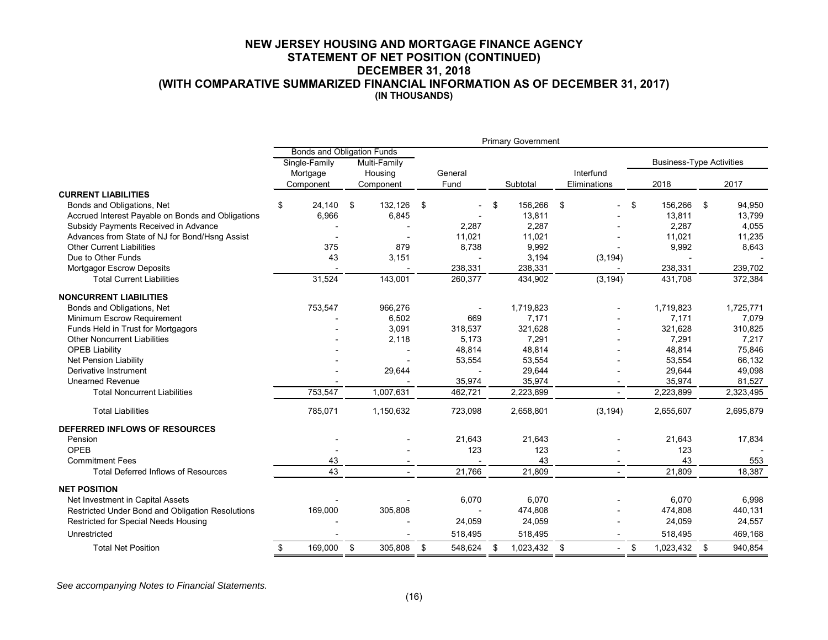#### **NEW JERSEY HOUSING AND MORTGAGE FINANCE AGENCY STATEMENT OF NET POSITION (CONTINUED) DECEMBER 31, 2018 (WITH COMPARATIVE SUMMARIZED FINANCIAL INFORMATION AS OF DECEMBER 31, 2017) (IN THOUSANDS)**

|                                                   |                                   |                               |    |           |      |         |    | <b>Primary Government</b> |    |                          |    |                                 |    |           |  |
|---------------------------------------------------|-----------------------------------|-------------------------------|----|-----------|------|---------|----|---------------------------|----|--------------------------|----|---------------------------------|----|-----------|--|
|                                                   | <b>Bonds and Obligation Funds</b> |                               |    |           |      |         |    |                           |    |                          |    |                                 |    |           |  |
|                                                   |                                   | Single-Family<br>Multi-Family |    |           |      |         |    |                           |    |                          |    | <b>Business-Type Activities</b> |    |           |  |
|                                                   |                                   | Mortgage                      |    | Housing   |      | General |    |                           |    | Interfund                |    |                                 |    |           |  |
|                                                   |                                   | Component                     |    | Component |      | Fund    |    | Subtotal                  |    | Eliminations             |    | 2018                            |    | 2017      |  |
| <b>CURRENT LIABILITIES</b>                        |                                   |                               |    |           |      |         |    |                           |    |                          |    |                                 |    |           |  |
| Bonds and Obligations, Net                        | \$                                | 24,140                        | \$ | 132,126   | - \$ |         | \$ | 156,266                   | \$ | $\overline{a}$           | \$ | 156,266                         | \$ | 94,950    |  |
| Accrued Interest Payable on Bonds and Obligations |                                   | 6,966                         |    | 6,845     |      |         |    | 13,811                    |    |                          |    | 13,811                          |    | 13,799    |  |
| Subsidy Payments Received in Advance              |                                   |                               |    |           |      | 2,287   |    | 2,287                     |    |                          |    | 2,287                           |    | 4,055     |  |
| Advances from State of NJ for Bond/Hsng Assist    |                                   |                               |    |           |      | 11,021  |    | 11,021                    |    |                          |    | 11,021                          |    | 11,235    |  |
| <b>Other Current Liabilities</b>                  |                                   | 375                           |    | 879       |      | 8,738   |    | 9,992                     |    |                          |    | 9,992                           |    | 8,643     |  |
| Due to Other Funds                                |                                   | 43                            |    | 3,151     |      |         |    | 3,194                     |    | (3, 194)                 |    |                                 |    |           |  |
| <b>Mortgagor Escrow Deposits</b>                  |                                   |                               |    |           |      | 238,331 |    | 238,331                   |    |                          |    | 238,331                         |    | 239,702   |  |
| <b>Total Current Liabilities</b>                  |                                   | 31,524                        |    | 143,001   |      | 260,377 |    | 434,902                   |    | (3, 194)                 |    | 431,708                         |    | 372,384   |  |
| <b>NONCURRENT LIABILITIES</b>                     |                                   |                               |    |           |      |         |    |                           |    |                          |    |                                 |    |           |  |
| Bonds and Obligations, Net                        |                                   | 753,547                       |    | 966,276   |      |         |    | 1,719,823                 |    |                          |    | 1,719,823                       |    | 1,725,771 |  |
| Minimum Escrow Requirement                        |                                   |                               |    | 6,502     |      | 669     |    | 7,171                     |    |                          |    | 7,171                           |    | 7,079     |  |
| Funds Held in Trust for Mortgagors                |                                   |                               |    | 3,091     |      | 318,537 |    | 321,628                   |    |                          |    | 321,628                         |    | 310,825   |  |
| <b>Other Noncurrent Liabilities</b>               |                                   |                               |    | 2,118     |      | 5,173   |    | 7,291                     |    |                          |    | 7,291                           |    | 7,217     |  |
| <b>OPEB Liability</b>                             |                                   |                               |    |           |      | 48,814  |    | 48,814                    |    |                          |    | 48,814                          |    | 75,846    |  |
| Net Pension Liability                             |                                   |                               |    |           |      | 53,554  |    | 53,554                    |    |                          |    | 53,554                          |    | 66,132    |  |
| Derivative Instrument                             |                                   |                               |    | 29,644    |      |         |    | 29,644                    |    |                          |    | 29,644                          |    | 49,098    |  |
| <b>Unearned Revenue</b>                           |                                   |                               |    |           |      | 35,974  |    | 35,974                    |    |                          |    | 35,974                          |    | 81,527    |  |
| <b>Total Noncurrent Liabilities</b>               |                                   | 753,547                       |    | 1,007,631 |      | 462,721 |    | 2,223,899                 |    |                          |    | 2,223,899                       |    | 2,323,495 |  |
| <b>Total Liabilities</b>                          |                                   | 785,071                       |    | 1,150,632 |      | 723,098 |    | 2,658,801                 |    | (3, 194)                 |    | 2,655,607                       |    | 2,695,879 |  |
| DEFERRED INFLOWS OF RESOURCES                     |                                   |                               |    |           |      |         |    |                           |    |                          |    |                                 |    |           |  |
| Pension                                           |                                   |                               |    |           |      | 21,643  |    | 21,643                    |    |                          |    | 21,643                          |    | 17,834    |  |
| OPEB                                              |                                   |                               |    |           |      | 123     |    | 123                       |    |                          |    | 123                             |    |           |  |
| <b>Commitment Fees</b>                            |                                   | 43                            |    |           |      |         |    | 43                        |    |                          |    | 43                              |    | 553       |  |
| <b>Total Deferred Inflows of Resources</b>        |                                   | 43                            |    |           |      | 21,766  |    | 21,809                    |    |                          |    | 21,809                          |    | 18,387    |  |
| <b>NET POSITION</b>                               |                                   |                               |    |           |      |         |    |                           |    |                          |    |                                 |    |           |  |
| Net Investment in Capital Assets                  |                                   |                               |    |           |      | 6,070   |    | 6,070                     |    |                          |    | 6,070                           |    | 6,998     |  |
| Restricted Under Bond and Obligation Resolutions  |                                   | 169,000                       |    | 305,808   |      |         |    | 474,808                   |    |                          |    | 474,808                         |    | 440,131   |  |
| Restricted for Special Needs Housing              |                                   |                               |    |           |      | 24,059  |    | 24,059                    |    |                          |    | 24,059                          |    | 24,557    |  |
| Unrestricted                                      |                                   |                               |    |           |      | 518,495 |    | 518,495                   |    |                          |    | 518,495                         |    | 469,168   |  |
| <b>Total Net Position</b>                         | \$                                | 169,000                       | \$ | 305,808   | \$   | 548,624 | \$ | 1,023,432                 | \$ | $\overline{\phantom{0}}$ | \$ | 1,023,432                       | \$ | 940,854   |  |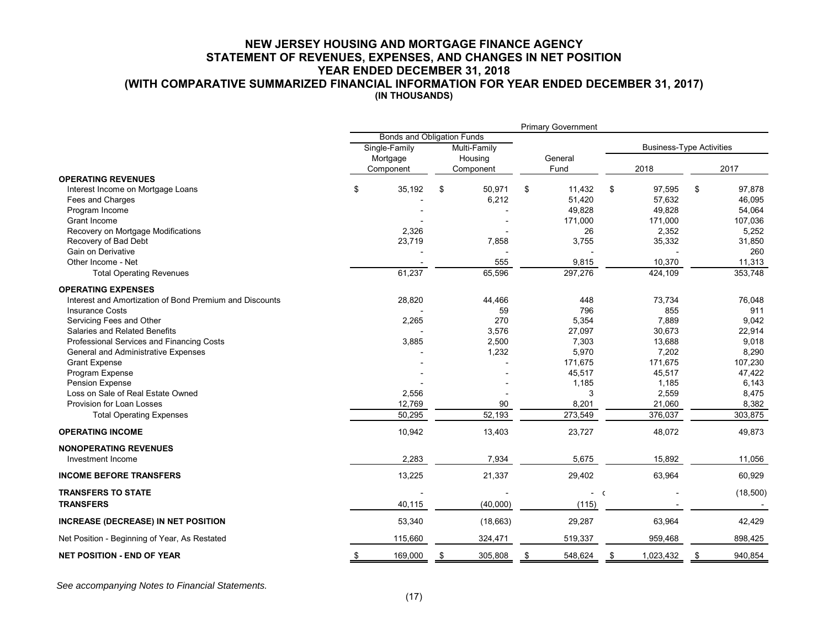#### **NEW JERSEY HOUSING AND MORTGAGE FINANCE AGENCY STATEMENT OF REVENUES, EXPENSES, AND CHANGES IN NET POSITION YEAR ENDED DECEMBER 31, 2018 (WITH COMPARATIVE SUMMARIZED FINANCIAL INFORMATION FOR YEAR ENDED DECEMBER 31, 2017) (IN THOUSANDS)**

|                                                         |               |                                   |    |              |           | <b>Primary Government</b> |              |                                 |          |  |
|---------------------------------------------------------|---------------|-----------------------------------|----|--------------|-----------|---------------------------|--------------|---------------------------------|----------|--|
|                                                         |               | <b>Bonds and Obligation Funds</b> |    |              |           |                           |              |                                 |          |  |
|                                                         | Single-Family |                                   |    | Multi-Family |           |                           |              | <b>Business-Type Activities</b> |          |  |
|                                                         |               | Mortgage<br>Housing               |    |              |           | General                   |              |                                 |          |  |
|                                                         | Component     |                                   |    | Component    |           | Fund                      | 2018         | 2017                            |          |  |
| <b>OPERATING REVENUES</b>                               |               |                                   |    |              |           |                           |              |                                 |          |  |
| Interest Income on Mortgage Loans                       | \$            | 35,192                            | \$ | 50,971       | \$        | 11,432                    | \$<br>97,595 | \$                              | 97,878   |  |
| Fees and Charges                                        |               |                                   |    | 6,212        |           | 51,420                    | 57,632       |                                 | 46,095   |  |
| Program Income                                          |               |                                   |    |              |           | 49,828                    | 49,828       |                                 | 54,064   |  |
| Grant Income                                            |               |                                   |    |              |           | 171,000                   | 171,000      |                                 | 107,036  |  |
| Recovery on Mortgage Modifications                      |               | 2,326                             |    |              |           | 26                        | 2,352        |                                 | 5,252    |  |
| Recovery of Bad Debt                                    |               | 23,719                            |    | 7,858        |           | 3,755                     | 35,332       |                                 | 31,850   |  |
| Gain on Derivative                                      |               |                                   |    |              |           |                           |              |                                 | 260      |  |
| Other Income - Net                                      |               |                                   |    | 555          |           | 9,815                     | 10,370       |                                 | 11,313   |  |
| <b>Total Operating Revenues</b>                         |               | 61,237                            |    | 65,596       |           | 297,276                   | 424,109      |                                 | 353,748  |  |
| <b>OPERATING EXPENSES</b>                               |               |                                   |    |              |           |                           |              |                                 |          |  |
| Interest and Amortization of Bond Premium and Discounts |               | 28,820                            |    | 44,466       |           | 448                       | 73,734       |                                 | 76,048   |  |
| <b>Insurance Costs</b>                                  |               |                                   |    | 59           |           | 796                       | 855          |                                 | 911      |  |
| Servicing Fees and Other                                |               | 2,265                             |    | 270          |           | 5,354                     | 7.889        |                                 | 9,042    |  |
| Salaries and Related Benefits                           |               |                                   |    | 3,576        |           | 27,097                    | 30,673       |                                 | 22,914   |  |
| Professional Services and Financing Costs               |               | 3,885                             |    | 2,500        |           | 7,303                     | 13,688       |                                 | 9,018    |  |
| General and Administrative Expenses                     |               |                                   |    | 1,232        |           | 5,970                     | 7,202        |                                 | 8,290    |  |
| <b>Grant Expense</b>                                    |               |                                   |    |              |           | 171,675                   | 171,675      |                                 | 107,230  |  |
| Program Expense                                         |               |                                   |    |              |           | 45,517                    | 45,517       |                                 | 47,422   |  |
| Pension Expense                                         |               |                                   |    |              |           | 1,185                     | 1,185        |                                 | 6,143    |  |
| Loss on Sale of Real Estate Owned                       |               | 2,556                             |    |              |           | 3                         | 2,559        |                                 | 8,475    |  |
| Provision for Loan Losses                               |               | 12,769                            |    | 90           |           | 8,201                     | 21,060       |                                 | 8,382    |  |
| <b>Total Operating Expenses</b>                         |               | 50,295                            |    | 52,193       |           | 273,549                   | 376,037      |                                 | 303,875  |  |
| <b>OPERATING INCOME</b>                                 |               | 10,942                            |    | 13,403       |           | 23,727                    | 48,072       |                                 | 49,873   |  |
| <b>NONOPERATING REVENUES</b>                            |               |                                   |    |              |           |                           |              |                                 |          |  |
| Investment Income                                       |               | 2,283                             |    | 7,934        |           | 5,675                     | 15,892       |                                 | 11,056   |  |
| <b>INCOME BEFORE TRANSFERS</b>                          |               | 13,225                            |    | 21,337       |           | 29,402                    | 63,964       |                                 | 60,929   |  |
| <b>TRANSFERS TO STATE</b>                               |               |                                   |    |              |           | $-$ C                     |              |                                 | (18,500) |  |
| <b>TRANSFERS</b>                                        |               | 40,115                            |    | (40,000)     |           | (115)                     |              |                                 |          |  |
| INCREASE (DECREASE) IN NET POSITION                     |               | 53,340                            |    | (18, 663)    |           | 29,287                    | 63,964       |                                 | 42,429   |  |
| Net Position - Beginning of Year, As Restated           |               | 115,660                           |    | 324,471      |           | 519,337                   | 959,468      |                                 | 898,425  |  |
| <b>NET POSITION - END OF YEAR</b>                       | \$            | 169,000                           |    | 305,808      | <u>\$</u> | 548,624                   | 1,023,432    | \$                              | 940,854  |  |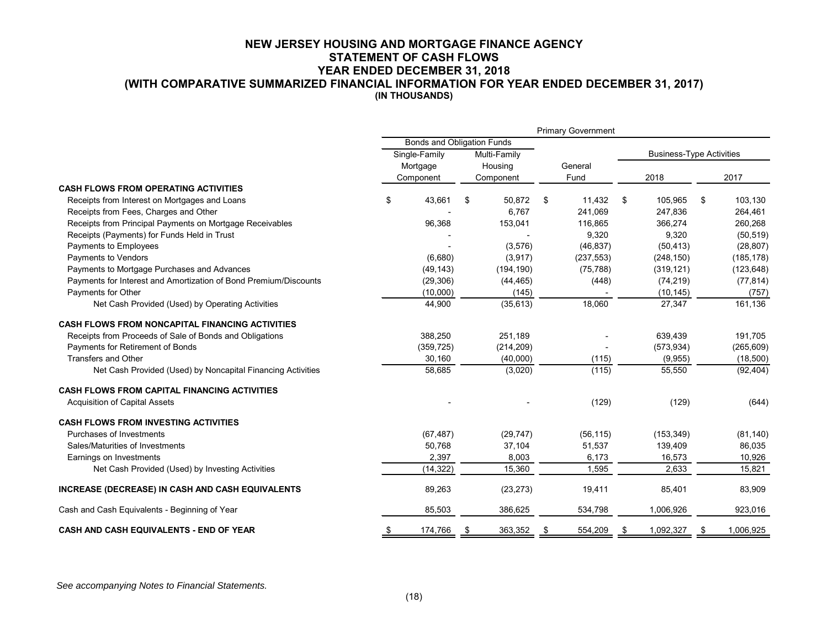#### **NEW JERSEY HOUSING AND MORTGAGE FINANCE AGENCY STATEMENT OF CASH FLOWS YEAR ENDED DECEMBER 31, 2018 (WITH COMPARATIVE SUMMARIZED FINANCIAL INFORMATION FOR YEAR ENDED DECEMBER 31, 2017) (IN THOUSANDS)**

|                                                                  | <b>Primary Government</b>  |                               |           |            |     |            |                                 |            |    |            |
|------------------------------------------------------------------|----------------------------|-------------------------------|-----------|------------|-----|------------|---------------------------------|------------|----|------------|
|                                                                  | Bonds and Obligation Funds |                               |           |            |     |            |                                 |            |    |            |
|                                                                  |                            | Single-Family<br>Multi-Family |           |            |     |            | <b>Business-Type Activities</b> |            |    |            |
|                                                                  | Mortgage                   |                               |           | Housing    |     | General    |                                 |            |    |            |
|                                                                  |                            | Component                     | Component |            |     | Fund       |                                 | 2018       |    | 2017       |
| <b>CASH FLOWS FROM OPERATING ACTIVITIES</b>                      |                            |                               |           |            |     |            |                                 |            |    |            |
| Receipts from Interest on Mortgages and Loans                    | \$                         | 43,661                        | \$        | 50,872     | \$  | 11,432     | \$                              | 105,965    | \$ | 103,130    |
| Receipts from Fees, Charges and Other                            |                            |                               |           | 6,767      |     | 241,069    |                                 | 247,836    |    | 264,461    |
| Receipts from Principal Payments on Mortgage Receivables         |                            | 96,368                        |           | 153,041    |     | 116,865    |                                 | 366,274    |    | 260,268    |
| Receipts (Payments) for Funds Held in Trust                      |                            |                               |           |            |     | 9,320      |                                 | 9,320      |    | (50, 519)  |
| Payments to Employees                                            |                            |                               |           | (3,576)    |     | (46, 837)  |                                 | (50, 413)  |    | (28, 807)  |
| Payments to Vendors                                              |                            | (6,680)                       |           | (3,917)    |     | (237, 553) |                                 | (248, 150) |    | (185, 178) |
| Payments to Mortgage Purchases and Advances                      |                            | (49, 143)                     |           | (194, 190) |     | (75, 788)  |                                 | (319, 121) |    | (123, 648) |
| Payments for Interest and Amortization of Bond Premium/Discounts |                            | (29, 306)                     |           | (44, 465)  |     | (448)      |                                 | (74, 219)  |    | (77, 814)  |
| Payments for Other                                               |                            | (10,000)                      |           | (145)      |     |            |                                 | (10, 145)  |    | (757)      |
| Net Cash Provided (Used) by Operating Activities                 |                            | 44,900                        |           | (35, 613)  |     | 18,060     |                                 | 27,347     |    | 161,136    |
| <b>CASH FLOWS FROM NONCAPITAL FINANCING ACTIVITIES</b>           |                            |                               |           |            |     |            |                                 |            |    |            |
| Receipts from Proceeds of Sale of Bonds and Obligations          |                            | 388,250                       |           | 251,189    |     |            |                                 | 639,439    |    | 191,705    |
| Payments for Retirement of Bonds                                 |                            | (359, 725)                    |           | (214, 209) |     |            |                                 | (573, 934) |    | (265, 609) |
| <b>Transfers and Other</b>                                       |                            | 30,160                        |           | (40,000)   |     | (115)      |                                 | (9,955)    |    | (18,500)   |
| Net Cash Provided (Used) by Noncapital Financing Activities      |                            | 58,685                        |           | (3,020)    |     | (115)      |                                 | 55,550     |    | (92, 404)  |
| <b>CASH FLOWS FROM CAPITAL FINANCING ACTIVITIES</b>              |                            |                               |           |            |     |            |                                 |            |    |            |
| <b>Acquisition of Capital Assets</b>                             |                            |                               |           |            |     | (129)      |                                 | (129)      |    | (644)      |
| <b>CASH FLOWS FROM INVESTING ACTIVITIES</b>                      |                            |                               |           |            |     |            |                                 |            |    |            |
| Purchases of Investments                                         |                            | (67, 487)                     |           | (29, 747)  |     | (56, 115)  |                                 | (153, 349) |    | (81, 140)  |
| Sales/Maturities of Investments                                  |                            | 50,768                        |           | 37,104     |     | 51,537     |                                 | 139,409    |    | 86,035     |
| Earnings on Investments                                          |                            | 2,397                         |           | 8,003      |     | 6,173      |                                 | 16,573     |    | 10,926     |
| Net Cash Provided (Used) by Investing Activities                 |                            | (14, 322)                     |           | 15,360     |     | 1,595      |                                 | 2,633      |    | 15,821     |
| INCREASE (DECREASE) IN CASH AND CASH EQUIVALENTS                 |                            | 89,263                        |           | (23, 273)  |     | 19,411     |                                 | 85,401     |    | 83,909     |
| Cash and Cash Equivalents - Beginning of Year                    |                            | 85,503                        |           | 386,625    |     | 534,798    |                                 | 1,006,926  |    | 923,016    |
| <b>CASH AND CASH EQUIVALENTS - END OF YEAR</b>                   | - 56                       | 174,766                       |           | 363,352    | - 5 | 554,209    | - 5                             | 1,092,327  |    | 1,006,925  |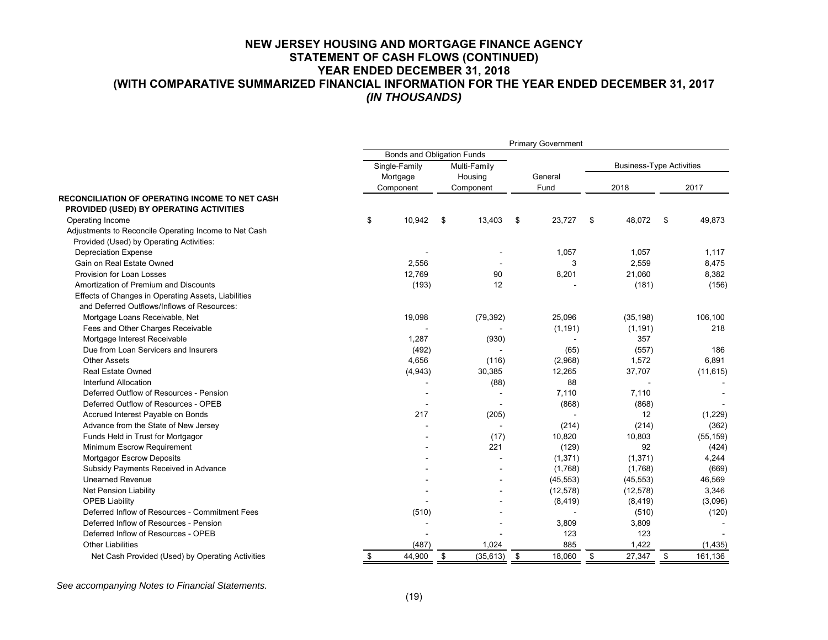### **NEW JERSEY HOUSING AND MORTGAGE FINANCE AGENCY STATEMENT OF CASH FLOWS (CONTINUED) YEAR ENDED DECEMBER 31, 2018 (WITH COMPARATIVE SUMMARIZED FINANCIAL INFORMATION FOR THE YEAR ENDED DECEMBER 31, 2017**  *(IN THOUSANDS)*

|                                                       | <b>Primary Government</b> |                            |              |                                 |               |  |  |  |  |  |
|-------------------------------------------------------|---------------------------|----------------------------|--------------|---------------------------------|---------------|--|--|--|--|--|
|                                                       |                           | Bonds and Obligation Funds |              |                                 |               |  |  |  |  |  |
|                                                       | Single-Family             | Multi-Family               |              | <b>Business-Type Activities</b> |               |  |  |  |  |  |
|                                                       | Mortgage                  | Housing                    | General      |                                 |               |  |  |  |  |  |
|                                                       | Component                 | Component                  | Fund         | 2018                            | 2017          |  |  |  |  |  |
| RECONCILIATION OF OPERATING INCOME TO NET CASH        |                           |                            |              |                                 |               |  |  |  |  |  |
| PROVIDED (USED) BY OPERATING ACTIVITIES               |                           |                            |              |                                 |               |  |  |  |  |  |
| Operating Income                                      | \$<br>10,942              | \$<br>13,403               | \$<br>23,727 | \$<br>48,072                    | \$<br>49,873  |  |  |  |  |  |
| Adjustments to Reconcile Operating Income to Net Cash |                           |                            |              |                                 |               |  |  |  |  |  |
| Provided (Used) by Operating Activities:              |                           |                            |              |                                 |               |  |  |  |  |  |
| <b>Depreciation Expense</b>                           |                           |                            | 1,057        | 1,057                           | 1.117         |  |  |  |  |  |
| Gain on Real Estate Owned                             | 2,556                     |                            | 3            | 2,559                           | 8,475         |  |  |  |  |  |
| Provision for Loan Losses                             | 12,769                    | 90                         | 8,201        | 21,060                          | 8,382         |  |  |  |  |  |
| Amortization of Premium and Discounts                 | (193)                     | 12                         |              | (181)                           | (156)         |  |  |  |  |  |
| Effects of Changes in Operating Assets, Liabilities   |                           |                            |              |                                 |               |  |  |  |  |  |
| and Deferred Outflows/Inflows of Resources:           |                           |                            |              |                                 |               |  |  |  |  |  |
| Mortgage Loans Receivable, Net                        | 19,098                    | (79, 392)                  | 25,096       | (35, 198)                       | 106,100       |  |  |  |  |  |
| Fees and Other Charges Receivable                     |                           |                            | (1, 191)     | (1, 191)                        | 218           |  |  |  |  |  |
| Mortgage Interest Receivable                          | 1.287                     | (930)                      |              | 357                             |               |  |  |  |  |  |
| Due from Loan Servicers and Insurers                  | (492)                     |                            | (65)         | (557)                           | 186           |  |  |  |  |  |
| Other Assets                                          | 4,656                     | (116)                      | (2,968)      | 1,572                           | 6,891         |  |  |  |  |  |
| <b>Real Estate Owned</b>                              | (4,943)                   | 30,385                     | 12,265       | 37,707                          | (11, 615)     |  |  |  |  |  |
| Interfund Allocation                                  |                           | (88)                       | 88           |                                 |               |  |  |  |  |  |
| Deferred Outflow of Resources - Pension               |                           |                            | 7,110        | 7,110                           |               |  |  |  |  |  |
| Deferred Outflow of Resources - OPEB                  |                           |                            | (868)        | (868)                           |               |  |  |  |  |  |
| Accrued Interest Payable on Bonds                     | 217                       | (205)                      |              | 12                              | (1,229)       |  |  |  |  |  |
| Advance from the State of New Jersey                  |                           | $\sim$                     | (214)        | (214)                           | (362)         |  |  |  |  |  |
| Funds Held in Trust for Mortgagor                     |                           | (17)                       | 10,820       | 10,803                          | (55, 159)     |  |  |  |  |  |
| Minimum Escrow Requirement                            |                           | 221                        | (129)        | 92                              | (424)         |  |  |  |  |  |
| <b>Mortgagor Escrow Deposits</b>                      |                           |                            | (1, 371)     | (1, 371)                        | 4,244         |  |  |  |  |  |
| Subsidy Payments Received in Advance                  |                           |                            | (1,768)      | (1,768)                         | (669)         |  |  |  |  |  |
| <b>Unearned Revenue</b>                               |                           |                            | (45, 553)    | (45, 553)                       | 46,569        |  |  |  |  |  |
| <b>Net Pension Liability</b>                          |                           |                            | (12, 578)    | (12, 578)                       | 3,346         |  |  |  |  |  |
| <b>OPEB Liability</b>                                 |                           |                            | (8, 419)     | (8, 419)                        | (3,096)       |  |  |  |  |  |
| Deferred Inflow of Resources - Commitment Fees        | (510)                     |                            |              | (510)                           | (120)         |  |  |  |  |  |
| Deferred Inflow of Resources - Pension                |                           |                            | 3,809        | 3,809                           |               |  |  |  |  |  |
| Deferred Inflow of Resources - OPEB                   |                           |                            | 123          | 123                             |               |  |  |  |  |  |
| <b>Other Liabilities</b>                              | (487)                     | 1,024                      | 885          | 1,422                           | (1, 435)      |  |  |  |  |  |
| Net Cash Provided (Used) by Operating Activities      | \$<br>44,900              | \$<br>(35, 613)            | \$<br>18,060 | \$<br>27,347                    | \$<br>161,136 |  |  |  |  |  |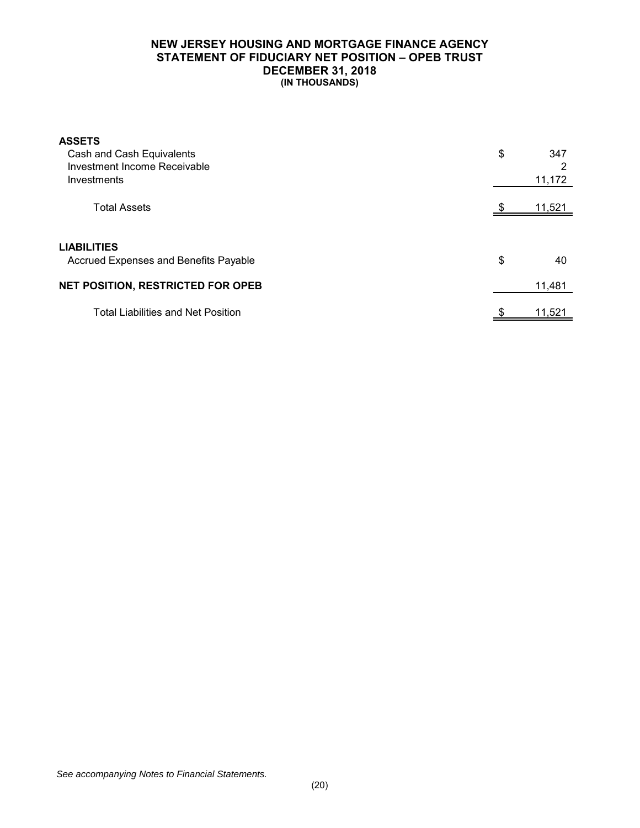## **NEW JERSEY HOUSING AND MORTGAGE FINANCE AGENCY STATEMENT OF FIDUCIARY NET POSITION – OPEB TRUST DECEMBER 31, 2018 (IN THOUSANDS)**

| <b>ASSETS</b><br>Cash and Cash Equivalents<br>Investment Income Receivable<br>Investments | \$<br>347<br>っ<br>11,172 |
|-------------------------------------------------------------------------------------------|--------------------------|
| <b>Total Assets</b>                                                                       | 11,521                   |
| <b>LIABILITIES</b><br>Accrued Expenses and Benefits Payable                               | \$<br>40                 |
| <b>NET POSITION, RESTRICTED FOR OPEB</b>                                                  | 11,481                   |
| <b>Total Liabilities and Net Position</b>                                                 | \$<br>11,521             |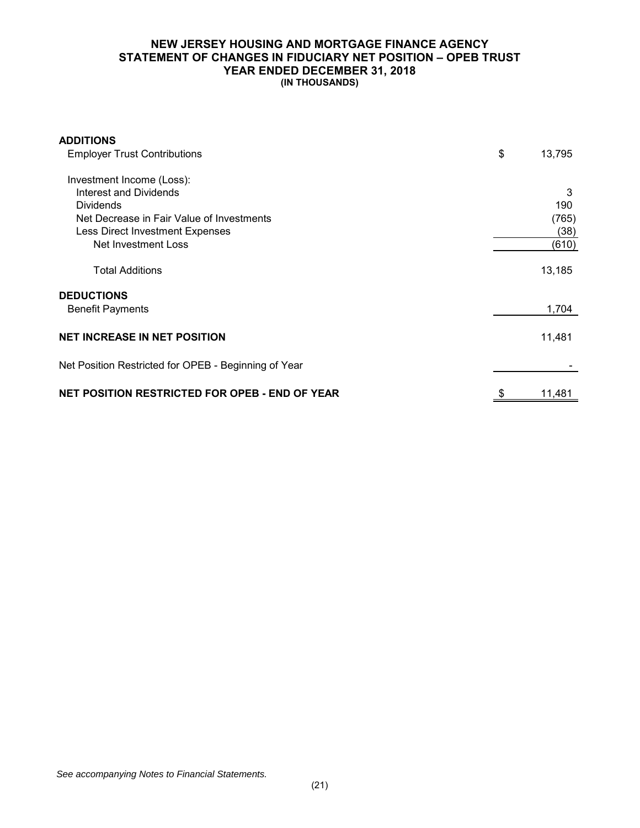## **NEW JERSEY HOUSING AND MORTGAGE FINANCE AGENCY STATEMENT OF CHANGES IN FIDUCIARY NET POSITION – OPEB TRUST YEAR ENDED DECEMBER 31, 2018 (IN THOUSANDS)**

| <b>ADDITIONS</b>                                      |              |
|-------------------------------------------------------|--------------|
| <b>Employer Trust Contributions</b>                   | \$<br>13,795 |
| Investment Income (Loss):                             |              |
| Interest and Dividends                                | 3            |
| <b>Dividends</b>                                      | 190          |
| Net Decrease in Fair Value of Investments             | (765)        |
| <b>Less Direct Investment Expenses</b>                | (38)         |
| Net Investment Loss                                   | (610)        |
| <b>Total Additions</b>                                | 13,185       |
| <b>DEDUCTIONS</b>                                     |              |
| <b>Benefit Payments</b>                               | 1,704        |
| <b>NET INCREASE IN NET POSITION</b>                   | 11,481       |
| Net Position Restricted for OPEB - Beginning of Year  |              |
| <b>NET POSITION RESTRICTED FOR OPEB - END OF YEAR</b> | 11,481       |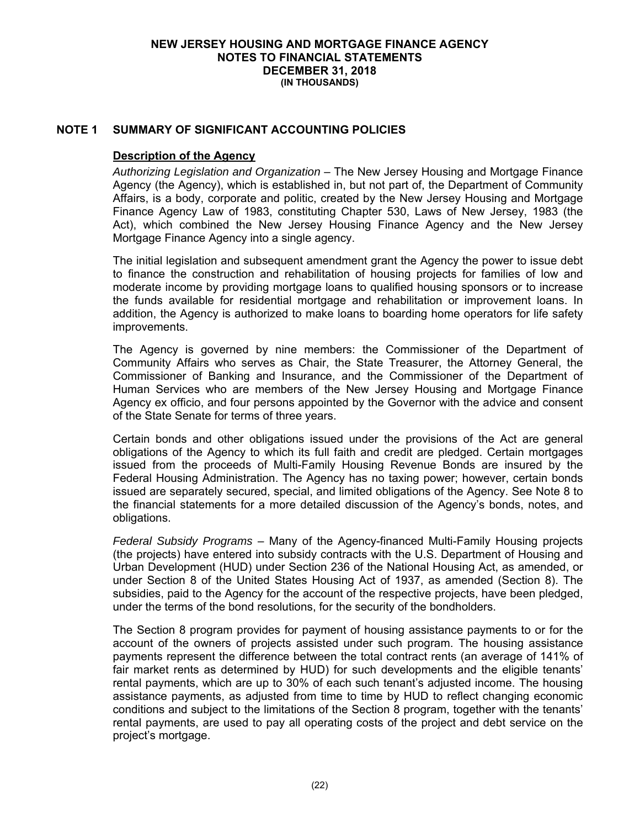## **NOTE 1 SUMMARY OF SIGNIFICANT ACCOUNTING POLICIES**

#### **Description of the Agency**

*Authorizing Legislation and Organization* – The New Jersey Housing and Mortgage Finance Agency (the Agency), which is established in, but not part of, the Department of Community Affairs, is a body, corporate and politic, created by the New Jersey Housing and Mortgage Finance Agency Law of 1983, constituting Chapter 530, Laws of New Jersey, 1983 (the Act), which combined the New Jersey Housing Finance Agency and the New Jersey Mortgage Finance Agency into a single agency.

The initial legislation and subsequent amendment grant the Agency the power to issue debt to finance the construction and rehabilitation of housing projects for families of low and moderate income by providing mortgage loans to qualified housing sponsors or to increase the funds available for residential mortgage and rehabilitation or improvement loans. In addition, the Agency is authorized to make loans to boarding home operators for life safety improvements.

The Agency is governed by nine members: the Commissioner of the Department of Community Affairs who serves as Chair, the State Treasurer, the Attorney General, the Commissioner of Banking and Insurance, and the Commissioner of the Department of Human Services who are members of the New Jersey Housing and Mortgage Finance Agency ex officio, and four persons appointed by the Governor with the advice and consent of the State Senate for terms of three years.

Certain bonds and other obligations issued under the provisions of the Act are general obligations of the Agency to which its full faith and credit are pledged. Certain mortgages issued from the proceeds of Multi-Family Housing Revenue Bonds are insured by the Federal Housing Administration. The Agency has no taxing power; however, certain bonds issued are separately secured, special, and limited obligations of the Agency. See Note 8 to the financial statements for a more detailed discussion of the Agency's bonds, notes, and obligations.

*Federal Subsidy Programs* – Many of the Agency-financed Multi-Family Housing projects (the projects) have entered into subsidy contracts with the U.S. Department of Housing and Urban Development (HUD) under Section 236 of the National Housing Act, as amended, or under Section 8 of the United States Housing Act of 1937, as amended (Section 8). The subsidies, paid to the Agency for the account of the respective projects, have been pledged, under the terms of the bond resolutions, for the security of the bondholders.

The Section 8 program provides for payment of housing assistance payments to or for the account of the owners of projects assisted under such program. The housing assistance payments represent the difference between the total contract rents (an average of 141% of fair market rents as determined by HUD) for such developments and the eligible tenants' rental payments, which are up to 30% of each such tenant's adjusted income. The housing assistance payments, as adjusted from time to time by HUD to reflect changing economic conditions and subject to the limitations of the Section 8 program, together with the tenants' rental payments, are used to pay all operating costs of the project and debt service on the project's mortgage.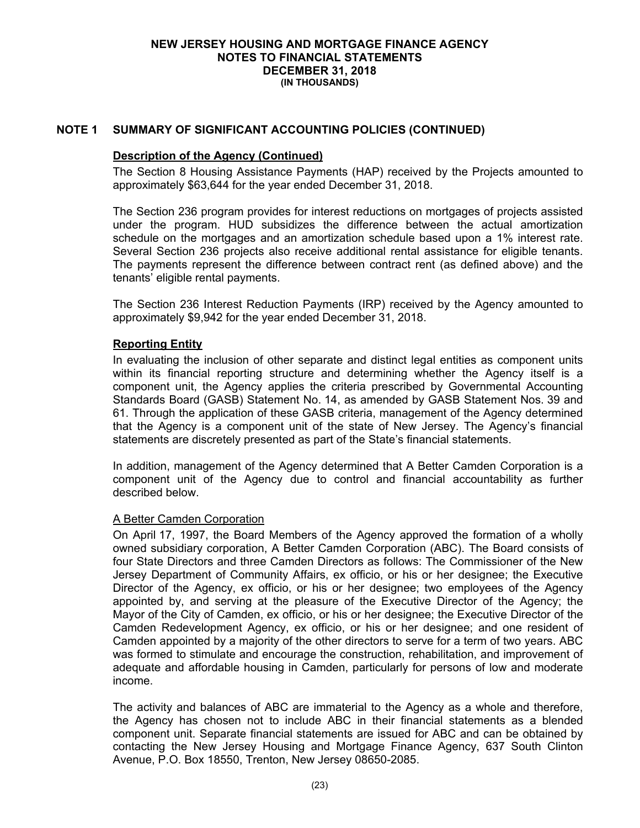## **NOTE 1 SUMMARY OF SIGNIFICANT ACCOUNTING POLICIES (CONTINUED)**

#### **Description of the Agency (Continued)**

The Section 8 Housing Assistance Payments (HAP) received by the Projects amounted to approximately \$63,644 for the year ended December 31, 2018.

The Section 236 program provides for interest reductions on mortgages of projects assisted under the program. HUD subsidizes the difference between the actual amortization schedule on the mortgages and an amortization schedule based upon a 1% interest rate. Several Section 236 projects also receive additional rental assistance for eligible tenants. The payments represent the difference between contract rent (as defined above) and the tenants' eligible rental payments.

The Section 236 Interest Reduction Payments (IRP) received by the Agency amounted to approximately \$9,942 for the year ended December 31, 2018.

## **Reporting Entity**

In evaluating the inclusion of other separate and distinct legal entities as component units within its financial reporting structure and determining whether the Agency itself is a component unit, the Agency applies the criteria prescribed by Governmental Accounting Standards Board (GASB) Statement No. 14, as amended by GASB Statement Nos. 39 and 61. Through the application of these GASB criteria, management of the Agency determined that the Agency is a component unit of the state of New Jersey. The Agency's financial statements are discretely presented as part of the State's financial statements.

In addition, management of the Agency determined that A Better Camden Corporation is a component unit of the Agency due to control and financial accountability as further described below.

## A Better Camden Corporation

On April 17, 1997, the Board Members of the Agency approved the formation of a wholly owned subsidiary corporation, A Better Camden Corporation (ABC). The Board consists of four State Directors and three Camden Directors as follows: The Commissioner of the New Jersey Department of Community Affairs, ex officio, or his or her designee; the Executive Director of the Agency, ex officio, or his or her designee; two employees of the Agency appointed by, and serving at the pleasure of the Executive Director of the Agency; the Mayor of the City of Camden, ex officio, or his or her designee; the Executive Director of the Camden Redevelopment Agency, ex officio, or his or her designee; and one resident of Camden appointed by a majority of the other directors to serve for a term of two years. ABC was formed to stimulate and encourage the construction, rehabilitation, and improvement of adequate and affordable housing in Camden, particularly for persons of low and moderate income.

The activity and balances of ABC are immaterial to the Agency as a whole and therefore, the Agency has chosen not to include ABC in their financial statements as a blended component unit. Separate financial statements are issued for ABC and can be obtained by contacting the New Jersey Housing and Mortgage Finance Agency, 637 South Clinton Avenue, P.O. Box 18550, Trenton, New Jersey 08650-2085.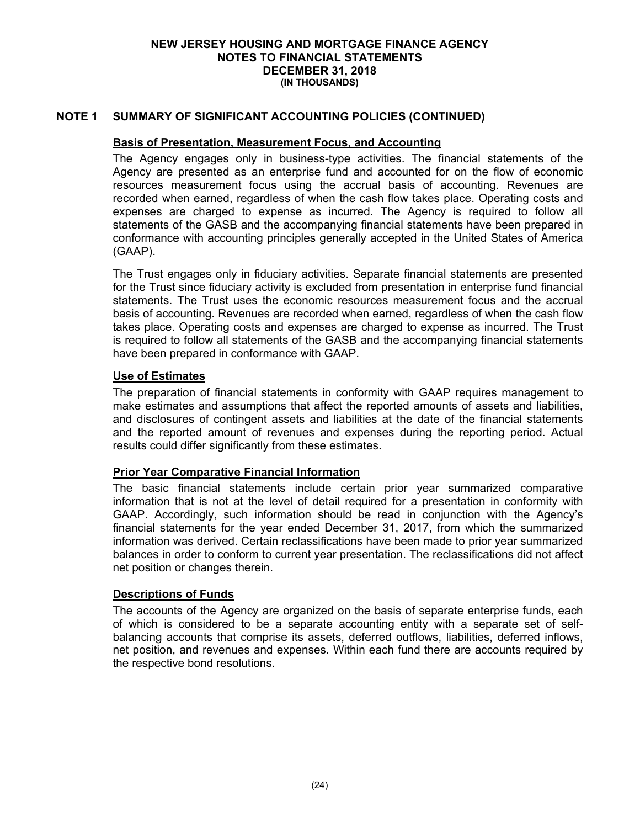## **NOTE 1 SUMMARY OF SIGNIFICANT ACCOUNTING POLICIES (CONTINUED)**

## **Basis of Presentation, Measurement Focus, and Accounting**

The Agency engages only in business-type activities. The financial statements of the Agency are presented as an enterprise fund and accounted for on the flow of economic resources measurement focus using the accrual basis of accounting. Revenues are recorded when earned, regardless of when the cash flow takes place. Operating costs and expenses are charged to expense as incurred. The Agency is required to follow all statements of the GASB and the accompanying financial statements have been prepared in conformance with accounting principles generally accepted in the United States of America (GAAP).

The Trust engages only in fiduciary activities. Separate financial statements are presented for the Trust since fiduciary activity is excluded from presentation in enterprise fund financial statements. The Trust uses the economic resources measurement focus and the accrual basis of accounting. Revenues are recorded when earned, regardless of when the cash flow takes place. Operating costs and expenses are charged to expense as incurred. The Trust is required to follow all statements of the GASB and the accompanying financial statements have been prepared in conformance with GAAP.

## **Use of Estimates**

The preparation of financial statements in conformity with GAAP requires management to make estimates and assumptions that affect the reported amounts of assets and liabilities, and disclosures of contingent assets and liabilities at the date of the financial statements and the reported amount of revenues and expenses during the reporting period. Actual results could differ significantly from these estimates.

## **Prior Year Comparative Financial Information**

The basic financial statements include certain prior year summarized comparative information that is not at the level of detail required for a presentation in conformity with GAAP. Accordingly, such information should be read in conjunction with the Agency's financial statements for the year ended December 31, 2017, from which the summarized information was derived. Certain reclassifications have been made to prior year summarized balances in order to conform to current year presentation. The reclassifications did not affect net position or changes therein.

## **Descriptions of Funds**

The accounts of the Agency are organized on the basis of separate enterprise funds, each of which is considered to be a separate accounting entity with a separate set of selfbalancing accounts that comprise its assets, deferred outflows, liabilities, deferred inflows, net position, and revenues and expenses. Within each fund there are accounts required by the respective bond resolutions.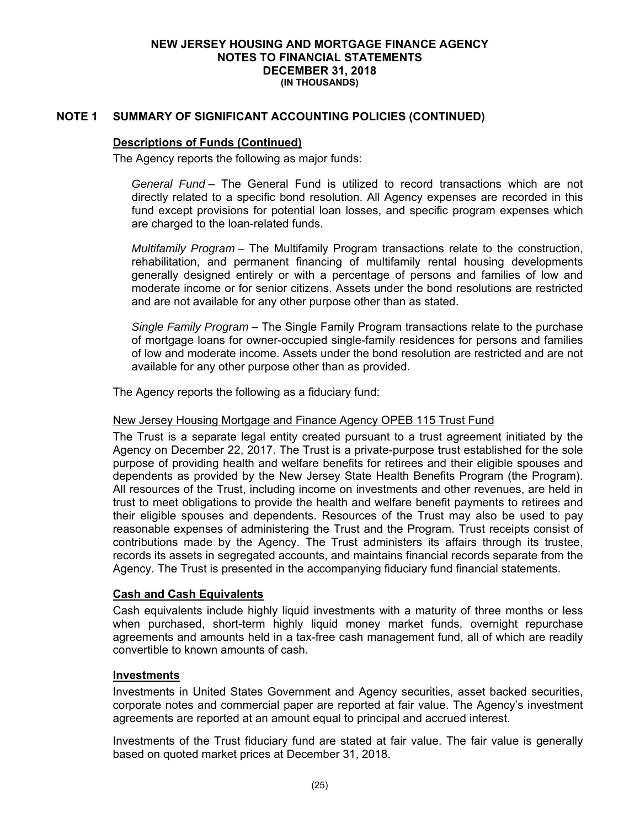## **NOTE 1 SUMMARY OF SIGNIFICANT ACCOUNTING POLICIES (CONTINUED)**

## **Descriptions of Funds (Continued)**

The Agency reports the following as major funds:

*General Fund* – The General Fund is utilized to record transactions which are not directly related to a specific bond resolution. All Agency expenses are recorded in this fund except provisions for potential loan losses, and specific program expenses which are charged to the loan-related funds.

*Multifamily Program* – The Multifamily Program transactions relate to the construction, rehabilitation, and permanent financing of multifamily rental housing developments generally designed entirely or with a percentage of persons and families of low and moderate income or for senior citizens. Assets under the bond resolutions are restricted and are not available for any other purpose other than as stated.

*Single Family Program* – The Single Family Program transactions relate to the purchase of mortgage loans for owner-occupied single-family residences for persons and families of low and moderate income. Assets under the bond resolution are restricted and are not available for any other purpose other than as provided.

The Agency reports the following as a fiduciary fund:

## New Jersey Housing Mortgage and Finance Agency OPEB 115 Trust Fund

The Trust is a separate legal entity created pursuant to a trust agreement initiated by the Agency on December 22, 2017. The Trust is a private-purpose trust established for the sole purpose of providing health and welfare benefits for retirees and their eligible spouses and dependents as provided by the New Jersey State Health Benefits Program (the Program). All resources of the Trust, including income on investments and other revenues, are held in trust to meet obligations to provide the health and welfare benefit payments to retirees and their eligible spouses and dependents. Resources of the Trust may also be used to pay reasonable expenses of administering the Trust and the Program. Trust receipts consist of contributions made by the Agency. The Trust administers its affairs through its trustee, records its assets in segregated accounts, and maintains financial records separate from the Agency. The Trust is presented in the accompanying fiduciary fund financial statements.

## **Cash and Cash Equivalents**

Cash equivalents include highly liquid investments with a maturity of three months or less when purchased, short-term highly liquid money market funds, overnight repurchase agreements and amounts held in a tax-free cash management fund, all of which are readily convertible to known amounts of cash.

## **Investments**

Investments in United States Government and Agency securities, asset backed securities, corporate notes and commercial paper are reported at fair value. The Agency's investment agreements are reported at an amount equal to principal and accrued interest.

Investments of the Trust fiduciary fund are stated at fair value. The fair value is generally based on quoted market prices at December 31, 2018.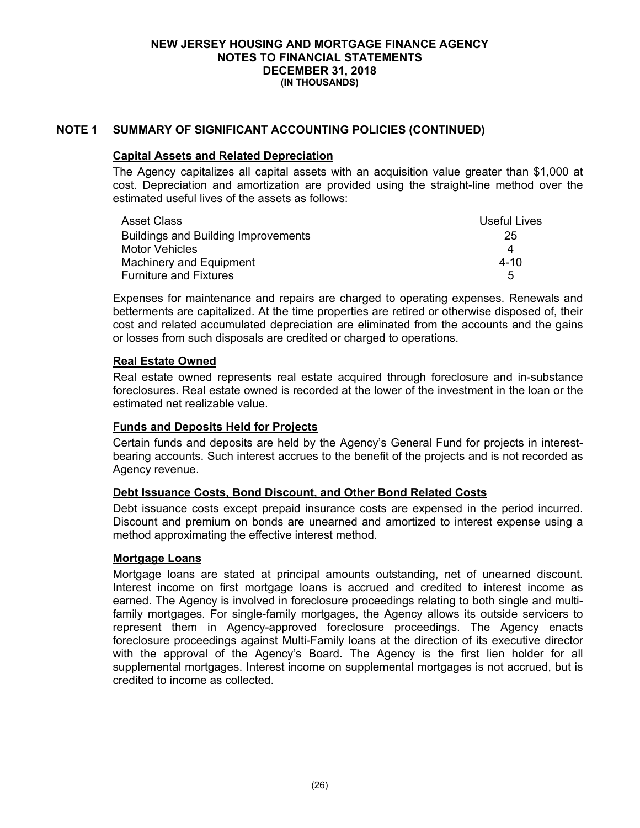## **NOTE 1 SUMMARY OF SIGNIFICANT ACCOUNTING POLICIES (CONTINUED)**

### **Capital Assets and Related Depreciation**

The Agency capitalizes all capital assets with an acquisition value greater than \$1,000 at cost. Depreciation and amortization are provided using the straight-line method over the estimated useful lives of the assets as follows:

| <b>Asset Class</b>                         | Useful Lives |
|--------------------------------------------|--------------|
| <b>Buildings and Building Improvements</b> | 25           |
| Motor Vehicles                             |              |
| Machinery and Equipment                    | $4 - 10$     |
| <b>Furniture and Fixtures</b>              | 5            |

Expenses for maintenance and repairs are charged to operating expenses. Renewals and betterments are capitalized. At the time properties are retired or otherwise disposed of, their cost and related accumulated depreciation are eliminated from the accounts and the gains or losses from such disposals are credited or charged to operations.

## **Real Estate Owned**

Real estate owned represents real estate acquired through foreclosure and in-substance foreclosures. Real estate owned is recorded at the lower of the investment in the loan or the estimated net realizable value.

## **Funds and Deposits Held for Projects**

Certain funds and deposits are held by the Agency's General Fund for projects in interestbearing accounts. Such interest accrues to the benefit of the projects and is not recorded as Agency revenue.

## **Debt Issuance Costs, Bond Discount, and Other Bond Related Costs**

Debt issuance costs except prepaid insurance costs are expensed in the period incurred. Discount and premium on bonds are unearned and amortized to interest expense using a method approximating the effective interest method.

## **Mortgage Loans**

Mortgage loans are stated at principal amounts outstanding, net of unearned discount. Interest income on first mortgage loans is accrued and credited to interest income as earned. The Agency is involved in foreclosure proceedings relating to both single and multifamily mortgages. For single-family mortgages, the Agency allows its outside servicers to represent them in Agency-approved foreclosure proceedings. The Agency enacts foreclosure proceedings against Multi-Family loans at the direction of its executive director with the approval of the Agency's Board. The Agency is the first lien holder for all supplemental mortgages. Interest income on supplemental mortgages is not accrued, but is credited to income as collected.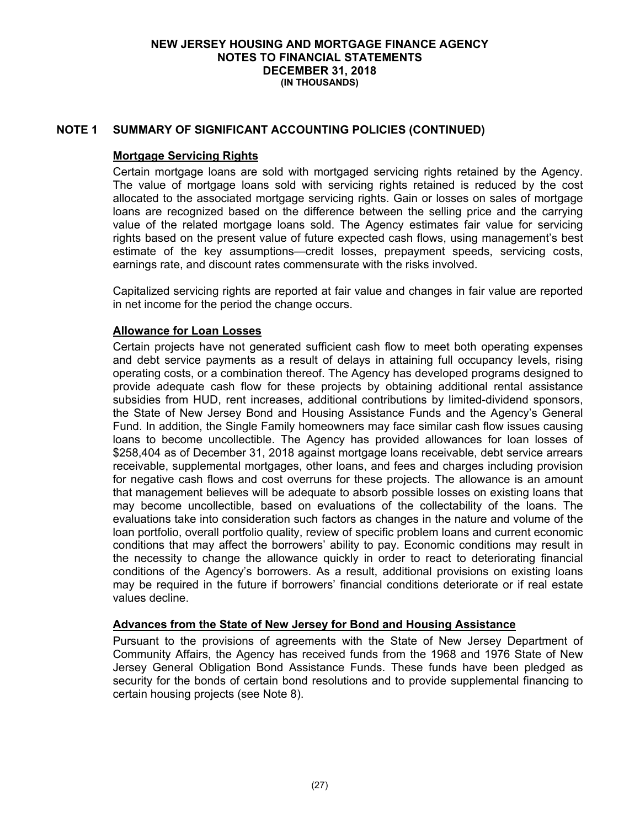## **NOTE 1 SUMMARY OF SIGNIFICANT ACCOUNTING POLICIES (CONTINUED)**

## **Mortgage Servicing Rights**

Certain mortgage loans are sold with mortgaged servicing rights retained by the Agency. The value of mortgage loans sold with servicing rights retained is reduced by the cost allocated to the associated mortgage servicing rights. Gain or losses on sales of mortgage loans are recognized based on the difference between the selling price and the carrying value of the related mortgage loans sold. The Agency estimates fair value for servicing rights based on the present value of future expected cash flows, using management's best estimate of the key assumptions—credit losses, prepayment speeds, servicing costs, earnings rate, and discount rates commensurate with the risks involved.

Capitalized servicing rights are reported at fair value and changes in fair value are reported in net income for the period the change occurs.

## **Allowance for Loan Losses**

Certain projects have not generated sufficient cash flow to meet both operating expenses and debt service payments as a result of delays in attaining full occupancy levels, rising operating costs, or a combination thereof. The Agency has developed programs designed to provide adequate cash flow for these projects by obtaining additional rental assistance subsidies from HUD, rent increases, additional contributions by limited-dividend sponsors, the State of New Jersey Bond and Housing Assistance Funds and the Agency's General Fund. In addition, the Single Family homeowners may face similar cash flow issues causing loans to become uncollectible. The Agency has provided allowances for loan losses of \$258,404 as of December 31, 2018 against mortgage loans receivable, debt service arrears receivable, supplemental mortgages, other loans, and fees and charges including provision for negative cash flows and cost overruns for these projects. The allowance is an amount that management believes will be adequate to absorb possible losses on existing loans that may become uncollectible, based on evaluations of the collectability of the loans. The evaluations take into consideration such factors as changes in the nature and volume of the loan portfolio, overall portfolio quality, review of specific problem loans and current economic conditions that may affect the borrowers' ability to pay. Economic conditions may result in the necessity to change the allowance quickly in order to react to deteriorating financial conditions of the Agency's borrowers. As a result, additional provisions on existing loans may be required in the future if borrowers' financial conditions deteriorate or if real estate values decline.

## **Advances from the State of New Jersey for Bond and Housing Assistance**

Pursuant to the provisions of agreements with the State of New Jersey Department of Community Affairs, the Agency has received funds from the 1968 and 1976 State of New Jersey General Obligation Bond Assistance Funds. These funds have been pledged as security for the bonds of certain bond resolutions and to provide supplemental financing to certain housing projects (see Note 8).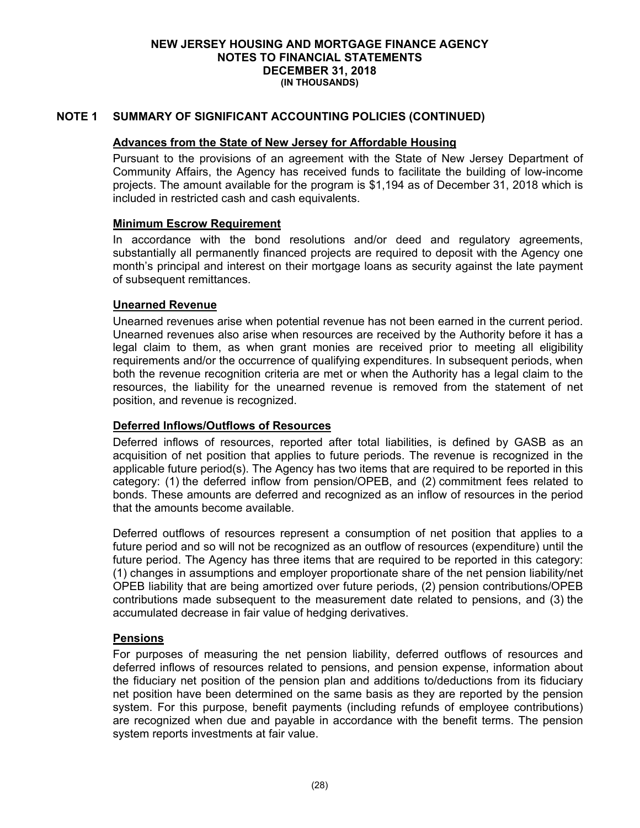## **NOTE 1 SUMMARY OF SIGNIFICANT ACCOUNTING POLICIES (CONTINUED)**

## **Advances from the State of New Jersey for Affordable Housing**

Pursuant to the provisions of an agreement with the State of New Jersey Department of Community Affairs, the Agency has received funds to facilitate the building of low-income projects. The amount available for the program is \$1,194 as of December 31, 2018 which is included in restricted cash and cash equivalents.

## **Minimum Escrow Requirement**

In accordance with the bond resolutions and/or deed and regulatory agreements, substantially all permanently financed projects are required to deposit with the Agency one month's principal and interest on their mortgage loans as security against the late payment of subsequent remittances.

## **Unearned Revenue**

Unearned revenues arise when potential revenue has not been earned in the current period. Unearned revenues also arise when resources are received by the Authority before it has a legal claim to them, as when grant monies are received prior to meeting all eligibility requirements and/or the occurrence of qualifying expenditures. In subsequent periods, when both the revenue recognition criteria are met or when the Authority has a legal claim to the resources, the liability for the unearned revenue is removed from the statement of net position, and revenue is recognized.

## **Deferred Inflows/Outflows of Resources**

Deferred inflows of resources, reported after total liabilities, is defined by GASB as an acquisition of net position that applies to future periods. The revenue is recognized in the applicable future period(s). The Agency has two items that are required to be reported in this category: (1) the deferred inflow from pension/OPEB, and (2) commitment fees related to bonds. These amounts are deferred and recognized as an inflow of resources in the period that the amounts become available.

Deferred outflows of resources represent a consumption of net position that applies to a future period and so will not be recognized as an outflow of resources (expenditure) until the future period. The Agency has three items that are required to be reported in this category: (1) changes in assumptions and employer proportionate share of the net pension liability/net OPEB liability that are being amortized over future periods, (2) pension contributions/OPEB contributions made subsequent to the measurement date related to pensions, and (3) the accumulated decrease in fair value of hedging derivatives.

## **Pensions**

For purposes of measuring the net pension liability, deferred outflows of resources and deferred inflows of resources related to pensions, and pension expense, information about the fiduciary net position of the pension plan and additions to/deductions from its fiduciary net position have been determined on the same basis as they are reported by the pension system. For this purpose, benefit payments (including refunds of employee contributions) are recognized when due and payable in accordance with the benefit terms. The pension system reports investments at fair value.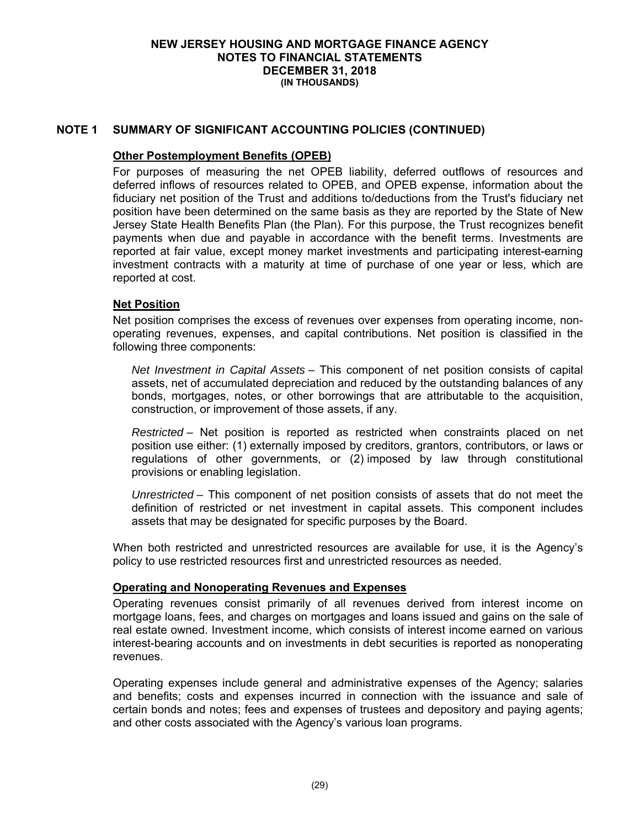## **NOTE 1 SUMMARY OF SIGNIFICANT ACCOUNTING POLICIES (CONTINUED)**

## **Other Postemployment Benefits (OPEB)**

For purposes of measuring the net OPEB liability, deferred outflows of resources and deferred inflows of resources related to OPEB, and OPEB expense, information about the fiduciary net position of the Trust and additions to/deductions from the Trust's fiduciary net position have been determined on the same basis as they are reported by the State of New Jersey State Health Benefits Plan (the Plan). For this purpose, the Trust recognizes benefit payments when due and payable in accordance with the benefit terms. Investments are reported at fair value, except money market investments and participating interest-earning investment contracts with a maturity at time of purchase of one year or less, which are reported at cost.

## **Net Position**

Net position comprises the excess of revenues over expenses from operating income, nonoperating revenues, expenses, and capital contributions. Net position is classified in the following three components:

*Net Investment in Capital Assets* – This component of net position consists of capital assets, net of accumulated depreciation and reduced by the outstanding balances of any bonds, mortgages, notes, or other borrowings that are attributable to the acquisition, construction, or improvement of those assets, if any.

*Restricted* – Net position is reported as restricted when constraints placed on net position use either: (1) externally imposed by creditors, grantors, contributors, or laws or regulations of other governments, or (2) imposed by law through constitutional provisions or enabling legislation.

*Unrestricted* – This component of net position consists of assets that do not meet the definition of restricted or net investment in capital assets. This component includes assets that may be designated for specific purposes by the Board.

When both restricted and unrestricted resources are available for use, it is the Agency's policy to use restricted resources first and unrestricted resources as needed.

## **Operating and Nonoperating Revenues and Expenses**

Operating revenues consist primarily of all revenues derived from interest income on mortgage loans, fees, and charges on mortgages and loans issued and gains on the sale of real estate owned. Investment income, which consists of interest income earned on various interest-bearing accounts and on investments in debt securities is reported as nonoperating revenues.

Operating expenses include general and administrative expenses of the Agency; salaries and benefits; costs and expenses incurred in connection with the issuance and sale of certain bonds and notes; fees and expenses of trustees and depository and paying agents; and other costs associated with the Agency's various loan programs.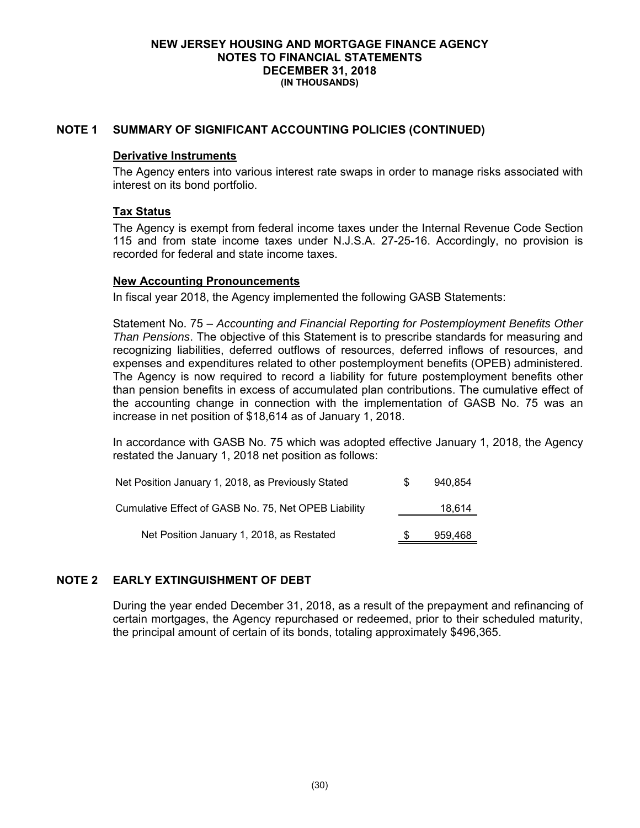## **NOTE 1 SUMMARY OF SIGNIFICANT ACCOUNTING POLICIES (CONTINUED)**

#### **Derivative Instruments**

The Agency enters into various interest rate swaps in order to manage risks associated with interest on its bond portfolio.

## **Tax Status**

The Agency is exempt from federal income taxes under the Internal Revenue Code Section 115 and from state income taxes under N.J.S.A. 27-25-16. Accordingly, no provision is recorded for federal and state income taxes.

## **New Accounting Pronouncements**

In fiscal year 2018, the Agency implemented the following GASB Statements:

Statement No. 75 – *Accounting and Financial Reporting for Postemployment Benefits Other Than Pensions*. The objective of this Statement is to prescribe standards for measuring and recognizing liabilities, deferred outflows of resources, deferred inflows of resources, and expenses and expenditures related to other postemployment benefits (OPEB) administered. The Agency is now required to record a liability for future postemployment benefits other than pension benefits in excess of accumulated plan contributions. The cumulative effect of the accounting change in connection with the implementation of GASB No. 75 was an increase in net position of \$18,614 as of January 1, 2018.

In accordance with GASB No. 75 which was adopted effective January 1, 2018, the Agency restated the January 1, 2018 net position as follows:

| Net Position January 1, 2018, as Previously Stated   | SS. | 940.854 |
|------------------------------------------------------|-----|---------|
| Cumulative Effect of GASB No. 75, Net OPEB Liability |     | 18,614  |
| Net Position January 1, 2018, as Restated            |     | 959,468 |

## **NOTE 2 EARLY EXTINGUISHMENT OF DEBT**

During the year ended December 31, 2018, as a result of the prepayment and refinancing of certain mortgages, the Agency repurchased or redeemed, prior to their scheduled maturity, the principal amount of certain of its bonds, totaling approximately \$496,365.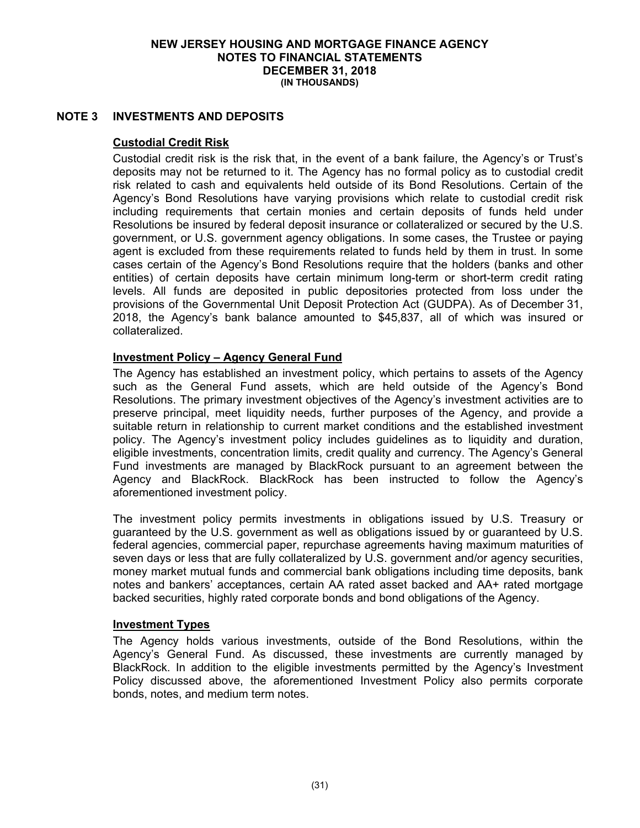## **NOTE 3 INVESTMENTS AND DEPOSITS**

## **Custodial Credit Risk**

Custodial credit risk is the risk that, in the event of a bank failure, the Agency's or Trust's deposits may not be returned to it. The Agency has no formal policy as to custodial credit risk related to cash and equivalents held outside of its Bond Resolutions. Certain of the Agency's Bond Resolutions have varying provisions which relate to custodial credit risk including requirements that certain monies and certain deposits of funds held under Resolutions be insured by federal deposit insurance or collateralized or secured by the U.S. government, or U.S. government agency obligations. In some cases, the Trustee or paying agent is excluded from these requirements related to funds held by them in trust. In some cases certain of the Agency's Bond Resolutions require that the holders (banks and other entities) of certain deposits have certain minimum long-term or short-term credit rating levels. All funds are deposited in public depositories protected from loss under the provisions of the Governmental Unit Deposit Protection Act (GUDPA). As of December 31, 2018, the Agency's bank balance amounted to \$45,837, all of which was insured or collateralized.

## **Investment Policy – Agency General Fund**

The Agency has established an investment policy, which pertains to assets of the Agency such as the General Fund assets, which are held outside of the Agency's Bond Resolutions. The primary investment objectives of the Agency's investment activities are to preserve principal, meet liquidity needs, further purposes of the Agency, and provide a suitable return in relationship to current market conditions and the established investment policy. The Agency's investment policy includes guidelines as to liquidity and duration, eligible investments, concentration limits, credit quality and currency. The Agency's General Fund investments are managed by BlackRock pursuant to an agreement between the Agency and BlackRock. BlackRock has been instructed to follow the Agency's aforementioned investment policy.

The investment policy permits investments in obligations issued by U.S. Treasury or guaranteed by the U.S. government as well as obligations issued by or guaranteed by U.S. federal agencies, commercial paper, repurchase agreements having maximum maturities of seven days or less that are fully collateralized by U.S. government and/or agency securities, money market mutual funds and commercial bank obligations including time deposits, bank notes and bankers' acceptances, certain AA rated asset backed and AA+ rated mortgage backed securities, highly rated corporate bonds and bond obligations of the Agency.

## **Investment Types**

The Agency holds various investments, outside of the Bond Resolutions, within the Agency's General Fund. As discussed, these investments are currently managed by BlackRock. In addition to the eligible investments permitted by the Agency's Investment Policy discussed above, the aforementioned Investment Policy also permits corporate bonds, notes, and medium term notes.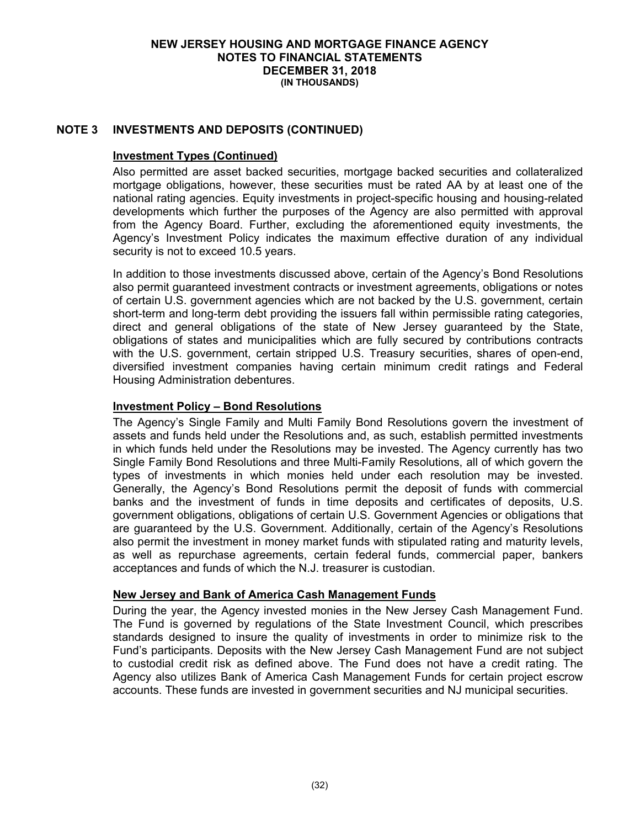## **NOTE 3 INVESTMENTS AND DEPOSITS (CONTINUED)**

## **Investment Types (Continued)**

Also permitted are asset backed securities, mortgage backed securities and collateralized mortgage obligations, however, these securities must be rated AA by at least one of the national rating agencies. Equity investments in project-specific housing and housing-related developments which further the purposes of the Agency are also permitted with approval from the Agency Board. Further, excluding the aforementioned equity investments, the Agency's Investment Policy indicates the maximum effective duration of any individual security is not to exceed 10.5 years.

In addition to those investments discussed above, certain of the Agency's Bond Resolutions also permit guaranteed investment contracts or investment agreements, obligations or notes of certain U.S. government agencies which are not backed by the U.S. government, certain short-term and long-term debt providing the issuers fall within permissible rating categories, direct and general obligations of the state of New Jersey guaranteed by the State, obligations of states and municipalities which are fully secured by contributions contracts with the U.S. government, certain stripped U.S. Treasury securities, shares of open-end, diversified investment companies having certain minimum credit ratings and Federal Housing Administration debentures.

## **Investment Policy – Bond Resolutions**

The Agency's Single Family and Multi Family Bond Resolutions govern the investment of assets and funds held under the Resolutions and, as such, establish permitted investments in which funds held under the Resolutions may be invested. The Agency currently has two Single Family Bond Resolutions and three Multi-Family Resolutions, all of which govern the types of investments in which monies held under each resolution may be invested. Generally, the Agency's Bond Resolutions permit the deposit of funds with commercial banks and the investment of funds in time deposits and certificates of deposits, U.S. government obligations, obligations of certain U.S. Government Agencies or obligations that are guaranteed by the U.S. Government. Additionally, certain of the Agency's Resolutions also permit the investment in money market funds with stipulated rating and maturity levels, as well as repurchase agreements, certain federal funds, commercial paper, bankers acceptances and funds of which the N.J. treasurer is custodian.

## **New Jersey and Bank of America Cash Management Funds**

During the year, the Agency invested monies in the New Jersey Cash Management Fund. The Fund is governed by regulations of the State Investment Council, which prescribes standards designed to insure the quality of investments in order to minimize risk to the Fund's participants. Deposits with the New Jersey Cash Management Fund are not subject to custodial credit risk as defined above. The Fund does not have a credit rating. The Agency also utilizes Bank of America Cash Management Funds for certain project escrow accounts. These funds are invested in government securities and NJ municipal securities.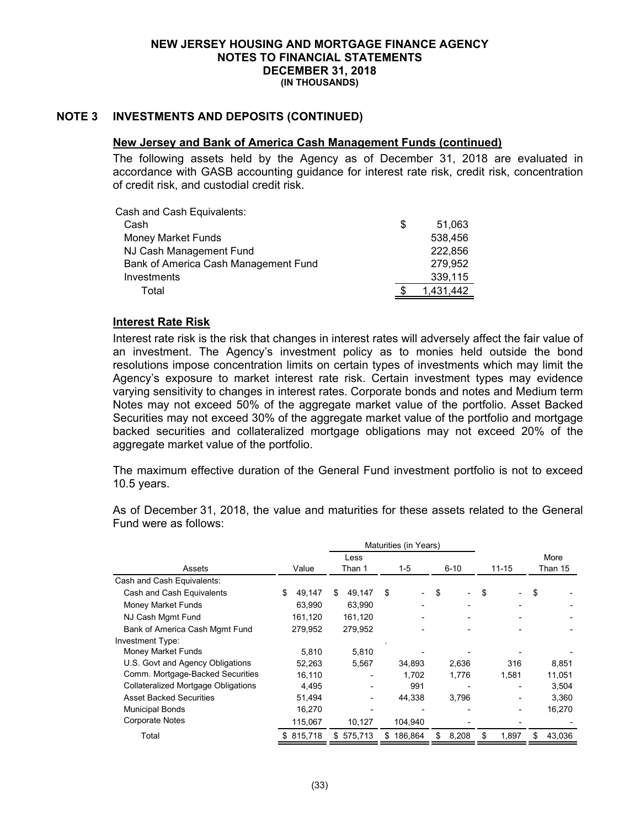## **NOTE 3 INVESTMENTS AND DEPOSITS (CONTINUED)**

#### **New Jersey and Bank of America Cash Management Funds (continued)**

The following assets held by the Agency as of December 31, 2018 are evaluated in accordance with GASB accounting guidance for interest rate risk, credit risk, concentration of credit risk, and custodial credit risk.

| Cash and Cash Equivalents:           |   |           |
|--------------------------------------|---|-----------|
| Cash                                 | S | 51.063    |
| Money Market Funds                   |   | 538,456   |
| NJ Cash Management Fund              |   | 222,856   |
| Bank of America Cash Management Fund |   | 279,952   |
| Investments                          |   | 339,115   |
| Total                                |   | 1.431.442 |
|                                      |   |           |

## **Interest Rate Risk**

Interest rate risk is the risk that changes in interest rates will adversely affect the fair value of an investment. The Agency's investment policy as to monies held outside the bond resolutions impose concentration limits on certain types of investments which may limit the Agency's exposure to market interest rate risk. Certain investment types may evidence varying sensitivity to changes in interest rates. Corporate bonds and notes and Medium term Notes may not exceed 50% of the aggregate market value of the portfolio. Asset Backed Securities may not exceed 30% of the aggregate market value of the portfolio and mortgage backed securities and collateralized mortgage obligations may not exceed 20% of the aggregate market value of the portfolio.

The maximum effective duration of the General Fund investment portfolio is not to exceed 10.5 years.

As of December 31, 2018, the value and maturities for these assets related to the General Fund were as follows:

|                                            | Maturities (in Years) |         |    |                 |    |         |          |                          |           |       |         |        |
|--------------------------------------------|-----------------------|---------|----|-----------------|----|---------|----------|--------------------------|-----------|-------|---------|--------|
|                                            |                       |         |    | Less            |    |         |          |                          |           |       |         | More   |
| Assets                                     |                       | Value   |    | Than 1<br>$1-5$ |    |         | $6 - 10$ |                          | $11 - 15$ |       | Than 15 |        |
| Cash and Cash Equivalents:                 |                       |         |    |                 |    |         |          |                          |           |       |         |        |
| Cash and Cash Equivalents                  |                       | 49,147  | \$ | 49,147          | \$ |         | \$       | $\overline{\phantom{0}}$ | \$        |       | \$      |        |
| Money Market Funds                         |                       | 63,990  |    | 63,990          |    |         |          |                          |           |       |         |        |
| NJ Cash Mgmt Fund                          |                       | 161,120 |    | 161,120         |    |         |          |                          |           |       |         |        |
| Bank of America Cash Mgmt Fund             |                       | 279.952 |    | 279.952         |    |         |          |                          |           |       |         |        |
| Investment Type:                           |                       |         |    |                 |    |         |          |                          |           |       |         |        |
| Money Market Funds                         |                       | 5.810   |    | 5.810           |    |         |          |                          |           |       |         |        |
| U.S. Govt and Agency Obligations           |                       | 52,263  |    | 5,567           |    | 34,893  |          | 2,636                    |           | 316   |         | 8,851  |
| Comm. Mortgage-Backed Securities           |                       | 16,110  |    |                 |    | 1,702   |          | 1,776                    |           | 1,581 |         | 11,051 |
| <b>Collateralized Mortgage Obligations</b> |                       | 4,495   |    |                 |    | 991     |          |                          |           |       |         | 3,504  |
| <b>Asset Backed Securities</b>             |                       | 51.494  |    |                 |    | 44,338  |          | 3,796                    |           |       |         | 3.360  |
| <b>Municipal Bonds</b>                     |                       | 16,270  |    |                 |    |         |          |                          |           |       |         | 16,270 |
| <b>Corporate Notes</b>                     |                       | 115,067 |    | 10,127          |    | 104,940 |          |                          |           |       |         |        |
| Total                                      | S.                    | 815,718 | S. | 575,713         | S  | 186.864 | \$.      | 8,208                    | \$        | 1.897 | S.      | 43.036 |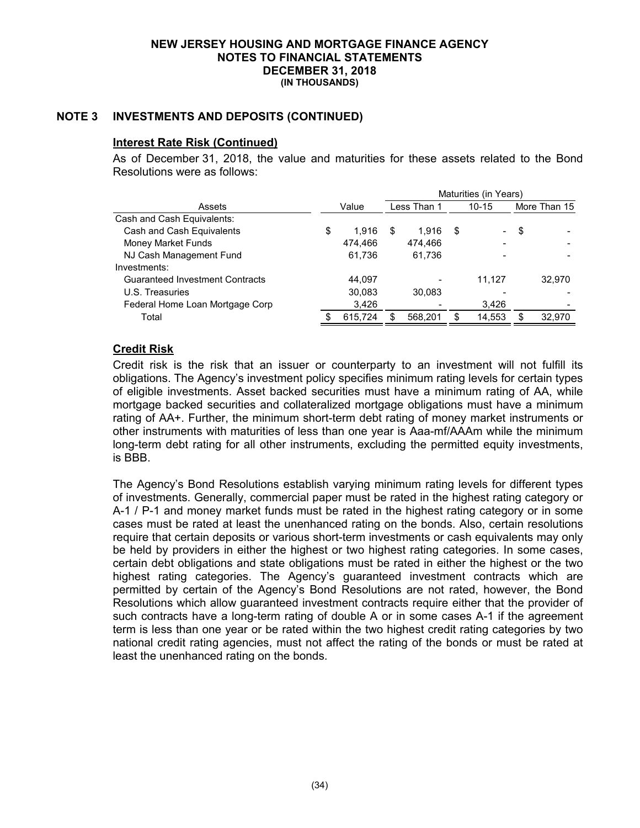# **NOTE 3 INVESTMENTS AND DEPOSITS (CONTINUED)**

## **Interest Rate Risk (Continued)**

As of December 31, 2018, the value and maturities for these assets related to the Bond Resolutions were as follows:

|                                        |             | Maturities (in Years)    |         |   |                          |      |              |  |
|----------------------------------------|-------------|--------------------------|---------|---|--------------------------|------|--------------|--|
| Assets                                 | Value       | Less Than 1<br>$10 - 15$ |         |   |                          |      | More Than 15 |  |
| Cash and Cash Equivalents:             |             |                          |         |   |                          |      |              |  |
| Cash and Cash Equivalents              | \$<br>1.916 | S                        | 1.916   | S | $\overline{\phantom{a}}$ | - \$ |              |  |
| Money Market Funds                     | 474.466     |                          | 474.466 |   |                          |      |              |  |
| NJ Cash Management Fund                | 61,736      |                          | 61,736  |   |                          |      |              |  |
| Investments:                           |             |                          |         |   |                          |      |              |  |
| <b>Guaranteed Investment Contracts</b> | 44.097      |                          |         |   | 11.127                   |      | 32.970       |  |
| U.S. Treasuries                        | 30,083      |                          | 30.083  |   |                          |      |              |  |
| Federal Home Loan Mortgage Corp        | 3.426       |                          |         |   | 3,426                    |      |              |  |
| Total                                  | 615,724     |                          | 568,201 |   | 14,553                   | S    | 32,970       |  |

## **Credit Risk**

Credit risk is the risk that an issuer or counterparty to an investment will not fulfill its obligations. The Agency's investment policy specifies minimum rating levels for certain types of eligible investments. Asset backed securities must have a minimum rating of AA, while mortgage backed securities and collateralized mortgage obligations must have a minimum rating of AA+. Further, the minimum short-term debt rating of money market instruments or other instruments with maturities of less than one year is Aaa-mf/AAAm while the minimum long-term debt rating for all other instruments, excluding the permitted equity investments, is BBB.

The Agency's Bond Resolutions establish varying minimum rating levels for different types of investments. Generally, commercial paper must be rated in the highest rating category or A-1 / P-1 and money market funds must be rated in the highest rating category or in some cases must be rated at least the unenhanced rating on the bonds. Also, certain resolutions require that certain deposits or various short-term investments or cash equivalents may only be held by providers in either the highest or two highest rating categories. In some cases, certain debt obligations and state obligations must be rated in either the highest or the two highest rating categories. The Agency's guaranteed investment contracts which are permitted by certain of the Agency's Bond Resolutions are not rated, however, the Bond Resolutions which allow guaranteed investment contracts require either that the provider of such contracts have a long-term rating of double A or in some cases A-1 if the agreement term is less than one year or be rated within the two highest credit rating categories by two national credit rating agencies, must not affect the rating of the bonds or must be rated at least the unenhanced rating on the bonds.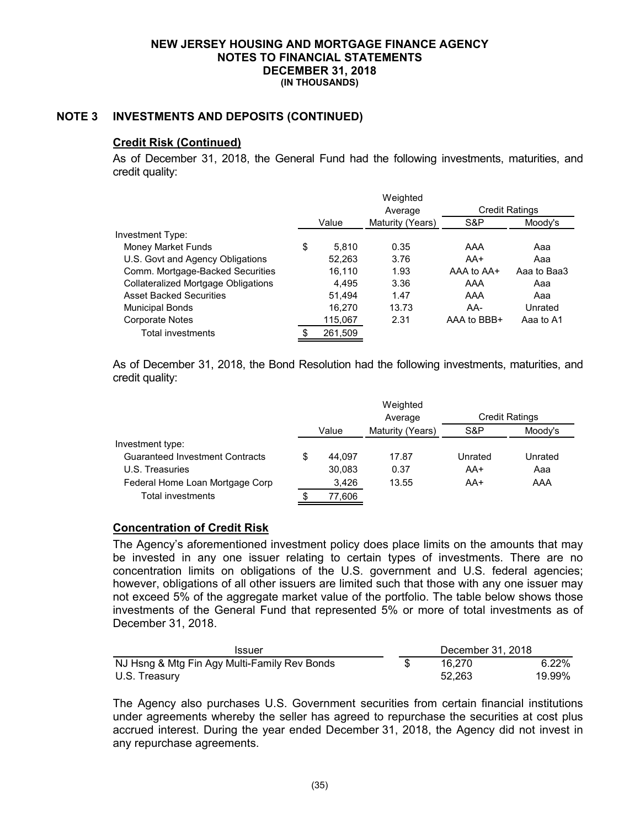## **NOTE 3 INVESTMENTS AND DEPOSITS (CONTINUED)**

#### **Credit Risk (Continued)**

As of December 31, 2018, the General Fund had the following investments, maturities, and credit quality:

|                                            |             | Weighted         |                       |             |
|--------------------------------------------|-------------|------------------|-----------------------|-------------|
|                                            |             | Average          | <b>Credit Ratings</b> |             |
|                                            | Value       | Maturity (Years) | S&P                   | Moody's     |
| Investment Type:                           |             |                  |                       |             |
| Money Market Funds                         | \$<br>5.810 | 0.35             | AAA                   | Aaa         |
| U.S. Govt and Agency Obligations           | 52.263      | 3.76             | AA+                   | Aaa         |
| Comm. Mortgage-Backed Securities           | 16.110      | 1.93             | AAA to AA+            | Aaa to Baa3 |
| <b>Collateralized Mortgage Obligations</b> | 4.495       | 3.36             | AAA                   | Aaa         |
| <b>Asset Backed Securities</b>             | 51.494      | 1.47             | AAA                   | Aaa         |
| <b>Municipal Bonds</b>                     | 16.270      | 13.73            | AA-                   | Unrated     |
| <b>Corporate Notes</b>                     | 115,067     | 2.31             | AAA to BBB+           | Aaa to A1   |
| Total investments                          | 261,509     |                  |                       |             |

As of December 31, 2018, the Bond Resolution had the following investments, maturities, and credit quality:

|                                        |    |        | Weighted         |         |                       |
|----------------------------------------|----|--------|------------------|---------|-----------------------|
|                                        |    |        | Average          |         | <b>Credit Ratings</b> |
|                                        |    | Value  | Maturity (Years) | S&P     | Moody's               |
| Investment type:                       |    |        |                  |         |                       |
| <b>Guaranteed Investment Contracts</b> | S. | 44.097 | 17.87            | Unrated | Unrated               |
| U.S. Treasuries                        |    | 30.083 | 0.37             | AA+     | Aaa                   |
| Federal Home Loan Mortgage Corp        |    | 3,426  | 13.55            | AA+     | AAA                   |
| <b>Total investments</b>               |    | 77,606 |                  |         |                       |

### **Concentration of Credit Risk**

The Agency's aforementioned investment policy does place limits on the amounts that may be invested in any one issuer relating to certain types of investments. There are no concentration limits on obligations of the U.S. government and U.S. federal agencies; however, obligations of all other issuers are limited such that those with any one issuer may not exceed 5% of the aggregate market value of the portfolio. The table below shows those investments of the General Fund that represented 5% or more of total investments as of December 31, 2018.

| <b>Issuer</b>                                |  | December 31, 2018 |          |
|----------------------------------------------|--|-------------------|----------|
| NJ Hsng & Mtg Fin Agy Multi-Family Rev Bonds |  | 16.270            | $6.22\%$ |
| U.S. Treasury                                |  | 52.263            | 19.99%   |

The Agency also purchases U.S. Government securities from certain financial institutions under agreements whereby the seller has agreed to repurchase the securities at cost plus accrued interest. During the year ended December 31, 2018, the Agency did not invest in any repurchase agreements.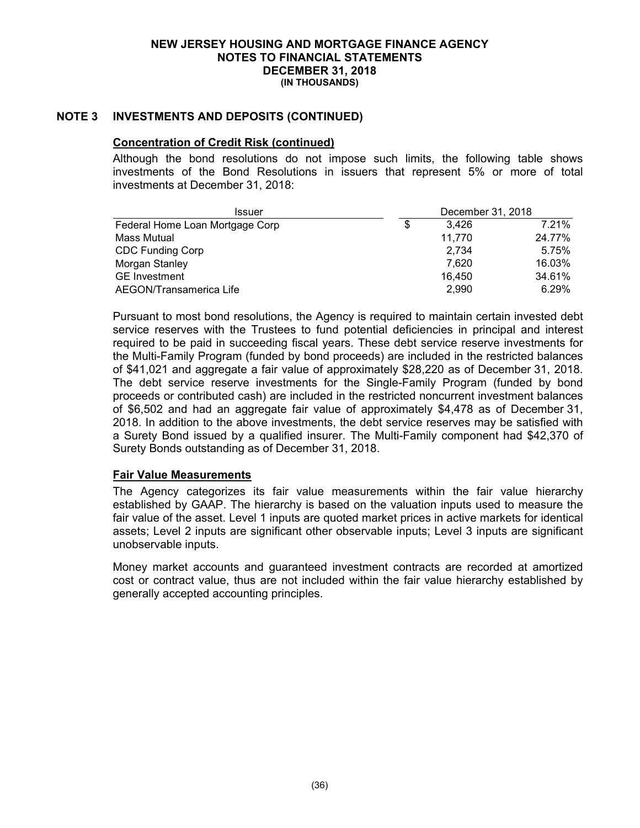### **NOTE 3 INVESTMENTS AND DEPOSITS (CONTINUED)**

### **Concentration of Credit Risk (continued)**

Although the bond resolutions do not impose such limits, the following table shows investments of the Bond Resolutions in issuers that represent 5% or more of total investments at December 31, 2018:

| December 31, 2018<br><b>Issuer</b> |   |        |        |
|------------------------------------|---|--------|--------|
| Federal Home Loan Mortgage Corp    | S | 3.426  | 7.21%  |
| Mass Mutual                        |   | 11,770 | 24.77% |
| <b>CDC Funding Corp</b>            |   | 2.734  | 5.75%  |
| Morgan Stanley                     |   | 7.620  | 16.03% |
| <b>GE</b> Investment               |   | 16.450 | 34.61% |
| AEGON/Transamerica Life            |   | 2,990  | 6.29%  |

Pursuant to most bond resolutions, the Agency is required to maintain certain invested debt service reserves with the Trustees to fund potential deficiencies in principal and interest required to be paid in succeeding fiscal years. These debt service reserve investments for the Multi-Family Program (funded by bond proceeds) are included in the restricted balances of \$41,021 and aggregate a fair value of approximately \$28,220 as of December 31, 2018. The debt service reserve investments for the Single-Family Program (funded by bond proceeds or contributed cash) are included in the restricted noncurrent investment balances of \$6,502 and had an aggregate fair value of approximately \$4,478 as of December 31, 2018. In addition to the above investments, the debt service reserves may be satisfied with a Surety Bond issued by a qualified insurer. The Multi-Family component had \$42,370 of Surety Bonds outstanding as of December 31, 2018.

### **Fair Value Measurements**

The Agency categorizes its fair value measurements within the fair value hierarchy established by GAAP. The hierarchy is based on the valuation inputs used to measure the fair value of the asset. Level 1 inputs are quoted market prices in active markets for identical assets; Level 2 inputs are significant other observable inputs; Level 3 inputs are significant unobservable inputs.

Money market accounts and guaranteed investment contracts are recorded at amortized cost or contract value, thus are not included within the fair value hierarchy established by generally accepted accounting principles.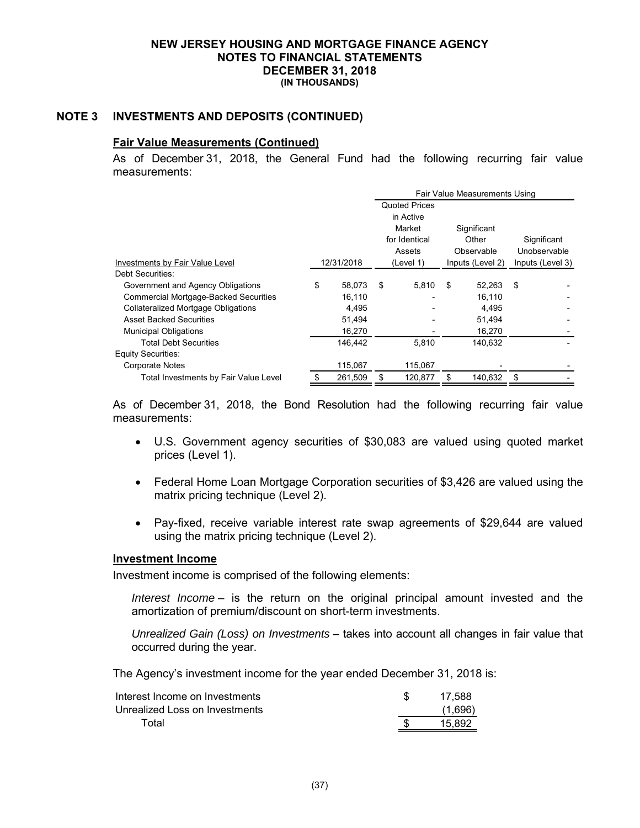### **NOTE 3 INVESTMENTS AND DEPOSITS (CONTINUED)**

### **Fair Value Measurements (Continued)**

As of December 31, 2018, the General Fund had the following recurring fair value measurements:

|                                              |    |            | Fair Value Measurements Using |                      |    |                  |    |                  |
|----------------------------------------------|----|------------|-------------------------------|----------------------|----|------------------|----|------------------|
|                                              |    |            |                               | <b>Quoted Prices</b> |    |                  |    |                  |
|                                              |    |            |                               | in Active            |    |                  |    |                  |
|                                              |    |            |                               | Market               |    | Significant      |    |                  |
|                                              |    |            |                               | for Identical        |    | Other            |    | Significant      |
|                                              |    |            |                               | Assets               |    | Observable       |    | Unobservable     |
| Investments by Fair Value Level              |    | 12/31/2018 |                               | (Level 1)            |    | Inputs (Level 2) |    | Inputs (Level 3) |
| Debt Securities:                             |    |            |                               |                      |    |                  |    |                  |
| Government and Agency Obligations            | \$ | 58,073     | \$                            | 5,810                | \$ | 52,263           | \$ |                  |
| <b>Commercial Mortgage-Backed Securities</b> |    | 16.110     |                               |                      |    | 16.110           |    |                  |
| <b>Collateralized Mortgage Obligations</b>   |    | 4,495      |                               |                      |    | 4,495            |    |                  |
| <b>Asset Backed Securities</b>               |    | 51,494     |                               |                      |    | 51,494           |    |                  |
| <b>Municipal Obligations</b>                 |    | 16,270     |                               |                      |    | 16,270           |    |                  |
| <b>Total Debt Securities</b>                 |    | 146,442    |                               | 5.810                |    | 140,632          |    |                  |
| <b>Equity Securities:</b>                    |    |            |                               |                      |    |                  |    |                  |
| Corporate Notes                              |    | 115,067    |                               | 115,067              |    |                  |    |                  |
| Total Investments by Fair Value Level        | S  | 261.509    |                               | 120.877              | \$ | 140.632          | \$ |                  |

As of December 31, 2018, the Bond Resolution had the following recurring fair value measurements:

- U.S. Government agency securities of \$30,083 are valued using quoted market prices (Level 1).
- Federal Home Loan Mortgage Corporation securities of \$3,426 are valued using the matrix pricing technique (Level 2).
- Pay-fixed, receive variable interest rate swap agreements of \$29,644 are valued using the matrix pricing technique (Level 2).

### **Investment Income**

Investment income is comprised of the following elements:

*Interest Income* – is the return on the original principal amount invested and the amortization of premium/discount on short-term investments.

*Unrealized Gain (Loss) on Investments* – takes into account all changes in fair value that occurred during the year.

The Agency's investment income for the year ended December 31, 2018 is:

| Interest Income on Investments | 17.588  |
|--------------------------------|---------|
| Unrealized Loss on Investments | (1,696) |
| Total                          | 15.892  |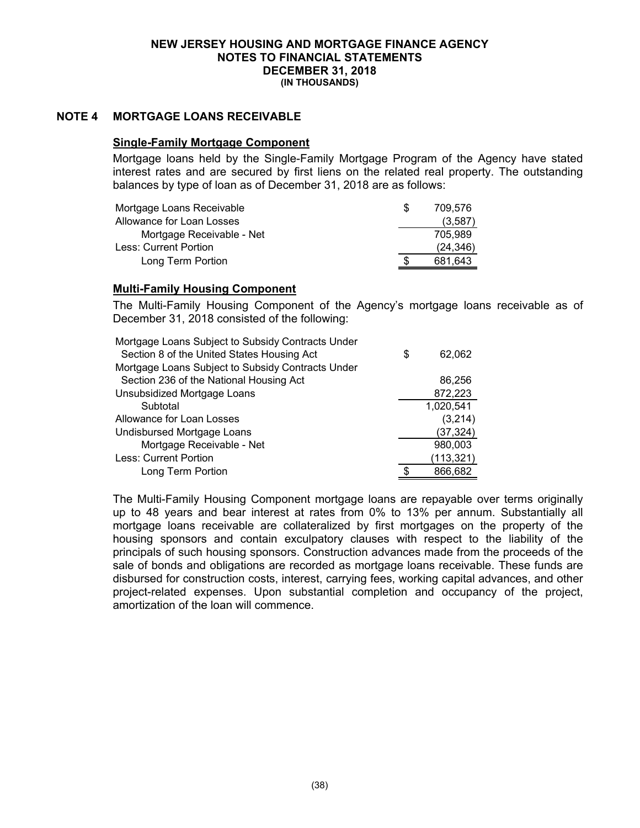### **NOTE 4 MORTGAGE LOANS RECEIVABLE**

### **Single-Family Mortgage Component**

Mortgage loans held by the Single-Family Mortgage Program of the Agency have stated interest rates and are secured by first liens on the related real property. The outstanding balances by type of loan as of December 31, 2018 are as follows:

| Mortgage Loans Receivable | 709.576   |
|---------------------------|-----------|
| Allowance for Loan Losses | (3,587)   |
| Mortgage Receivable - Net | 705.989   |
| Less: Current Portion     | (24, 346) |
| Long Term Portion         | 681.643   |

### **Multi-Family Housing Component**

The Multi-Family Housing Component of the Agency's mortgage loans receivable as of December 31, 2018 consisted of the following:

| Mortgage Loans Subject to Subsidy Contracts Under |   |            |
|---------------------------------------------------|---|------------|
| Section 8 of the United States Housing Act        | S | 62,062     |
| Mortgage Loans Subject to Subsidy Contracts Under |   |            |
| Section 236 of the National Housing Act           |   | 86,256     |
| Unsubsidized Mortgage Loans                       |   | 872,223    |
| Subtotal                                          |   | 1,020,541  |
| Allowance for Loan Losses                         |   | (3,214)    |
| Undisbursed Mortgage Loans                        |   | (37, 324)  |
| Mortgage Receivable - Net                         |   | 980,003    |
| Less: Current Portion                             |   | (113, 321) |
| Long Term Portion                                 |   | 866,682    |

The Multi-Family Housing Component mortgage loans are repayable over terms originally up to 48 years and bear interest at rates from 0% to 13% per annum. Substantially all mortgage loans receivable are collateralized by first mortgages on the property of the housing sponsors and contain exculpatory clauses with respect to the liability of the principals of such housing sponsors. Construction advances made from the proceeds of the sale of bonds and obligations are recorded as mortgage loans receivable. These funds are disbursed for construction costs, interest, carrying fees, working capital advances, and other project-related expenses. Upon substantial completion and occupancy of the project, amortization of the loan will commence.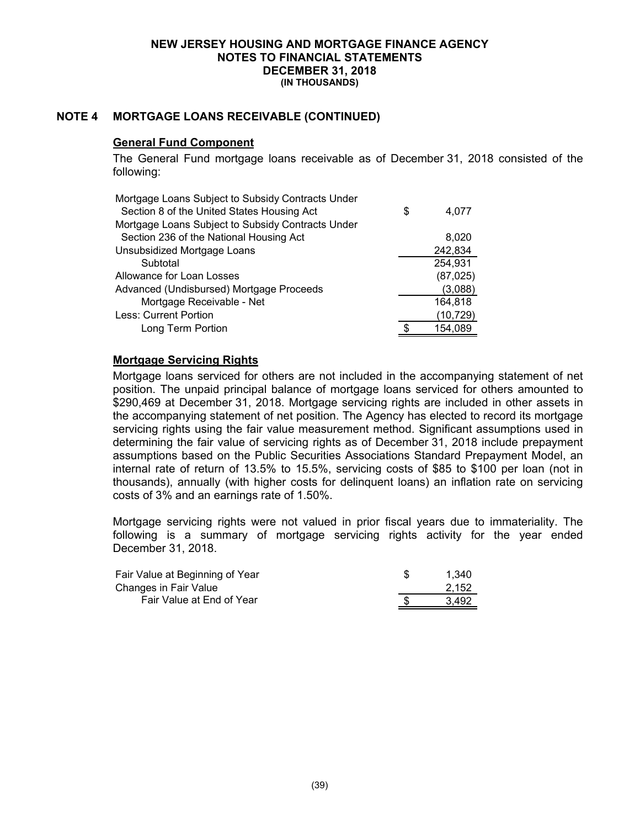## **NOTE 4 MORTGAGE LOANS RECEIVABLE (CONTINUED)**

### **General Fund Component**

The General Fund mortgage loans receivable as of December 31, 2018 consisted of the following:

| Mortgage Loans Subject to Subsidy Contracts Under |   |           |
|---------------------------------------------------|---|-----------|
| Section 8 of the United States Housing Act        | S | 4,077     |
| Mortgage Loans Subject to Subsidy Contracts Under |   |           |
| Section 236 of the National Housing Act           |   | 8,020     |
| Unsubsidized Mortgage Loans                       |   | 242,834   |
| Subtotal                                          |   | 254,931   |
| Allowance for Loan Losses                         |   | (87, 025) |
| Advanced (Undisbursed) Mortgage Proceeds          |   | (3,088)   |
| Mortgage Receivable - Net                         |   | 164,818   |
| Less: Current Portion                             |   | (10, 729) |
| Long Term Portion                                 |   | 154,089   |

## **Mortgage Servicing Rights**

Mortgage loans serviced for others are not included in the accompanying statement of net position. The unpaid principal balance of mortgage loans serviced for others amounted to \$290,469 at December 31, 2018. Mortgage servicing rights are included in other assets in the accompanying statement of net position. The Agency has elected to record its mortgage servicing rights using the fair value measurement method. Significant assumptions used in determining the fair value of servicing rights as of December 31, 2018 include prepayment assumptions based on the Public Securities Associations Standard Prepayment Model, an internal rate of return of 13.5% to 15.5%, servicing costs of \$85 to \$100 per loan (not in thousands), annually (with higher costs for delinquent loans) an inflation rate on servicing costs of 3% and an earnings rate of 1.50%.

Mortgage servicing rights were not valued in prior fiscal years due to immateriality. The following is a summary of mortgage servicing rights activity for the year ended December 31, 2018.

| Fair Value at Beginning of Year | 1.340 |
|---------------------------------|-------|
| Changes in Fair Value           | 2,152 |
| Fair Value at End of Year       | 3.492 |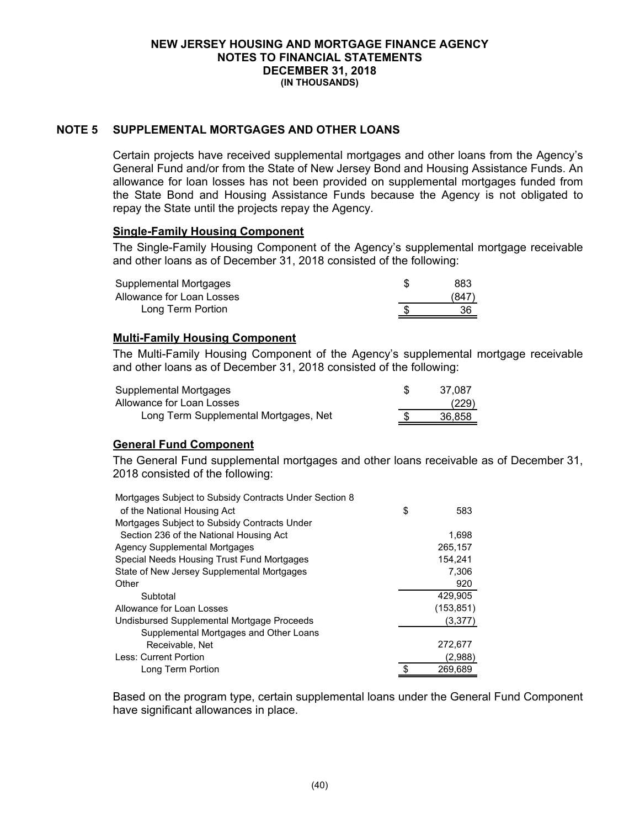### **NOTE 5 SUPPLEMENTAL MORTGAGES AND OTHER LOANS**

Certain projects have received supplemental mortgages and other loans from the Agency's General Fund and/or from the State of New Jersey Bond and Housing Assistance Funds. An allowance for loan losses has not been provided on supplemental mortgages funded from the State Bond and Housing Assistance Funds because the Agency is not obligated to repay the State until the projects repay the Agency.

### **Single-Family Housing Component**

The Single-Family Housing Component of the Agency's supplemental mortgage receivable and other loans as of December 31, 2018 consisted of the following:

| Supplemental Mortgages    | 883  |
|---------------------------|------|
| Allowance for Loan Losses | (847 |
| Long Term Portion         | 36   |

## **Multi-Family Housing Component**

The Multi-Family Housing Component of the Agency's supplemental mortgage receivable and other loans as of December 31, 2018 consisted of the following:

| Supplemental Mortgages                | 37.087 |
|---------------------------------------|--------|
| Allowance for Loan Losses             | (229)  |
| Long Term Supplemental Mortgages, Net | 36.858 |

## **General Fund Component**

The General Fund supplemental mortgages and other loans receivable as of December 31, 2018 consisted of the following:

| Mortgages Subject to Subsidy Contracts Under Section 8 |           |
|--------------------------------------------------------|-----------|
| of the National Housing Act                            | \$<br>583 |
| Mortgages Subject to Subsidy Contracts Under           |           |
| Section 236 of the National Housing Act                | 1,698     |
| <b>Agency Supplemental Mortgages</b>                   | 265,157   |
| Special Needs Housing Trust Fund Mortgages             | 154.241   |
| State of New Jersey Supplemental Mortgages             | 7,306     |
| Other                                                  | 920       |
| Subtotal                                               | 429,905   |
| Allowance for Loan Losses                              | (153,851) |
| Undisbursed Supplemental Mortgage Proceeds             | (3,377)   |
| Supplemental Mortgages and Other Loans                 |           |
| Receivable, Net                                        | 272,677   |
| Less: Current Portion                                  | (2,988)   |
| Long Term Portion                                      | 269,689   |

Based on the program type, certain supplemental loans under the General Fund Component have significant allowances in place.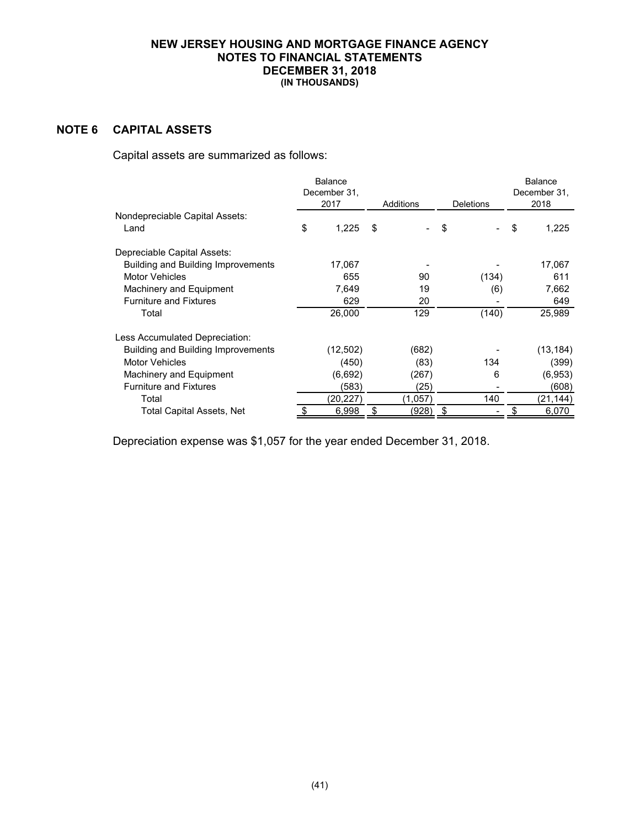# **NOTE 6 CAPITAL ASSETS**

Capital assets are summarized as follows:

|                                    | Balance<br>December 31. |       |           |                  | <b>Balance</b><br>December 31. |
|------------------------------------|-------------------------|-------|-----------|------------------|--------------------------------|
|                                    | 2017                    |       | Additions | <b>Deletions</b> | 2018                           |
| Nondepreciable Capital Assets:     |                         |       |           |                  |                                |
| Land                               | 1,225<br>\$             | \$    |           | \$               | \$<br>1,225                    |
| Depreciable Capital Assets:        |                         |       |           |                  |                                |
| Building and Building Improvements | 17,067                  |       |           |                  | 17,067                         |
| <b>Motor Vehicles</b>              |                         | 655   | 90        | (134)            | 611                            |
| Machinery and Equipment            | 7,649                   |       | 19        | (6)              | 7,662                          |
| <b>Furniture and Fixtures</b>      |                         | 629   | 20        |                  | 649                            |
| Total                              | 26,000                  |       | 129       | (140)            | 25,989                         |
| Less Accumulated Depreciation:     |                         |       |           |                  |                                |
| Building and Building Improvements | (12,502)                |       | (682)     |                  | (13, 184)                      |
| <b>Motor Vehicles</b>              |                         | (450) | (83)      | 134              | (399)                          |
| Machinery and Equipment            | (6,692)                 |       | (267)     | 6                | (6,953)                        |
| <b>Furniture and Fixtures</b>      |                         | (583) | (25)      |                  | (608)                          |
| Total                              | (20,227)                |       | (1,057)   | 140              | (21,144)                       |
| Total Capital Assets, Net          | 6,998                   | \$    | (928)     | \$               | 6,070                          |

Depreciation expense was \$1,057 for the year ended December 31, 2018.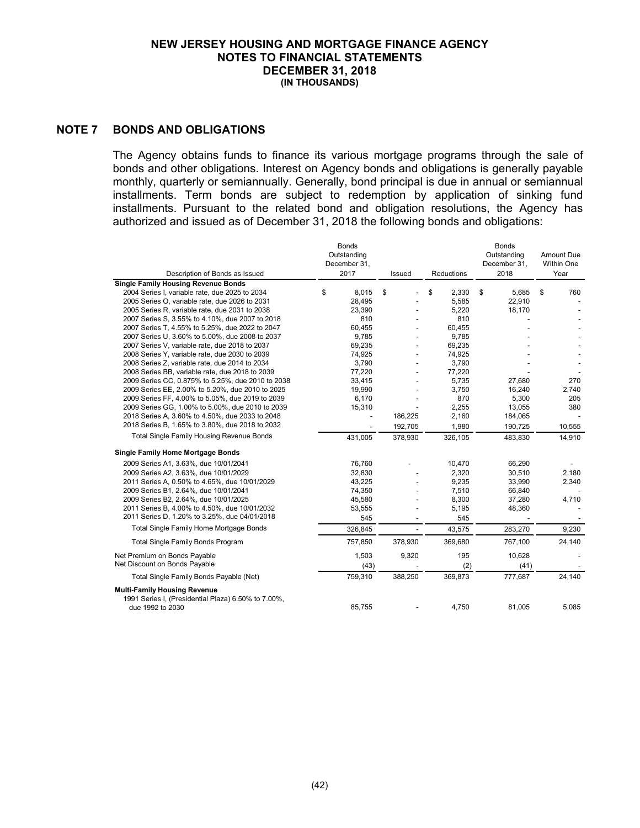### **NOTE 7 BONDS AND OBLIGATIONS**

The Agency obtains funds to finance its various mortgage programs through the sale of bonds and other obligations. Interest on Agency bonds and obligations is generally payable monthly, quarterly or semiannually. Generally, bond principal is due in annual or semiannual installments. Term bonds are subject to redemption by application of sinking fund installments. Pursuant to the related bond and obligation resolutions, the Agency has authorized and issued as of December 31, 2018 the following bonds and obligations:

| Description of Bonds as Issued                      | Bonds<br>Outstanding<br>December 31,<br>2017 | Issued         | Reductions  | <b>Bonds</b><br>Outstanding<br>December 31,<br>2018 | Amount Due<br>Within One<br>Year |
|-----------------------------------------------------|----------------------------------------------|----------------|-------------|-----------------------------------------------------|----------------------------------|
| <b>Single Family Housing Revenue Bonds</b>          |                                              |                |             |                                                     |                                  |
| 2004 Series I, variable rate, due 2025 to 2034      | 8,015<br>\$                                  | \$             | \$<br>2,330 | \$<br>5,685                                         | \$<br>760                        |
| 2005 Series O, variable rate, due 2026 to 2031      | 28,495                                       |                | 5,585       | 22,910                                              |                                  |
| 2005 Series R, variable rate, due 2031 to 2038      | 23,390                                       |                | 5,220       | 18,170                                              |                                  |
| 2007 Series S, 3.55% to 4.10%, due 2007 to 2018     | 810                                          |                | 810         |                                                     |                                  |
| 2007 Series T, 4.55% to 5.25%, due 2022 to 2047     | 60.455                                       | $\overline{a}$ | 60,455      |                                                     |                                  |
| 2007 Series U, 3.60% to 5.00%, due 2008 to 2037     | 9,785                                        |                | 9,785       |                                                     |                                  |
| 2007 Series V, variable rate, due 2018 to 2037      | 69,235                                       |                | 69,235      |                                                     |                                  |
| 2008 Series Y, variable rate, due 2030 to 2039      | 74,925                                       |                | 74,925      |                                                     |                                  |
| 2008 Series Z, variable rate, due 2014 to 2034      | 3,790                                        |                | 3,790       |                                                     |                                  |
| 2008 Series BB, variable rate, due 2018 to 2039     | 77,220                                       |                | 77,220      |                                                     |                                  |
| 2009 Series CC, 0.875% to 5.25%, due 2010 to 2038   | 33,415                                       |                | 5,735       | 27,680                                              | 270                              |
| 2009 Series EE, 2.00% to 5.20%, due 2010 to 2025    | 19,990                                       |                | 3,750       | 16,240                                              | 2.740                            |
| 2009 Series FF, 4.00% to 5.05%, due 2019 to 2039    | 6,170                                        |                | 870         | 5,300                                               | 205                              |
| 2009 Series GG, 1.00% to 5.00%, due 2010 to 2039    | 15,310                                       |                | 2,255       | 13,055                                              | 380                              |
| 2018 Series A, 3.60% to 4.50%, due 2033 to 2048     |                                              | 186,225        | 2,160       | 184,065                                             |                                  |
| 2018 Series B, 1.65% to 3.80%, due 2018 to 2032     |                                              | 192,705        | 1,980       | 190,725                                             | 10,555                           |
| <b>Total Single Family Housing Revenue Bonds</b>    | 431,005                                      | 378,930        | 326,105     | 483.830                                             | 14,910                           |
| <b>Single Family Home Mortgage Bonds</b>            |                                              |                |             |                                                     |                                  |
| 2009 Series A1, 3.63%, due 10/01/2041               | 76,760                                       |                | 10,470      | 66,290                                              |                                  |
| 2009 Series A2, 3.63%, due 10/01/2029               | 32,830                                       |                | 2,320       | 30,510                                              | 2,180                            |
| 2011 Series A, 0.50% to 4.65%, due 10/01/2029       | 43,225                                       |                | 9,235       | 33,990                                              | 2,340                            |
| 2009 Series B1, 2.64%, due 10/01/2041               | 74,350                                       |                | 7,510       | 66,840                                              |                                  |
| 2009 Series B2, 2.64%, due 10/01/2025               | 45,580                                       |                | 8,300       | 37,280                                              | 4,710                            |
| 2011 Series B, 4.00% to 4.50%, due 10/01/2032       | 53,555                                       |                | 5,195       | 48,360                                              |                                  |
| 2011 Series D, 1.20% to 3.25%, due 04/01/2018       | 545                                          |                | 545         |                                                     |                                  |
| Total Single Family Home Mortgage Bonds             | 326,845                                      | $\overline{a}$ | 43,575      | 283,270                                             | 9,230                            |
| <b>Total Single Family Bonds Program</b>            | 757,850                                      | 378,930        | 369,680     | 767,100                                             | 24,140                           |
| Net Premium on Bonds Payable                        | 1,503                                        | 9,320          | 195         | 10,628                                              |                                  |
| Net Discount on Bonds Payable                       | (43)                                         |                | (2)         | (41)                                                |                                  |
| Total Single Family Bonds Payable (Net)             | 759,310                                      | 388,250        | 369,873     | 777,687                                             | 24,140                           |
| <b>Multi-Family Housing Revenue</b>                 |                                              |                |             |                                                     |                                  |
| 1991 Series I, (Presidential Plaza) 6.50% to 7.00%, |                                              |                |             |                                                     |                                  |
| due 1992 to 2030                                    | 85,755                                       |                | 4,750       | 81,005                                              | 5,085                            |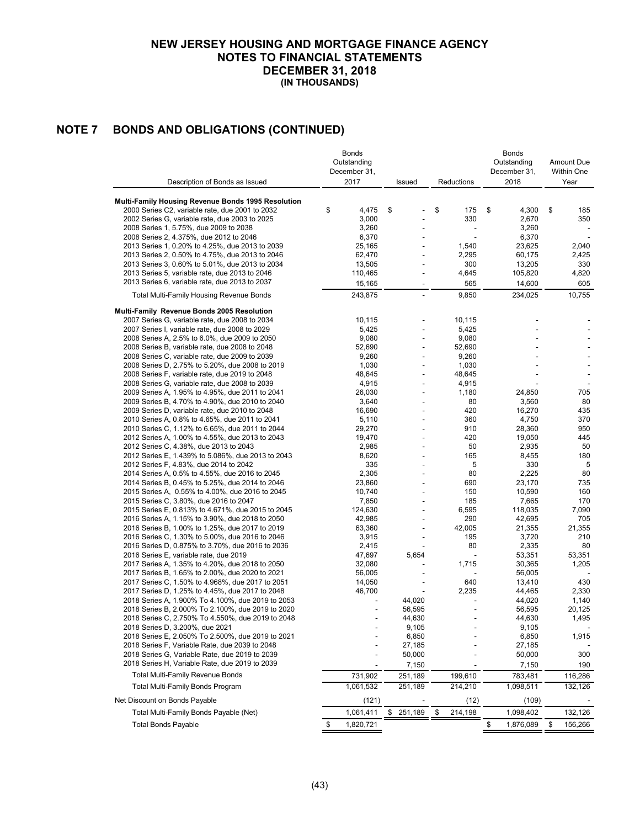# **NOTE 7 BONDS AND OBLIGATIONS (CONTINUED)**

|                                                                                                   | Bonds<br>Outstanding |                |               | <b>Bonds</b><br>Outstanding | Amount Due    |
|---------------------------------------------------------------------------------------------------|----------------------|----------------|---------------|-----------------------------|---------------|
|                                                                                                   | December 31,         |                |               | December 31,                | Within One    |
| Description of Bonds as Issued                                                                    | 2017                 | Issued         | Reductions    | 2018                        | Year          |
| Multi-Family Housing Revenue Bonds 1995 Resolution                                                |                      |                |               |                             |               |
| 2000 Series C2, variable rate, due 2001 to 2032                                                   | \$<br>4,475          | \$             | \$<br>175     | \$<br>4,300                 | \$<br>185     |
| 2002 Series G, variable rate, due 2003 to 2025                                                    | 3,000                |                | 330           | 2,670                       | 350           |
| 2008 Series 1, 5.75%, due 2009 to 2038                                                            | 3,260                |                |               | 3,260                       |               |
| 2008 Series 2, 4.375%, due 2012 to 2046                                                           | 6,370                |                |               | 6,370                       |               |
| 2013 Series 1, 0.20% to 4.25%, due 2013 to 2039                                                   | 25,165               |                | 1,540         | 23,625                      | 2,040         |
| 2013 Series 2, 0.50% to 4.75%, due 2013 to 2046                                                   | 62,470               |                | 2,295         | 60,175                      | 2,425         |
| 2013 Series 3, 0.60% to 5.01%, due 2013 to 2034                                                   | 13,505               |                | 300           | 13,205                      | 330           |
| 2013 Series 5, variable rate, due 2013 to 2046                                                    | 110,465              | ÷              | 4,645         | 105,820                     | 4,820         |
| 2013 Series 6, variable rate, due 2013 to 2037                                                    | 15,165               |                | 565           | 14,600                      | 605           |
| <b>Total Multi-Family Housing Revenue Bonds</b>                                                   | 243,875              |                | 9,850         | 234,025                     | 10,755        |
| Multi-Family Revenue Bonds 2005 Resolution                                                        |                      |                |               |                             |               |
| 2007 Series G, variable rate, due 2008 to 2034                                                    | 10,115               |                | 10,115        |                             |               |
| 2007 Series I, variable rate, due 2008 to 2029                                                    | 5,425                |                | 5,425         |                             |               |
| 2008 Series A, 2.5% to 6.0%, due 2009 to 2050                                                     | 9,080                |                | 9,080         |                             |               |
| 2008 Series B, variable rate, due 2008 to 2048                                                    | 52,690               | $\overline{a}$ | 52,690        |                             |               |
| 2008 Series C, variable rate, due 2009 to 2039                                                    | 9.260                |                | 9,260         |                             |               |
| 2008 Series D, 2.75% to 5.20%, due 2008 to 2019                                                   | 1,030                |                | 1,030         |                             |               |
| 2008 Series F, variable rate, due 2019 to 2048                                                    | 48,645               |                | 48,645        |                             |               |
| 2008 Series G, variable rate, due 2008 to 2039                                                    | 4,915                |                | 4,915         |                             |               |
| 2009 Series A, 1.95% to 4.95%, due 2011 to 2041                                                   | 26,030               | ÷,             | 1,180         | 24,850                      | 705           |
| 2009 Series B, 4.70% to 4.90%, due 2010 to 2040                                                   | 3,640                |                | 80            | 3,560                       | 80            |
| 2009 Series D, variable rate, due 2010 to 2048                                                    | 16,690               |                | 420<br>360    | 16,270                      | 435<br>370    |
| 2010 Series A, 0.8% to 4.65%, due 2011 to 2041<br>2010 Series C, 1.12% to 6.65%, due 2011 to 2044 | 5,110<br>29,270      |                | 910           | 4,750<br>28,360             | 950           |
| 2012 Series A, 1.00% to 4.55%, due 2013 to 2043                                                   | 19,470               |                | 420           | 19,050                      | 445           |
| 2012 Series C, 4.38%, due 2013 to 2043                                                            | 2,985                |                | 50            | 2,935                       | 50            |
| 2012 Series E, 1.439% to 5.086%, due 2013 to 2043                                                 | 8,620                |                | 165           | 8,455                       | 180           |
| 2012 Series F, 4.83%, due 2014 to 2042                                                            | 335                  |                | 5             | 330                         | 5             |
| 2014 Series A, 0.5% to 4.55%, due 2016 to 2045                                                    | 2,305                |                | 80            | 2,225                       | 80            |
| 2014 Series B, 0.45% to 5.25%, due 2014 to 2046                                                   | 23,860               |                | 690           | 23,170                      | 735           |
| 2015 Series A, 0.55% to 4.00%, due 2016 to 2045                                                   | 10,740               |                | 150           | 10,590                      | 160           |
| 2015 Series C, 3.80%, due 2016 to 2047                                                            | 7,850                |                | 185           | 7,665                       | 170           |
| 2015 Series E, 0.813% to 4.671%, due 2015 to 2045                                                 | 124,630              |                | 6,595         | 118,035                     | 7,090         |
| 2016 Series A, 1.15% to 3.90%, due 2018 to 2050                                                   | 42,985               |                | 290           | 42,695                      | 705           |
| 2016 Series B, 1.00% to 1.25%, due 2017 to 2019                                                   | 63,360               |                | 42,005        | 21,355                      | 21,355        |
| 2016 Series C, 1.30% to 5.00%, due 2016 to 2046                                                   | 3,915                |                | 195           | 3,720                       | 210           |
| 2016 Series D, 0.875% to 3.70%, due 2016 to 2036                                                  | 2,415                |                | 80            | 2,335                       | 80            |
| 2016 Series E, variable rate, due 2019                                                            | 47,697               | 5,654          |               | 53,351                      | 53,351        |
| 2017 Series A, 1.35% to 4.20%, due 2018 to 2050                                                   | 32,080               |                | 1,715         | 30,365                      | 1,205         |
| 2017 Series B, 1.65% to 2.00%, due 2020 to 2021                                                   | 56,005               |                |               | 56,005                      |               |
| 2017 Series C, 1.50% to 4.968%, due 2017 to 2051                                                  | 14,050               |                | 640           | 13,410                      | 430           |
| 2017 Series D, 1.25% to 4.45%, due 2017 to 2048                                                   | 46,700               |                | 2,235         | 44,465                      | 2,330         |
| 2018 Series A, 1.900% To 4.100%, due 2019 to 2053                                                 |                      | 44,020         |               | 44,020                      | 1,140         |
| 2018 Series B, 2.000% To 2.100%, due 2019 to 2020                                                 |                      | 56,595         |               | 56,595                      | 20,125        |
| 2018 Series C, 2.750% To 4.550%, due 2019 to 2048                                                 |                      | 44,630         |               | 44,630                      | 1,495         |
| 2018 Series D, 3.200%, due 2021                                                                   |                      | 9,105          |               | 9,105                       |               |
| 2018 Series E, 2.050% To 2.500%, due 2019 to 2021                                                 |                      | 6,850          |               | 6,850                       | 1,915         |
| 2018 Series F, Variable Rate, due 2039 to 2048                                                    |                      | 27,185         |               | 27,185                      |               |
| 2018 Series G, Variable Rate, due 2019 to 2039                                                    |                      | 50,000         |               | 50,000                      | 300           |
| 2018 Series H, Variable Rate, due 2019 to 2039                                                    |                      | 7,150          |               | 7,150                       | 190           |
| <b>Total Multi-Family Revenue Bonds</b>                                                           | 731,902              | 251,189        | 199,610       | 783,481                     | 116,286       |
| Total Multi-Family Bonds Program                                                                  | 1,061,532            | 251,189        | 214,210       | 1,098,511                   | 132,126       |
| Net Discount on Bonds Payable                                                                     | (121)                |                | (12)          | (109)                       |               |
| Total Multi-Family Bonds Payable (Net)                                                            | 1,061,411            | \$<br>251,189  | 214,198<br>\$ | 1,098,402                   | 132,126       |
| <b>Total Bonds Payable</b>                                                                        | 1,820,721<br>\$      |                |               | \$<br>1,876,089             | \$<br>156,266 |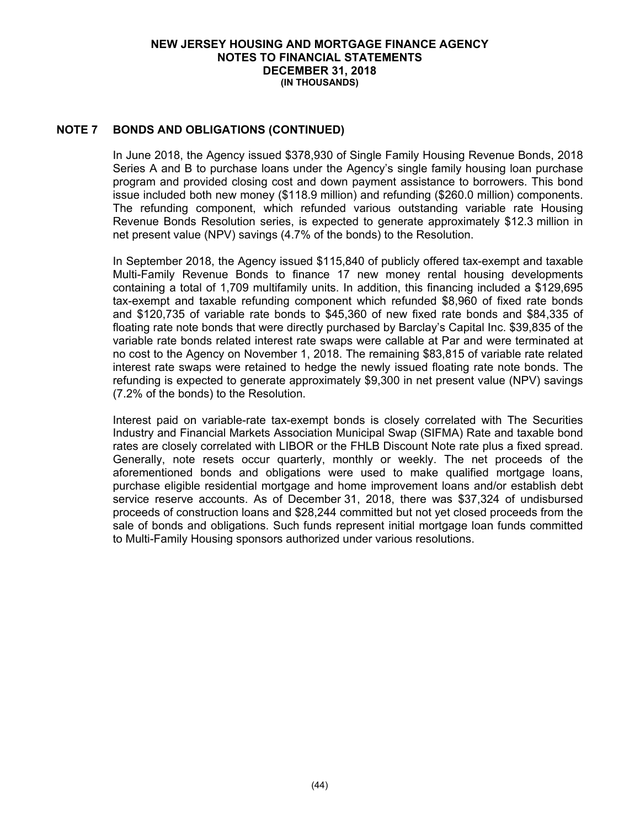### **NOTE 7 BONDS AND OBLIGATIONS (CONTINUED)**

In June 2018, the Agency issued \$378,930 of Single Family Housing Revenue Bonds, 2018 Series A and B to purchase loans under the Agency's single family housing loan purchase program and provided closing cost and down payment assistance to borrowers. This bond issue included both new money (\$118.9 million) and refunding (\$260.0 million) components. The refunding component, which refunded various outstanding variable rate Housing Revenue Bonds Resolution series, is expected to generate approximately \$12.3 million in net present value (NPV) savings (4.7% of the bonds) to the Resolution.

In September 2018, the Agency issued \$115,840 of publicly offered tax-exempt and taxable Multi-Family Revenue Bonds to finance 17 new money rental housing developments containing a total of 1,709 multifamily units. In addition, this financing included a \$129,695 tax-exempt and taxable refunding component which refunded \$8,960 of fixed rate bonds and \$120,735 of variable rate bonds to \$45,360 of new fixed rate bonds and \$84,335 of floating rate note bonds that were directly purchased by Barclay's Capital Inc. \$39,835 of the variable rate bonds related interest rate swaps were callable at Par and were terminated at no cost to the Agency on November 1, 2018. The remaining \$83,815 of variable rate related interest rate swaps were retained to hedge the newly issued floating rate note bonds. The refunding is expected to generate approximately \$9,300 in net present value (NPV) savings (7.2% of the bonds) to the Resolution.

Interest paid on variable-rate tax-exempt bonds is closely correlated with The Securities Industry and Financial Markets Association Municipal Swap (SIFMA) Rate and taxable bond rates are closely correlated with LIBOR or the FHLB Discount Note rate plus a fixed spread. Generally, note resets occur quarterly, monthly or weekly. The net proceeds of the aforementioned bonds and obligations were used to make qualified mortgage loans, purchase eligible residential mortgage and home improvement loans and/or establish debt service reserve accounts. As of December 31, 2018, there was \$37,324 of undisbursed proceeds of construction loans and \$28,244 committed but not yet closed proceeds from the sale of bonds and obligations. Such funds represent initial mortgage loan funds committed to Multi-Family Housing sponsors authorized under various resolutions.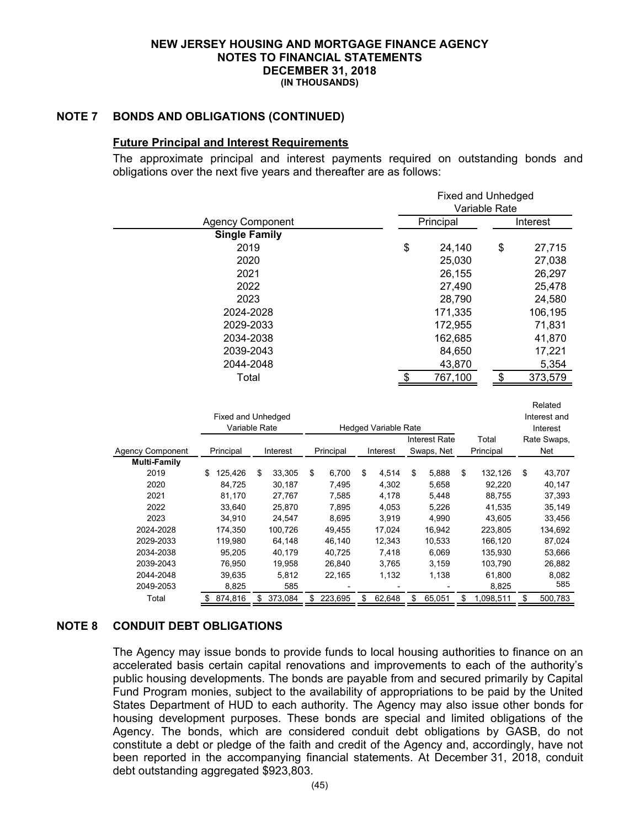### **NOTE 7 BONDS AND OBLIGATIONS (CONTINUED)**

### **Future Principal and Interest Requirements**

The approximate principal and interest payments required on outstanding bonds and obligations over the next five years and thereafter are as follows:

|                     | <b>Fixed and Unhedged</b> |                    |    |                |               |                             |    |                      |    |                  |  |    |                  |
|---------------------|---------------------------|--------------------|----|----------------|---------------|-----------------------------|----|----------------------|----|------------------|--|----|------------------|
|                     |                           |                    |    |                | Variable Rate |                             |    |                      |    |                  |  |    |                  |
|                     | <b>Agency Component</b>   |                    |    |                |               |                             |    | Principal            |    |                  |  |    | Interest         |
|                     | <b>Single Family</b>      |                    |    |                |               |                             |    |                      |    |                  |  |    |                  |
|                     | 2019                      |                    |    |                |               |                             | \$ | 24,140               |    | \$               |  |    | 27,715           |
|                     | 2020                      |                    |    |                |               |                             |    | 25,030               |    |                  |  |    | 27,038           |
|                     | 2021                      |                    |    |                |               |                             |    | 26,155               |    |                  |  |    | 26,297           |
|                     | 2022                      |                    |    |                |               |                             |    | 27,490               |    |                  |  |    | 25,478           |
|                     | 2023                      |                    |    |                |               |                             |    | 28,790               |    |                  |  |    | 24,580           |
|                     | 2024-2028                 |                    |    |                |               |                             |    | 171,335              |    |                  |  |    | 106,195          |
|                     | 2029-2033                 |                    |    |                |               |                             |    | 172,955              |    |                  |  |    | 71,831           |
|                     |                           |                    |    |                |               |                             |    |                      |    |                  |  |    |                  |
|                     | 2034-2038                 |                    |    |                |               |                             |    | 162,685              |    |                  |  |    | 41,870           |
|                     | 2039-2043                 |                    |    |                |               |                             |    | 84,650               |    |                  |  |    | 17,221           |
|                     | 2044-2048                 |                    |    |                |               |                             |    | 43,870               |    |                  |  |    | 5,354            |
|                     | Total                     |                    |    |                |               |                             | \$ | 767,100              |    | \$               |  |    | 373,579          |
|                     |                           |                    |    |                |               |                             |    |                      |    |                  |  |    |                  |
|                     |                           |                    |    |                |               |                             |    |                      |    |                  |  |    | Related          |
|                     |                           | Fixed and Unhedged |    |                |               |                             |    |                      |    |                  |  |    | Interest and     |
|                     |                           | Variable Rate      |    |                |               | <b>Hedged Variable Rate</b> |    |                      |    |                  |  |    | Interest         |
|                     |                           |                    |    |                |               |                             |    | <b>Interest Rate</b> |    | Total            |  |    | Rate Swaps,      |
| Agency Component    | Principal                 | Interest           |    | Principal      |               | Interest                    |    | Swaps, Net           |    | Principal        |  |    | Net              |
| <b>Multi-Family</b> |                           |                    |    |                |               |                             |    |                      |    |                  |  |    |                  |
| 2019                | 125,426<br>S              | 33,305<br>\$       | \$ | 6,700          | \$            | 4,514                       | \$ | 5,888                | \$ | 132,126          |  | \$ | 43,707           |
| 2020                | 84,725                    | 30,187             |    | 7,495          |               | 4,302                       |    | 5,658                |    | 92,220           |  |    | 40,147           |
| 2021<br>2022        | 81,170                    | 27,767             |    | 7,585          |               | 4,178                       |    | 5,448                |    | 88,755           |  |    | 37,393           |
| 2023                | 33,640<br>34,910          | 25,870<br>24,547   |    | 7,895<br>8,695 |               | 4,053<br>3,919              |    | 5,226<br>4,990       |    | 41,535<br>43,605 |  |    | 35,149<br>33,456 |
| 2024-2028           | 174,350                   | 100,726            |    | 49,455         |               | 17,024                      |    | 16,942               |    | 223,805          |  |    | 134,692          |
| 2029-2033           | 119,980                   | 64,148             |    | 46,140         |               | 12,343                      |    | 10,533               |    | 166,120          |  |    | 87,024           |
| 2034-2038           | 95,205                    | 40,179             |    | 40,725         |               | 7,418                       |    | 6,069                |    | 135,930          |  |    | 53,666           |
| 2039-2043           | 76,950                    | 19,958             |    | 26,840         |               | 3,765                       |    | 3,159                |    | 103,790          |  |    | 26,882           |
| 2044-2048           | 39,635                    | 5,812              |    | 22,165         |               | 1,132                       |    | 1,138                |    | 61,800           |  |    | 8,082            |
| 2049-2053           | 8,825                     | 585                |    |                |               |                             |    |                      |    | 8,825            |  |    | 585              |
| Total               | 874,816<br>\$             | 373,084<br>\$      | \$ | 223,695        | \$            | 62,648                      | \$ | 65,051               | \$ | 1,098,511        |  | \$ | 500,783          |

## **NOTE 8 CONDUIT DEBT OBLIGATIONS**

The Agency may issue bonds to provide funds to local housing authorities to finance on an accelerated basis certain capital renovations and improvements to each of the authority's public housing developments. The bonds are payable from and secured primarily by Capital Fund Program monies, subject to the availability of appropriations to be paid by the United States Department of HUD to each authority. The Agency may also issue other bonds for housing development purposes. These bonds are special and limited obligations of the Agency. The bonds, which are considered conduit debt obligations by GASB, do not constitute a debt or pledge of the faith and credit of the Agency and, accordingly, have not been reported in the accompanying financial statements. At December 31, 2018, conduit debt outstanding aggregated \$923,803.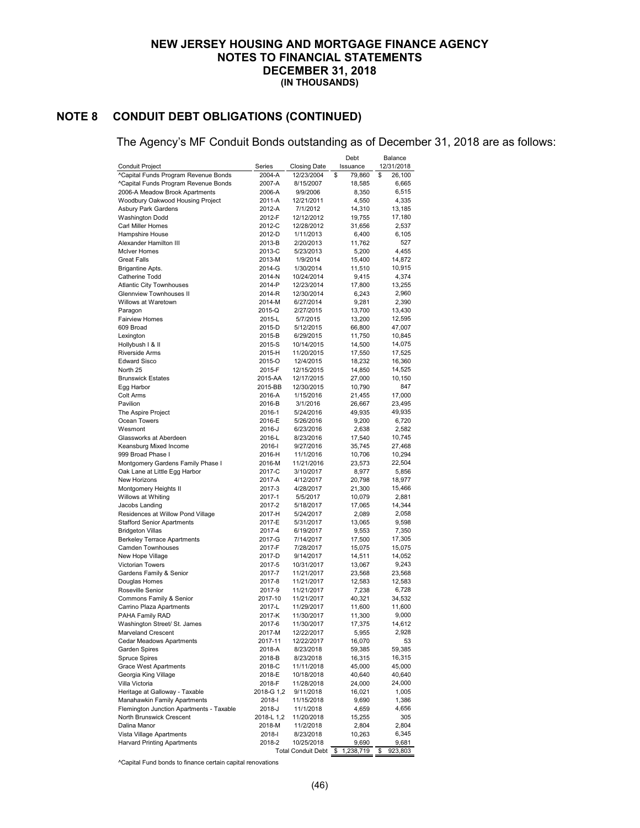# **NOTE 8 CONDUIT DEBT OBLIGATIONS (CONTINUED)**

The Agency's MF Conduit Bonds outstanding as of December 31, 2018 are as follows:

|                                                                    |                   |                           | Debt                  | Balance          |
|--------------------------------------------------------------------|-------------------|---------------------------|-----------------------|------------------|
| Conduit Project                                                    | Series            | Closing Date              | Issuance              | 12/31/2018       |
| ^Capital Funds Program Revenue Bonds                               | 2004-A            | 12/23/2004                | \$<br>79,860<br>\$    | 26,100           |
| ^Capital Funds Program Revenue Bonds                               | 2007-A            | 8/15/2007                 | 18,585                | 6,665            |
| 2006-A Meadow Brook Apartments<br>Woodbury Oakwood Housing Project | 2006-A<br>2011-A  | 9/9/2006<br>12/21/2011    | 8,350<br>4,550        | 6,515<br>4,335   |
| Asbury Park Gardens                                                | 2012-A            | 7/1/2012                  | 14,310                | 13,185           |
| <b>Washington Dodd</b>                                             | 2012-F            | 12/12/2012                | 19,755                | 17,180           |
| Carl Miller Homes                                                  | 2012-C            | 12/28/2012                | 31,656                | 2,537            |
| Hampshire House                                                    | 2012-D            | 1/11/2013                 | 6,400                 | 6,105            |
| Alexander Hamilton III                                             | 2013-B            | 2/20/2013                 | 11,762                | 527              |
| <b>McIver Homes</b>                                                | 2013-C            | 5/23/2013                 | 5,200                 | 4,455            |
| <b>Great Falls</b>                                                 | 2013-M            | 1/9/2014                  | 15,400                | 14,872           |
| Brigantine Apts.<br>Catherine Todd                                 | 2014-G<br>2014-N  | 1/30/2014<br>10/24/2014   | 11,510<br>9,415       | 10,915<br>4,374  |
| <b>Atlantic City Townhouses</b>                                    | 2014-P            | 12/23/2014                | 17,800                | 13,255           |
| Glennview Townhouses II                                            | 2014-R            | 12/30/2014                | 6,243                 | 2,960            |
| Willows at Waretown                                                | 2014-M            | 6/27/2014                 | 9,281                 | 2,390            |
| Paragon                                                            | 2015-Q            | 2/27/2015                 | 13,700                | 13,430           |
| <b>Fairview Homes</b>                                              | 2015-L            | 5/7/2015                  | 13,200                | 12,595           |
| 609 Broad                                                          | 2015-D            | 5/12/2015                 | 66,800                | 47,007           |
| Lexington                                                          | 2015-B            | 6/29/2015                 | 11,750                | 10,845           |
| Hollybush I & II                                                   | 2015-S            | 10/14/2015                | 14,500                | 14,075           |
| Riverside Arms                                                     | 2015-H            | 11/20/2015                | 17,550                | 17,525           |
| <b>Edward Sisco</b><br>North 25                                    | 2015-O<br>2015-F  | 12/4/2015                 | 18,232                | 16,360<br>14,525 |
| <b>Brunswick Estates</b>                                           | 2015-AA           | 12/15/2015<br>12/17/2015  | 14,850<br>27,000      | 10,150           |
| Egg Harbor                                                         | 2015-BB           | 12/30/2015                | 10,790                | 847              |
| Colt Arms                                                          | 2016-A            | 1/15/2016                 | 21,455                | 17,000           |
| Pavilion                                                           | 2016-B            | 3/1/2016                  | 26,667                | 23,495           |
| The Aspire Project                                                 | 2016-1            | 5/24/2016                 | 49,935                | 49,935           |
| Ocean Towers                                                       | 2016-E            | 5/26/2016                 | 9,200                 | 6,720            |
| Wesmont                                                            | 2016-J            | 6/23/2016                 | 2,638                 | 2,582            |
| Glassworks at Aberdeen                                             | 2016-L            | 8/23/2016                 | 17,540                | 10,745           |
| Keansburg Mixed Income                                             | 2016-l            | 9/27/2016                 | 35,745                | 27,468           |
| 999 Broad Phase I                                                  | 2016-H            | 11/1/2016                 | 10,706                | 10,294           |
| Montgomery Gardens Family Phase I<br>Oak Lane at Little Egg Harbor | 2016-M<br>2017-C  | 11/21/2016<br>3/10/2017   | 23,573                | 22,504<br>5,856  |
| New Horizons                                                       | 2017-A            | 4/12/2017                 | 8,977<br>20,798       | 18,977           |
| Montgomery Heights II                                              | 2017-3            | 4/28/2017                 | 21,300                | 15,466           |
| Willows at Whiting                                                 | 2017-1            | 5/5/2017                  | 10,079                | 2,881            |
| Jacobs Landing                                                     | 2017-2            | 5/18/2017                 | 17,065                | 14,344           |
| Residences at Willow Pond Village                                  | 2017-H            | 5/24/2017                 | 2,089                 | 2,058            |
| <b>Stafford Senior Apartments</b>                                  | 2017-E            | 5/31/2017                 | 13,065                | 9,598            |
| <b>Bridgeton Villas</b>                                            | 2017-4            | 6/19/2017                 | 9,553                 | 7,350            |
| <b>Berkeley Terrace Apartments</b>                                 | 2017-G            | 7/14/2017                 | 17,500                | 17,305           |
| Camden Townhouses                                                  | 2017-F            | 7/28/2017                 | 15,075                | 15,075           |
| New Hope Village<br>Victorian Towers                               | 2017-D<br>2017-5  | 9/14/2017<br>10/31/2017   | 14,511<br>13,067      | 14,052<br>9,243  |
| Gardens Family & Senior                                            | 2017-7            | 11/21/2017                | 23,568                | 23,568           |
| Douglas Homes                                                      | 2017-8            | 11/21/2017                | 12,583                | 12,583           |
| Roseville Senior                                                   | 2017-9            | 11/21/2017                | 7,238                 | 6,728            |
| Commons Family & Senior                                            | 2017-10           | 11/21/2017                | 40,321                | 34,532           |
| Carrino Plaza Apartments                                           | 2017-L            | 11/29/2017                | 11,600                | 11,600           |
| PAHA Family RAD                                                    | 2017-K            | 11/30/2017                | 11,300                | 9,000            |
| Washington Street/ St. James                                       | 2017-6            | 11/30/2017                | 17,375                | 14,612           |
| Marveland Crescent                                                 | 2017-M            | 12/22/2017                | 5,955                 | 2,928            |
| Cedar Meadows Apartments<br>Garden Spires                          | 2017-11<br>2018-A | 12/22/2017<br>8/23/2018   | 16,070<br>59,385      | 53               |
| <b>Spruce Spires</b>                                               | 2018-B            | 8/23/2018                 | 16,315                | 59,385<br>16,315 |
| <b>Grace West Apartments</b>                                       | 2018-C            | 11/11/2018                | 45,000                | 45,000           |
| Georgia King Village                                               | 2018-E            | 10/18/2018                | 40,640                | 40,640           |
| Villa Victoria                                                     | 2018-F            | 11/28/2018                | 24,000                | 24,000           |
| Heritage at Galloway - Taxable                                     | 2018-G 1,2        | 9/11/2018                 | 16,021                | 1,005            |
| Manahawkin Family Apartments                                       | 2018-l            | 11/15/2018                | 9,690                 | 1,386            |
| Flemington Junction Apartments - Taxable                           | 2018-J            | 11/1/2018                 | 4,659                 | 4,656            |
| North Brunswick Crescent                                           | 2018-L 1,2        | 11/20/2018                | 15,255                | 305              |
| Dalina Manor                                                       | 2018-M            | 11/2/2018                 | 2,804                 | 2,804            |
| Vista Village Apartments<br><b>Harvard Printing Apartments</b>     | 2018-l<br>2018-2  | 8/23/2018<br>10/25/2018   | 10,263<br>9,690       | 6,345<br>9,681   |
|                                                                    |                   | <b>Total Conduit Debt</b> | 1,238,719<br>\$<br>\$ | 923,803          |

^Capital Fund bonds to finance certain capital renovations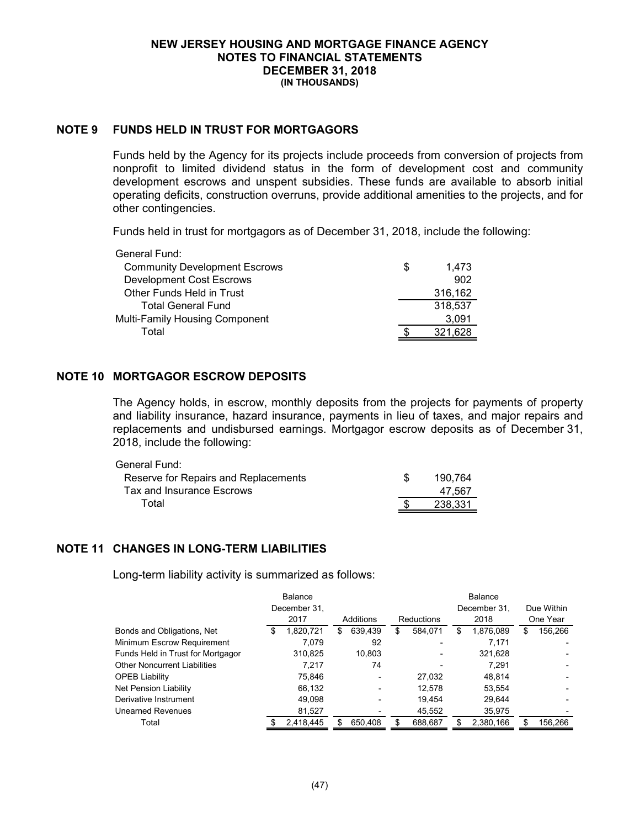### **NOTE 9 FUNDS HELD IN TRUST FOR MORTGAGORS**

Funds held by the Agency for its projects include proceeds from conversion of projects from nonprofit to limited dividend status in the form of development cost and community development escrows and unspent subsidies. These funds are available to absorb initial operating deficits, construction overruns, provide additional amenities to the projects, and for other contingencies.

Funds held in trust for mortgagors as of December 31, 2018, include the following:

| General Fund:                        |    |         |
|--------------------------------------|----|---------|
| <b>Community Development Escrows</b> | S. | 1.473   |
| <b>Development Cost Escrows</b>      |    | 902     |
| Other Funds Held in Trust            |    | 316,162 |
| <b>Total General Fund</b>            |    | 318,537 |
| Multi-Family Housing Component       |    | 3.091   |
| Total                                |    | 321.628 |

## **NOTE 10 MORTGAGOR ESCROW DEPOSITS**

The Agency holds, in escrow, monthly deposits from the projects for payments of property and liability insurance, hazard insurance, payments in lieu of taxes, and major repairs and replacements and undisbursed earnings. Mortgagor escrow deposits as of December 31, 2018, include the following:

| General Fund:                        |         |
|--------------------------------------|---------|
| Reserve for Repairs and Replacements | 190.764 |
| Tax and Insurance Escrows            | 47.567  |
| Total                                | 238.331 |

## **NOTE 11 CHANGES IN LONG-TERM LIABILITIES**

Long-term liability activity is summarized as follows:

|                                     | Balance |              |   |           |    | <b>Balance</b>    |    |              |   |            |  |
|-------------------------------------|---------|--------------|---|-----------|----|-------------------|----|--------------|---|------------|--|
|                                     |         | December 31. |   |           |    |                   |    | December 31. |   | Due Within |  |
|                                     |         | 2017         |   | Additions |    | <b>Reductions</b> |    | 2018         |   | One Year   |  |
| Bonds and Obligations, Net          | S       | 1,820,721    | S | 639.439   | \$ | 584,071           | \$ | 1,876,089    | S | 156.266    |  |
| Minimum Escrow Requirement          |         | 7.079        |   | 92        |    |                   |    | 7,171        |   |            |  |
| Funds Held in Trust for Mortgagor   |         | 310.825      |   | 10.803    |    |                   |    | 321.628      |   |            |  |
| <b>Other Noncurrent Liabilities</b> |         | 7.217        |   | 74        |    |                   |    | 7.291        |   |            |  |
| <b>OPEB Liability</b>               |         | 75.846       |   |           |    | 27.032            |    | 48.814       |   |            |  |
| Net Pension Liability               |         | 66,132       |   |           |    | 12.578            |    | 53.554       |   |            |  |
| Derivative Instrument               |         | 49,098       |   |           |    | 19.454            |    | 29.644       |   |            |  |
| <b>Unearned Revenues</b>            |         | 81,527       |   |           |    | 45,552            |    | 35,975       |   |            |  |
| Total                               |         | 2,418,445    |   | 650.408   |    | 688,687           |    | 2,380,166    |   | 156,266    |  |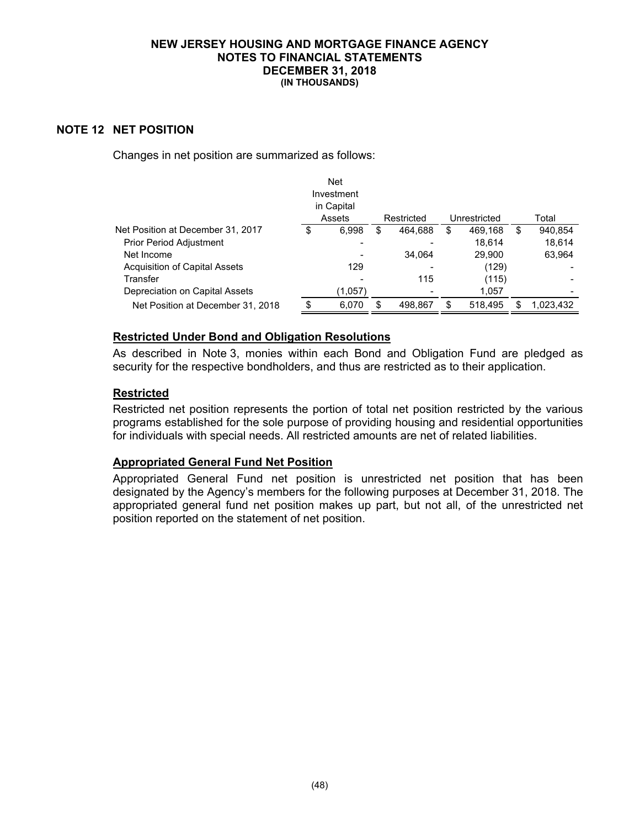### **NOTE 12 NET POSITION**

Changes in net position are summarized as follows:

|                                   | <b>Net</b>  |    |            |               |    |           |
|-----------------------------------|-------------|----|------------|---------------|----|-----------|
|                                   | Investment  |    |            |               |    |           |
|                                   | in Capital  |    |            |               |    |           |
|                                   | Assets      |    | Restricted | Unrestricted  |    | Total     |
| Net Position at December 31, 2017 | \$<br>6,998 | \$ | 464.688    | \$<br>469,168 | \$ | 940.854   |
| <b>Prior Period Adjustment</b>    |             |    |            | 18.614        |    | 18.614    |
| Net Income                        |             |    | 34.064     | 29,900        |    | 63,964    |
| Acquisition of Capital Assets     | 129         |    |            | (129)         |    |           |
| Transfer                          |             |    | 115        | (115)         |    |           |
| Depreciation on Capital Assets    | (1,057)     |    |            | 1,057         |    |           |
| Net Position at December 31, 2018 | 6,070       | S  | 498,867    | \$<br>518.495 | Я. | 1,023,432 |

### **Restricted Under Bond and Obligation Resolutions**

As described in Note 3, monies within each Bond and Obligation Fund are pledged as security for the respective bondholders, and thus are restricted as to their application.

### **Restricted**

Restricted net position represents the portion of total net position restricted by the various programs established for the sole purpose of providing housing and residential opportunities for individuals with special needs. All restricted amounts are net of related liabilities.

## **Appropriated General Fund Net Position**

Appropriated General Fund net position is unrestricted net position that has been designated by the Agency's members for the following purposes at December 31, 2018. The appropriated general fund net position makes up part, but not all, of the unrestricted net position reported on the statement of net position.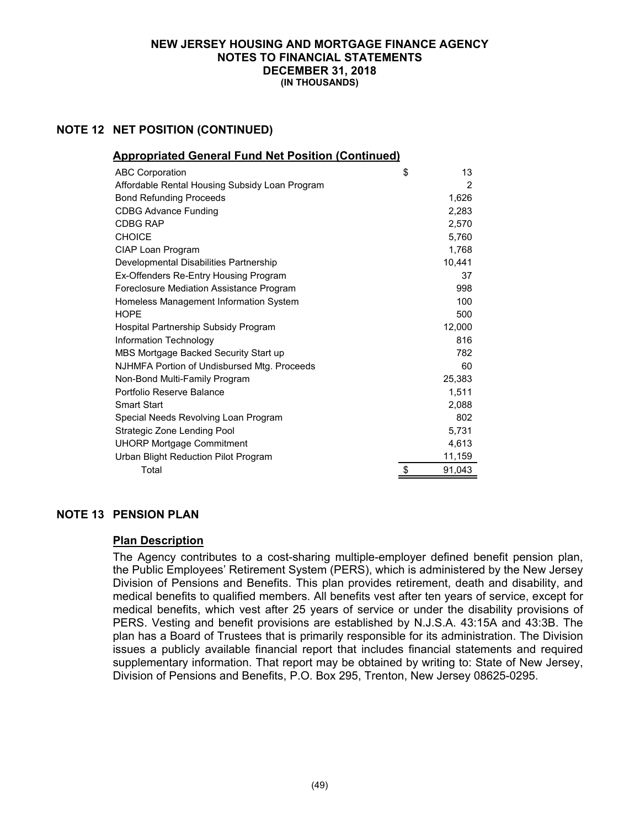### **NOTE 12 NET POSITION (CONTINUED)**

| <b>Appropriated General Fund Net Position (Continued)</b> |              |
|-----------------------------------------------------------|--------------|
| <b>ABC Corporation</b>                                    | \$<br>13     |
| Affordable Rental Housing Subsidy Loan Program            | 2            |
| <b>Bond Refunding Proceeds</b>                            | 1,626        |
| <b>CDBG Advance Funding</b>                               | 2,283        |
| <b>CDBG RAP</b>                                           | 2,570        |
| <b>CHOICE</b>                                             | 5.760        |
| CIAP Loan Program                                         | 1,768        |
| Developmental Disabilities Partnership                    | 10,441       |
| Ex-Offenders Re-Entry Housing Program                     | 37           |
| Foreclosure Mediation Assistance Program                  | 998          |
| Homeless Management Information System                    | 100          |
| <b>HOPE</b>                                               | 500          |
| Hospital Partnership Subsidy Program                      | 12,000       |
| Information Technology                                    | 816          |
| MBS Mortgage Backed Security Start up                     | 782          |
| NJHMFA Portion of Undisbursed Mtg. Proceeds               | 60           |
| Non-Bond Multi-Family Program                             | 25,383       |
| Portfolio Reserve Balance                                 | 1,511        |
| <b>Smart Start</b>                                        | 2.088        |
| Special Needs Revolving Loan Program                      | 802          |
| Strategic Zone Lending Pool                               | 5,731        |
| <b>UHORP Mortgage Commitment</b>                          | 4,613        |
| Urban Blight Reduction Pilot Program                      | 11,159       |
| Total                                                     | \$<br>91,043 |

### **NOTE 13 PENSION PLAN**

### **Plan Description**

The Agency contributes to a cost-sharing multiple-employer defined benefit pension plan, the Public Employees' Retirement System (PERS), which is administered by the New Jersey Division of Pensions and Benefits. This plan provides retirement, death and disability, and medical benefits to qualified members. All benefits vest after ten years of service, except for medical benefits, which vest after 25 years of service or under the disability provisions of PERS. Vesting and benefit provisions are established by N.J.S.A. 43:15A and 43:3B. The plan has a Board of Trustees that is primarily responsible for its administration. The Division issues a publicly available financial report that includes financial statements and required supplementary information. That report may be obtained by writing to: State of New Jersey, Division of Pensions and Benefits, P.O. Box 295, Trenton, New Jersey 08625-0295.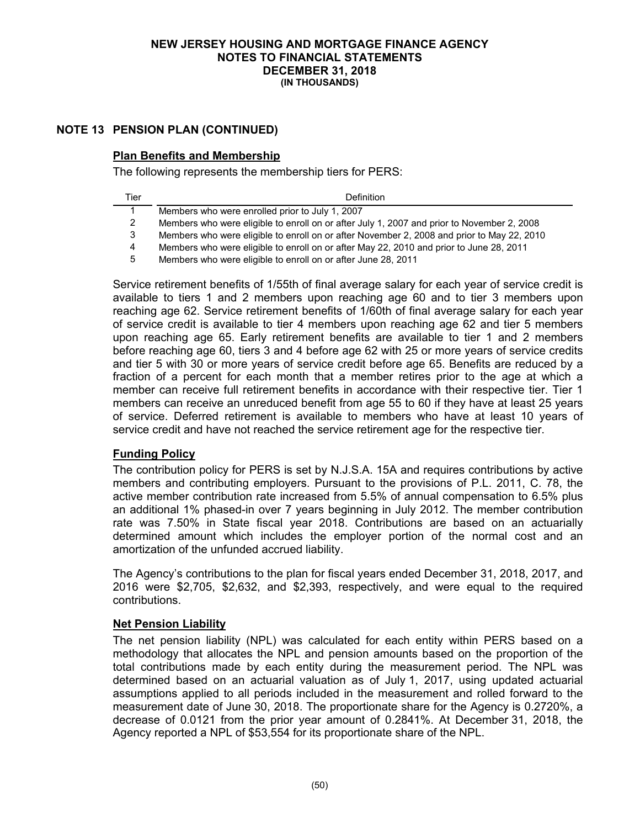## **NOTE 13 PENSION PLAN (CONTINUED)**

### **Plan Benefits and Membership**

The following represents the membership tiers for PERS:

| Tier | <b>Definition</b>                                                                          |
|------|--------------------------------------------------------------------------------------------|
|      | Members who were enrolled prior to July 1, 2007                                            |
|      | Members who were eligible to enroll on or after July 1, 2007 and prior to November 2, 2008 |
| 3    | Members who were eligible to enroll on or after November 2, 2008 and prior to May 22, 2010 |
| 4    | Members who were eligible to enroll on or after May 22, 2010 and prior to June 28, 2011    |
| 5    | Members who were eligible to enroll on or after June 28, 2011                              |

Service retirement benefits of 1/55th of final average salary for each year of service credit is available to tiers 1 and 2 members upon reaching age 60 and to tier 3 members upon reaching age 62. Service retirement benefits of 1/60th of final average salary for each year of service credit is available to tier 4 members upon reaching age 62 and tier 5 members upon reaching age 65. Early retirement benefits are available to tier 1 and 2 members before reaching age 60, tiers 3 and 4 before age 62 with 25 or more years of service credits and tier 5 with 30 or more years of service credit before age 65. Benefits are reduced by a fraction of a percent for each month that a member retires prior to the age at which a member can receive full retirement benefits in accordance with their respective tier. Tier 1 members can receive an unreduced benefit from age 55 to 60 if they have at least 25 years of service. Deferred retirement is available to members who have at least 10 years of service credit and have not reached the service retirement age for the respective tier.

## **Funding Policy**

The contribution policy for PERS is set by N.J.S.A. 15A and requires contributions by active members and contributing employers. Pursuant to the provisions of P.L. 2011, C. 78, the active member contribution rate increased from 5.5% of annual compensation to 6.5% plus an additional 1% phased-in over 7 years beginning in July 2012. The member contribution rate was 7.50% in State fiscal year 2018. Contributions are based on an actuarially determined amount which includes the employer portion of the normal cost and an amortization of the unfunded accrued liability.

The Agency's contributions to the plan for fiscal years ended December 31, 2018, 2017, and 2016 were \$2,705, \$2,632, and \$2,393, respectively, and were equal to the required contributions.

### **Net Pension Liability**

The net pension liability (NPL) was calculated for each entity within PERS based on a methodology that allocates the NPL and pension amounts based on the proportion of the total contributions made by each entity during the measurement period. The NPL was determined based on an actuarial valuation as of July 1, 2017, using updated actuarial assumptions applied to all periods included in the measurement and rolled forward to the measurement date of June 30, 2018. The proportionate share for the Agency is 0.2720%, a decrease of 0.0121 from the prior year amount of 0.2841%. At December 31, 2018, the Agency reported a NPL of \$53,554 for its proportionate share of the NPL.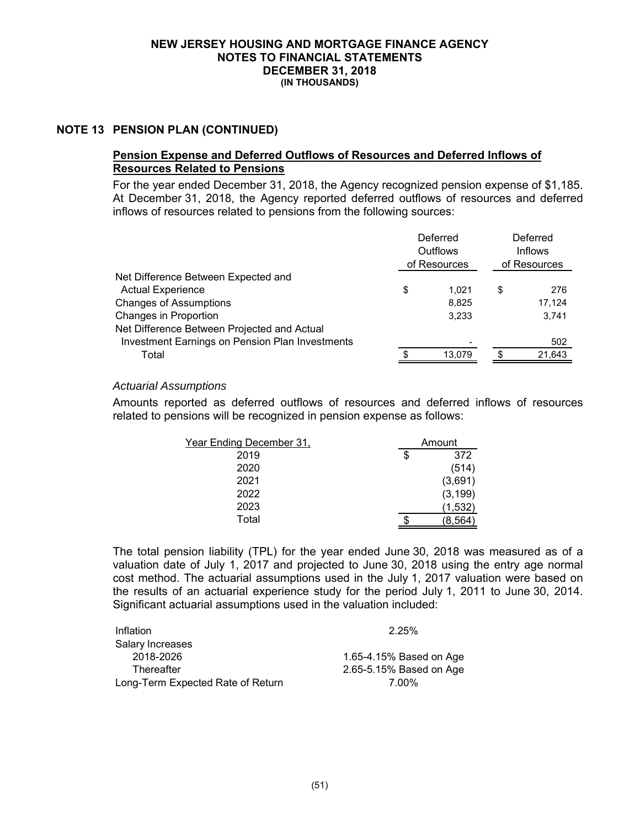### **NOTE 13 PENSION PLAN (CONTINUED)**

### **Pension Expense and Deferred Outflows of Resources and Deferred Inflows of Resources Related to Pensions**

For the year ended December 31, 2018, the Agency recognized pension expense of \$1,185. At December 31, 2018, the Agency reported deferred outflows of resources and deferred inflows of resources related to pensions from the following sources:

|                                                 | Deferred<br>Outflows<br>of Resources |    | Deferred<br><b>Inflows</b><br>of Resources |  |
|-------------------------------------------------|--------------------------------------|----|--------------------------------------------|--|
| Net Difference Between Expected and             |                                      |    |                                            |  |
| <b>Actual Experience</b>                        | \$<br>1.021                          | \$ | 276                                        |  |
| <b>Changes of Assumptions</b>                   | 8,825                                |    | 17,124                                     |  |
| Changes in Proportion                           | 3.233                                |    | 3,741                                      |  |
| Net Difference Between Projected and Actual     |                                      |    |                                            |  |
| Investment Earnings on Pension Plan Investments |                                      |    | 502                                        |  |
| Total                                           | 13,079                               |    | 21,643                                     |  |
|                                                 |                                      |    |                                            |  |

### *Actuarial Assumptions*

Amounts reported as deferred outflows of resources and deferred inflows of resources related to pensions will be recognized in pension expense as follows:

| Year Ending December 31, | Amount    |
|--------------------------|-----------|
| 2019                     | \$<br>372 |
| 2020                     | (514)     |
| 2021                     | (3,691)   |
| 2022                     | (3, 199)  |
| 2023                     | (1,532)   |
| Total                    | (8,564)   |

The total pension liability (TPL) for the year ended June 30, 2018 was measured as of a valuation date of July 1, 2017 and projected to June 30, 2018 using the entry age normal cost method. The actuarial assumptions used in the July 1, 2017 valuation were based on the results of an actuarial experience study for the period July 1, 2011 to June 30, 2014. Significant actuarial assumptions used in the valuation included:

| Inflation                         | 2.25%                   |
|-----------------------------------|-------------------------|
| Salary Increases                  |                         |
| 2018-2026                         | 1.65-4.15% Based on Age |
| Thereafter                        | 2.65-5.15% Based on Age |
| Long-Term Expected Rate of Return | 7.00%                   |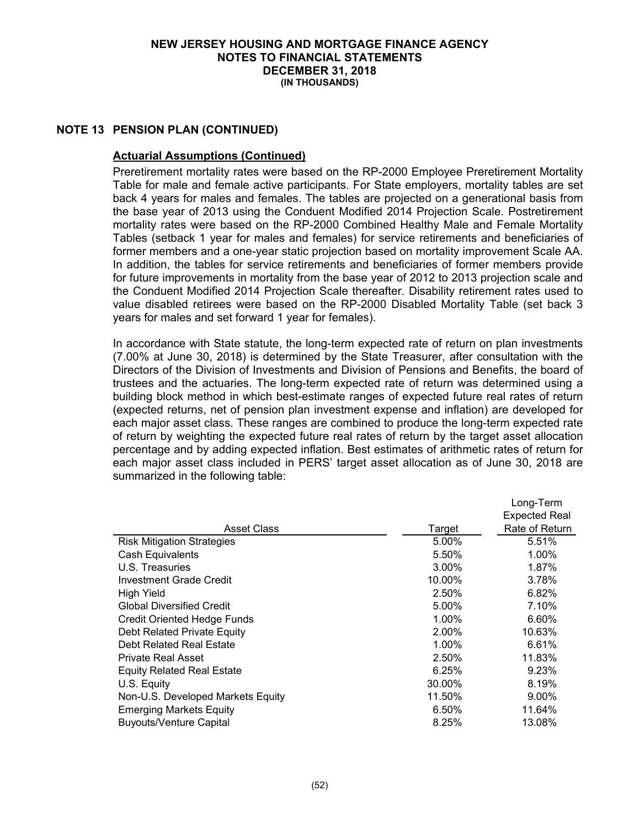### **NOTE 13 PENSION PLAN (CONTINUED)**

### **Actuarial Assumptions (Continued)**

Preretirement mortality rates were based on the RP-2000 Employee Preretirement Mortality Table for male and female active participants. For State employers, mortality tables are set back 4 years for males and females. The tables are projected on a generational basis from the base year of 2013 using the Conduent Modified 2014 Projection Scale. Postretirement mortality rates were based on the RP-2000 Combined Healthy Male and Female Mortality Tables (setback 1 year for males and females) for service retirements and beneficiaries of former members and a one-year static projection based on mortality improvement Scale AA. In addition, the tables for service retirements and beneficiaries of former members provide for future improvements in mortality from the base year of 2012 to 2013 projection scale and the Conduent Modified 2014 Projection Scale thereafter. Disability retirement rates used to value disabled retirees were based on the RP-2000 Disabled Mortality Table (set back 3 years for males and set forward 1 year for females).

In accordance with State statute, the long-term expected rate of return on plan investments (7.00% at June 30, 2018) is determined by the State Treasurer, after consultation with the Directors of the Division of Investments and Division of Pensions and Benefits, the board of trustees and the actuaries. The long-term expected rate of return was determined using a building block method in which best-estimate ranges of expected future real rates of return (expected returns, net of pension plan investment expense and inflation) are developed for each major asset class. These ranges are combined to produce the long-term expected rate of return by weighting the expected future real rates of return by the target asset allocation percentage and by adding expected inflation. Best estimates of arithmetic rates of return for each major asset class included in PERS' target asset allocation as of June 30, 2018 are summarized in the following table:

|                                    |          | Long-Term            |
|------------------------------------|----------|----------------------|
|                                    |          | <b>Expected Real</b> |
| <b>Asset Class</b>                 | Target   | Rate of Return       |
| <b>Risk Mitigation Strategies</b>  | 5.00%    | 5.51%                |
| Cash Equivalents                   | 5.50%    | 1.00%                |
| U.S. Treasuries                    | $3.00\%$ | 1.87%                |
| Investment Grade Credit            | 10.00%   | 3.78%                |
| <b>High Yield</b>                  | 2.50%    | 6.82%                |
| <b>Global Diversified Credit</b>   | 5.00%    | 7.10%                |
| <b>Credit Oriented Hedge Funds</b> | 1.00%    | 6.60%                |
| Debt Related Private Equity        | 2.00%    | 10.63%               |
| Debt Related Real Estate           | 1.00%    | 6.61%                |
| <b>Private Real Asset</b>          | 2.50%    | 11.83%               |
| <b>Equity Related Real Estate</b>  | 6.25%    | 9.23%                |
| U.S. Equity                        | 30.00%   | 8.19%                |
| Non-U.S. Developed Markets Equity  | 11.50%   | 9.00%                |
| <b>Emerging Markets Equity</b>     | 6.50%    | 11.64%               |
| <b>Buyouts/Venture Capital</b>     | 8.25%    | 13.08%               |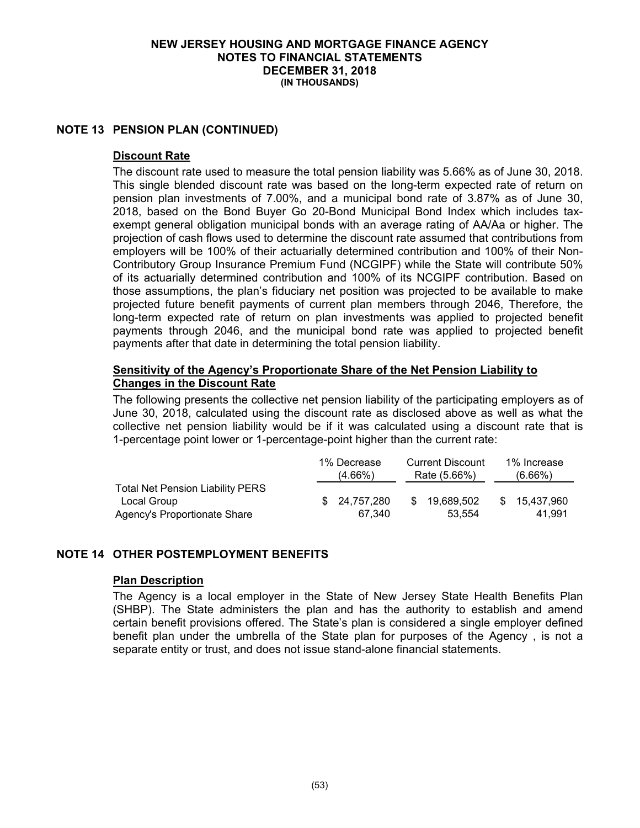### **NOTE 13 PENSION PLAN (CONTINUED)**

#### **Discount Rate**

The discount rate used to measure the total pension liability was 5.66% as of June 30, 2018. This single blended discount rate was based on the long-term expected rate of return on pension plan investments of 7.00%, and a municipal bond rate of 3.87% as of June 30, 2018, based on the Bond Buyer Go 20-Bond Municipal Bond Index which includes taxexempt general obligation municipal bonds with an average rating of AA/Aa or higher. The projection of cash flows used to determine the discount rate assumed that contributions from employers will be 100% of their actuarially determined contribution and 100% of their Non-Contributory Group Insurance Premium Fund (NCGIPF) while the State will contribute 50% of its actuarially determined contribution and 100% of its NCGIPF contribution. Based on those assumptions, the plan's fiduciary net position was projected to be available to make projected future benefit payments of current plan members through 2046, Therefore, the long-term expected rate of return on plan investments was applied to projected benefit payments through 2046, and the municipal bond rate was applied to projected benefit payments after that date in determining the total pension liability.

### **Sensitivity of the Agency's Proportionate Share of the Net Pension Liability to Changes in the Discount Rate**

The following presents the collective net pension liability of the participating employers as of June 30, 2018, calculated using the discount rate as disclosed above as well as what the collective net pension liability would be if it was calculated using a discount rate that is 1-percentage point lower or 1-percentage-point higher than the current rate:

|                                         | 1% Decrease   | <b>Current Discount</b> |              | 1% Increase   |
|-----------------------------------------|---------------|-------------------------|--------------|---------------|
|                                         | (4.66%)       |                         | Rate (5.66%) | $(6.66\%)$    |
| <b>Total Net Pension Liability PERS</b> |               |                         |              |               |
| Local Group                             | \$ 24.757.280 | -SS                     | 19.689.502   | \$ 15.437.960 |
| Agency's Proportionate Share            | 67.340        |                         | 53.554       | 41.991        |

### **NOTE 14 OTHER POSTEMPLOYMENT BENEFITS**

### **Plan Description**

The Agency is a local employer in the State of New Jersey State Health Benefits Plan (SHBP). The State administers the plan and has the authority to establish and amend certain benefit provisions offered. The State's plan is considered a single employer defined benefit plan under the umbrella of the State plan for purposes of the Agency , is not a separate entity or trust, and does not issue stand-alone financial statements.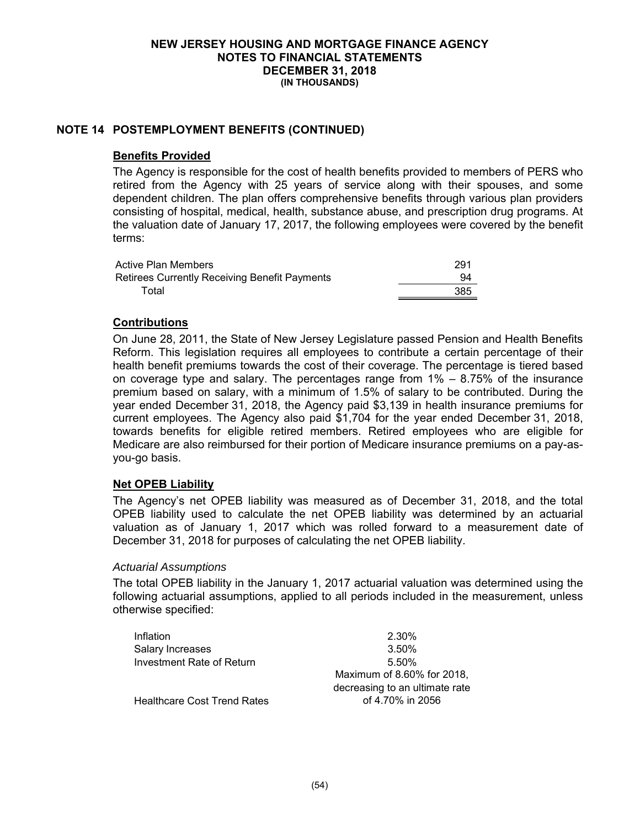### **NOTE 14 POSTEMPLOYMENT BENEFITS (CONTINUED)**

#### **Benefits Provided**

The Agency is responsible for the cost of health benefits provided to members of PERS who retired from the Agency with 25 years of service along with their spouses, and some dependent children. The plan offers comprehensive benefits through various plan providers consisting of hospital, medical, health, substance abuse, and prescription drug programs. At the valuation date of January 17, 2017, the following employees were covered by the benefit terms:

| Active Plan Members                           | 291 |
|-----------------------------------------------|-----|
| Retirees Currently Receiving Benefit Payments | 94  |
| Total                                         | 385 |

### **Contributions**

On June 28, 2011, the State of New Jersey Legislature passed Pension and Health Benefits Reform. This legislation requires all employees to contribute a certain percentage of their health benefit premiums towards the cost of their coverage. The percentage is tiered based on coverage type and salary. The percentages range from 1% – 8.75% of the insurance premium based on salary, with a minimum of 1.5% of salary to be contributed. During the year ended December 31, 2018, the Agency paid \$3,139 in health insurance premiums for current employees. The Agency also paid \$1,704 for the year ended December 31, 2018, towards benefits for eligible retired members. Retired employees who are eligible for Medicare are also reimbursed for their portion of Medicare insurance premiums on a pay-asyou-go basis.

### **Net OPEB Liability**

The Agency's net OPEB liability was measured as of December 31, 2018, and the total OPEB liability used to calculate the net OPEB liability was determined by an actuarial valuation as of January 1, 2017 which was rolled forward to a measurement date of December 31, 2018 for purposes of calculating the net OPEB liability.

### *Actuarial Assumptions*

The total OPEB liability in the January 1, 2017 actuarial valuation was determined using the following actuarial assumptions, applied to all periods included in the measurement, unless otherwise specified:

| Inflation                          | 2.30%                          |
|------------------------------------|--------------------------------|
| Salary Increases                   | 3.50%                          |
| Investment Rate of Return          | 5.50%                          |
|                                    | Maximum of 8.60% for 2018,     |
|                                    | decreasing to an ultimate rate |
| <b>Healthcare Cost Trend Rates</b> | of 4.70% in 2056               |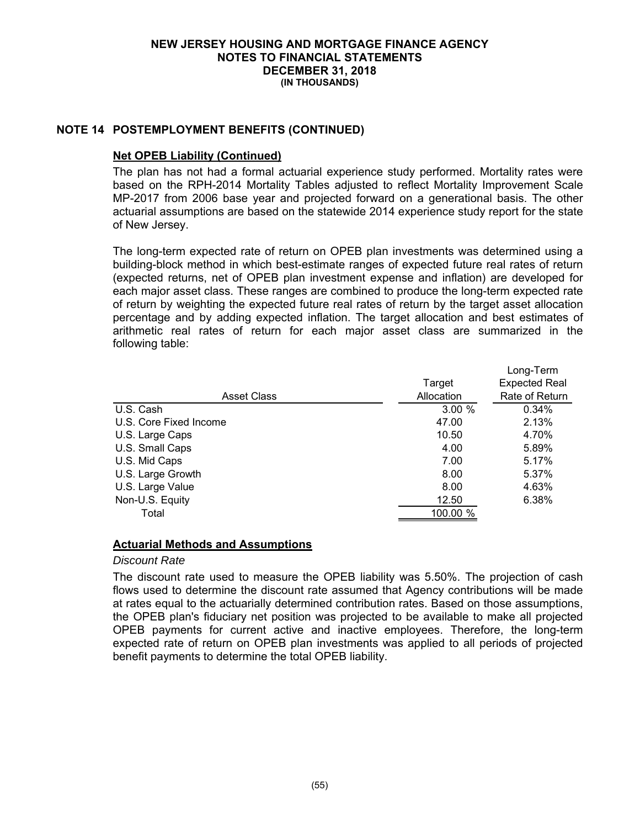### **NOTE 14 POSTEMPLOYMENT BENEFITS (CONTINUED)**

### **Net OPEB Liability (Continued)**

The plan has not had a formal actuarial experience study performed. Mortality rates were based on the RPH-2014 Mortality Tables adjusted to reflect Mortality Improvement Scale MP-2017 from 2006 base year and projected forward on a generational basis. The other actuarial assumptions are based on the statewide 2014 experience study report for the state of New Jersey.

The long-term expected rate of return on OPEB plan investments was determined using a building-block method in which best-estimate ranges of expected future real rates of return (expected returns, net of OPEB plan investment expense and inflation) are developed for each major asset class. These ranges are combined to produce the long-term expected rate of return by weighting the expected future real rates of return by the target asset allocation percentage and by adding expected inflation. The target allocation and best estimates of arithmetic real rates of return for each major asset class are summarized in the following table:

|                        |            | Long-Term            |
|------------------------|------------|----------------------|
|                        | Target     | <b>Expected Real</b> |
| <b>Asset Class</b>     | Allocation | Rate of Return       |
| U.S. Cash              | 3.00%      | 0.34%                |
| U.S. Core Fixed Income | 47.00      | 2.13%                |
| U.S. Large Caps        | 10.50      | 4.70%                |
| U.S. Small Caps        | 4.00       | 5.89%                |
| U.S. Mid Caps          | 7.00       | 5.17%                |
| U.S. Large Growth      | 8.00       | 5.37%                |
| U.S. Large Value       | 8.00       | 4.63%                |
| Non-U.S. Equity        | 12.50      | 6.38%                |
| Total                  | 100.00 %   |                      |

### **Actuarial Methods and Assumptions**

#### *Discount Rate*

The discount rate used to measure the OPEB liability was 5.50%. The projection of cash flows used to determine the discount rate assumed that Agency contributions will be made at rates equal to the actuarially determined contribution rates. Based on those assumptions, the OPEB plan's fiduciary net position was projected to be available to make all projected OPEB payments for current active and inactive employees. Therefore, the long-term expected rate of return on OPEB plan investments was applied to all periods of projected benefit payments to determine the total OPEB liability.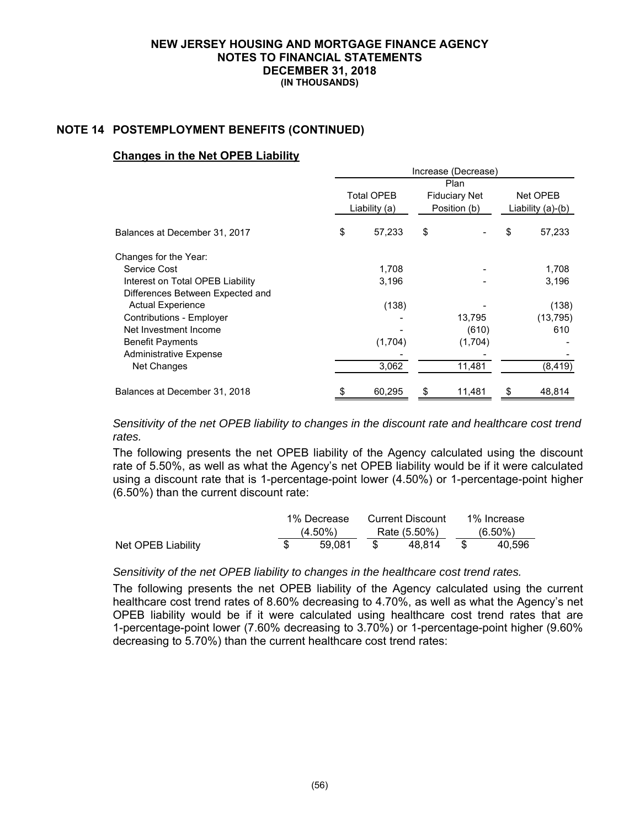### **NOTE 14 POSTEMPLOYMENT BENEFITS (CONTINUED)**

#### **Changes in the Net OPEB Liability**

|                                  | Increase (Decrease) |    |                      |                   |           |  |
|----------------------------------|---------------------|----|----------------------|-------------------|-----------|--|
|                                  | <b>Plan</b>         |    |                      |                   |           |  |
|                                  | Total OPEB          |    | <b>Fiduciary Net</b> | Net OPEB          |           |  |
|                                  | Liability (a)       |    | Position (b)         | Liability (a)-(b) |           |  |
| Balances at December 31, 2017    | \$<br>57,233        | \$ |                      | \$                | 57,233    |  |
| Changes for the Year:            |                     |    |                      |                   |           |  |
| Service Cost                     | 1,708               |    |                      |                   | 1,708     |  |
| Interest on Total OPEB Liability | 3,196               |    |                      |                   | 3,196     |  |
| Differences Between Expected and |                     |    |                      |                   |           |  |
| <b>Actual Experience</b>         | (138)               |    |                      |                   | (138)     |  |
| Contributions - Employer         |                     |    | 13,795               |                   | (13, 795) |  |
| Net Investment Income            |                     |    | (610)                |                   | 610       |  |
| <b>Benefit Payments</b>          | (1,704)             |    | (1,704)              |                   |           |  |
| <b>Administrative Expense</b>    |                     |    |                      |                   |           |  |
| Net Changes                      | 3,062               |    | 11,481               |                   | (8, 419)  |  |
| Balances at December 31, 2018    | 60,295              | \$ | 11,481               | \$                | 48,814    |  |

*Sensitivity of the net OPEB liability to changes in the discount rate and healthcare cost trend rates.* 

The following presents the net OPEB liability of the Agency calculated using the discount rate of 5.50%, as well as what the Agency's net OPEB liability would be if it were calculated using a discount rate that is 1-percentage-point lower (4.50%) or 1-percentage-point higher (6.50%) than the current discount rate:

|                    | 1% Decrease | Current Discount |        |            | 1% Increase |
|--------------------|-------------|------------------|--------|------------|-------------|
|                    | $(4.50\%)$  | Rate (5.50%)     |        | $(6.50\%)$ |             |
| Net OPEB Liability | 59.081      |                  | 48.814 |            | 40.596      |

### *Sensitivity of the net OPEB liability to changes in the healthcare cost trend rates.*

The following presents the net OPEB liability of the Agency calculated using the current healthcare cost trend rates of 8.60% decreasing to 4.70%, as well as what the Agency's net OPEB liability would be if it were calculated using healthcare cost trend rates that are 1-percentage-point lower (7.60% decreasing to 3.70%) or 1-percentage-point higher (9.60% decreasing to 5.70%) than the current healthcare cost trend rates: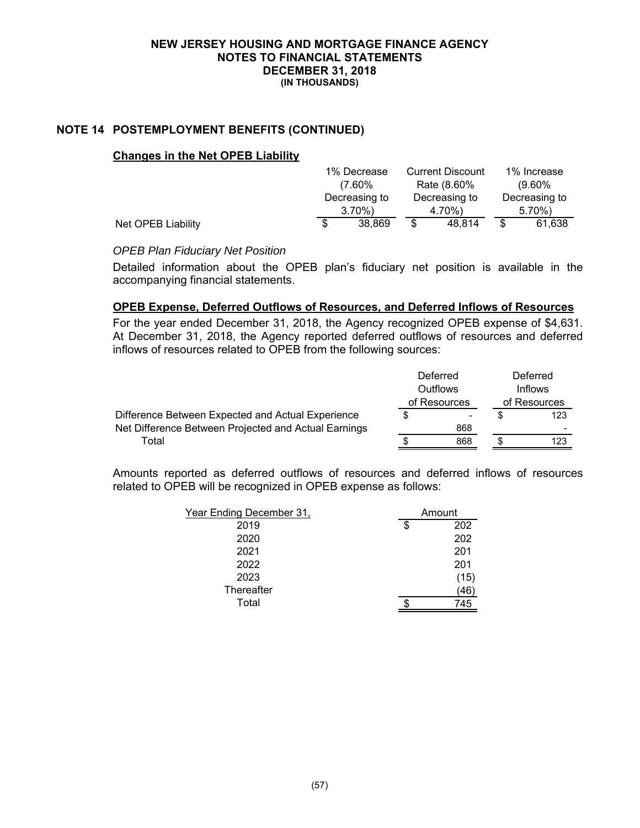### **NOTE 14 POSTEMPLOYMENT BENEFITS (CONTINUED)**

#### **Changes in the Net OPEB Liability**

|                    |               | 1% Decrease |               | <b>Current Discount</b> |               | 1% Increase |
|--------------------|---------------|-------------|---------------|-------------------------|---------------|-------------|
|                    |               | $(7.60\%$   |               | Rate (8.60%             |               | $(9.60\%$   |
|                    | Decreasing to |             | Decreasing to |                         | Decreasing to |             |
|                    |               | $3.70\%$    | 4.70%)        |                         |               | $5.70\%$    |
| Net OPEB Liability | S             | 38.869      |               | 48.814                  | \$            | 61,638      |

### *OPEB Plan Fiduciary Net Position*

Detailed information about the OPEB plan's fiduciary net position is available in the accompanying financial statements.

### **OPEB Expense, Deferred Outflows of Resources, and Deferred Inflows of Resources**

For the year ended December 31, 2018, the Agency recognized OPEB expense of \$4,631. At December 31, 2018, the Agency reported deferred outflows of resources and deferred inflows of resources related to OPEB from the following sources:

|                                                      |                          | Deferred |              | Deferred<br><b>Inflows</b> |  |
|------------------------------------------------------|--------------------------|----------|--------------|----------------------------|--|
|                                                      | Outflows<br>of Resources |          | of Resources |                            |  |
| Difference Between Expected and Actual Experience    | S                        |          |              | 123                        |  |
| Net Difference Between Projected and Actual Earnings |                          | 868      |              |                            |  |
| Total                                                |                          | 868      |              | 123                        |  |

Amounts reported as deferred outflows of resources and deferred inflows of resources related to OPEB will be recognized in OPEB expense as follows:

| Year Ending December 31, | Amount    |
|--------------------------|-----------|
| 2019                     | \$<br>202 |
| 2020                     | 202       |
| 2021                     | 201       |
| 2022                     | 201       |
| 2023                     | (15)      |
| Thereafter               | (46)      |
| Total                    | 745       |
|                          |           |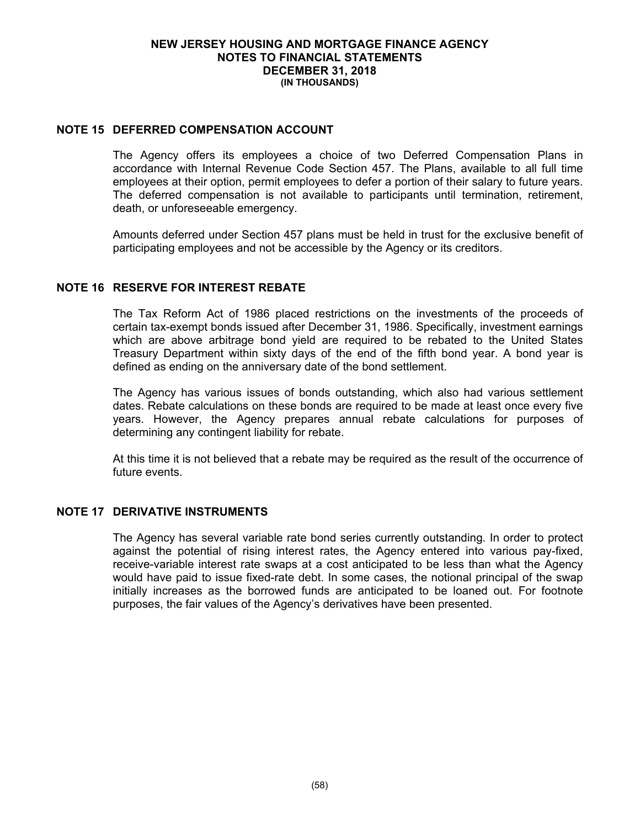### **NOTE 15 DEFERRED COMPENSATION ACCOUNT**

The Agency offers its employees a choice of two Deferred Compensation Plans in accordance with Internal Revenue Code Section 457. The Plans, available to all full time employees at their option, permit employees to defer a portion of their salary to future years. The deferred compensation is not available to participants until termination, retirement, death, or unforeseeable emergency.

Amounts deferred under Section 457 plans must be held in trust for the exclusive benefit of participating employees and not be accessible by the Agency or its creditors.

### **NOTE 16 RESERVE FOR INTEREST REBATE**

The Tax Reform Act of 1986 placed restrictions on the investments of the proceeds of certain tax-exempt bonds issued after December 31, 1986. Specifically, investment earnings which are above arbitrage bond yield are required to be rebated to the United States Treasury Department within sixty days of the end of the fifth bond year. A bond year is defined as ending on the anniversary date of the bond settlement.

The Agency has various issues of bonds outstanding, which also had various settlement dates. Rebate calculations on these bonds are required to be made at least once every five years. However, the Agency prepares annual rebate calculations for purposes of determining any contingent liability for rebate.

At this time it is not believed that a rebate may be required as the result of the occurrence of future events.

### **NOTE 17 DERIVATIVE INSTRUMENTS**

The Agency has several variable rate bond series currently outstanding. In order to protect against the potential of rising interest rates, the Agency entered into various pay-fixed, receive-variable interest rate swaps at a cost anticipated to be less than what the Agency would have paid to issue fixed-rate debt. In some cases, the notional principal of the swap initially increases as the borrowed funds are anticipated to be loaned out. For footnote purposes, the fair values of the Agency's derivatives have been presented.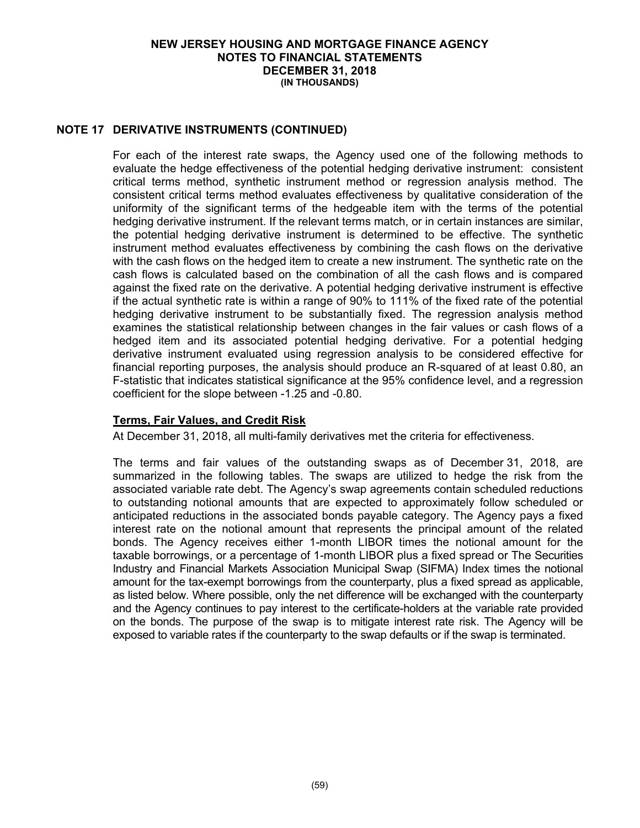### **NOTE 17 DERIVATIVE INSTRUMENTS (CONTINUED)**

For each of the interest rate swaps, the Agency used one of the following methods to evaluate the hedge effectiveness of the potential hedging derivative instrument: consistent critical terms method, synthetic instrument method or regression analysis method. The consistent critical terms method evaluates effectiveness by qualitative consideration of the uniformity of the significant terms of the hedgeable item with the terms of the potential hedging derivative instrument. If the relevant terms match, or in certain instances are similar, the potential hedging derivative instrument is determined to be effective. The synthetic instrument method evaluates effectiveness by combining the cash flows on the derivative with the cash flows on the hedged item to create a new instrument. The synthetic rate on the cash flows is calculated based on the combination of all the cash flows and is compared against the fixed rate on the derivative. A potential hedging derivative instrument is effective if the actual synthetic rate is within a range of 90% to 111% of the fixed rate of the potential hedging derivative instrument to be substantially fixed. The regression analysis method examines the statistical relationship between changes in the fair values or cash flows of a hedged item and its associated potential hedging derivative. For a potential hedging derivative instrument evaluated using regression analysis to be considered effective for financial reporting purposes, the analysis should produce an R-squared of at least 0.80, an F-statistic that indicates statistical significance at the 95% confidence level, and a regression coefficient for the slope between -1.25 and -0.80.

### **Terms, Fair Values, and Credit Risk**

At December 31, 2018, all multi-family derivatives met the criteria for effectiveness.

The terms and fair values of the outstanding swaps as of December 31, 2018, are summarized in the following tables. The swaps are utilized to hedge the risk from the associated variable rate debt. The Agency's swap agreements contain scheduled reductions to outstanding notional amounts that are expected to approximately follow scheduled or anticipated reductions in the associated bonds payable category. The Agency pays a fixed interest rate on the notional amount that represents the principal amount of the related bonds. The Agency receives either 1-month LIBOR times the notional amount for the taxable borrowings, or a percentage of 1-month LIBOR plus a fixed spread or The Securities Industry and Financial Markets Association Municipal Swap (SIFMA) Index times the notional amount for the tax-exempt borrowings from the counterparty, plus a fixed spread as applicable, as listed below. Where possible, only the net difference will be exchanged with the counterparty and the Agency continues to pay interest to the certificate-holders at the variable rate provided on the bonds. The purpose of the swap is to mitigate interest rate risk. The Agency will be exposed to variable rates if the counterparty to the swap defaults or if the swap is terminated.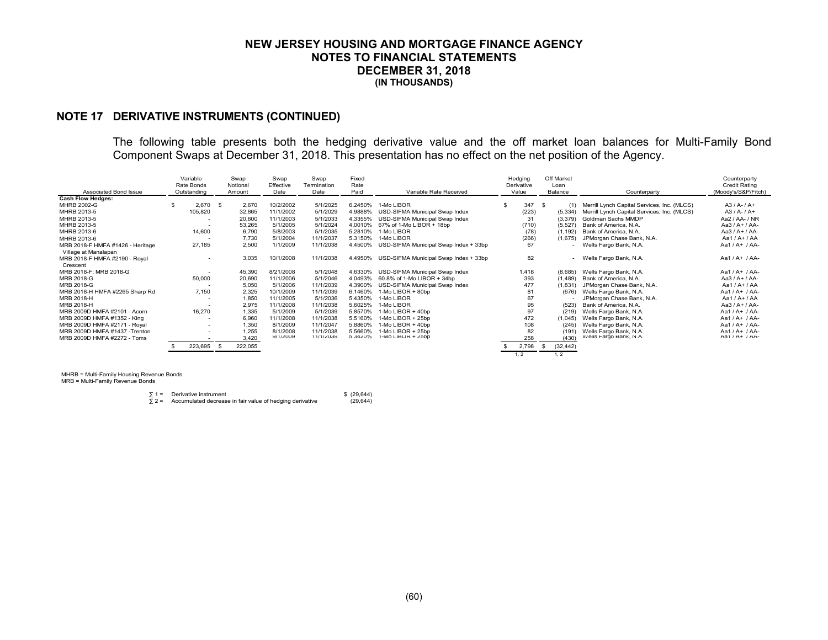### **NOTE 17 DERIVATIVE INSTRUMENTS (CONTINUED)**

The following table presents both the hedging derivative value and the off market loan balances for Multi-Family Bond Component Swaps at December 31, 2018. This presentation has no effect on the net position of the Agency.

| Associated Bond Issue                                    | Variable<br>Rate Bonds<br>Outstanding |            | Swap<br>Notional<br>Amount | Swap<br>Effective<br>Date | Swap<br>Termination<br>Date | Fixed<br>Rate<br>Paid | Variable Rate Received                | Hedging<br>Derivative<br>Value | Off Market<br>Loan<br>Balance | Counterparty                                    | Counterparty<br><b>Credit Rating</b><br>(Moody's/S&P/Fitch) |
|----------------------------------------------------------|---------------------------------------|------------|----------------------------|---------------------------|-----------------------------|-----------------------|---------------------------------------|--------------------------------|-------------------------------|-------------------------------------------------|-------------------------------------------------------------|
| <b>Cash Flow Hedges:</b>                                 |                                       |            |                            |                           |                             |                       |                                       |                                |                               |                                                 |                                                             |
| MHRB 2002-G                                              |                                       | $2,670$ \$ | 2,670                      | 10/2/2002                 | 5/1/2025                    | 6.2450%               | 1-Mo LIBOR                            | 347 \$                         |                               | (1) Merrill Lynch Capital Services, Inc. (MLCS) | $A3/A-7A+$                                                  |
| MHRB 2013-5                                              |                                       | 105,820    | 32,865                     | 11/1/2002                 | 5/1/2029                    | 4.9888%               | USD-SIFMA Municipal Swap Index        | (223)                          | (5, 334)                      | Merrill Lynch Capital Services, Inc. (MLCS)     | $A3/A-7A+$                                                  |
| MHRB 2013-5                                              |                                       |            | 20,600                     | 11/1/2003                 | 5/1/2033                    | 4.3355%               | USD-SIFMA Municipal Swap Index        | 31                             | (3,379)                       | Goldman Sachs MMDP                              | Aa2 / AA- / NR                                              |
| MHRB 2013-5                                              |                                       |            | 53,265                     | 5/1/2005                  | 5/1/2024                    | 4.0010%               | 67% of 1-Mo LIBOR + 18bp              | (710)                          | (5, 527)                      | Bank of America, N.A.                           | Aa3 / A+ / AA-                                              |
| MHRB 2013-6                                              |                                       | 14,600     | 6,790                      | 5/8/2003                  | 5/1/2035                    | 5.2810%               | 1-Mo LIBOR                            | (78)                           | (1, 192)                      | Bank of America, N.A.                           | Aa3 / A+ / AA-                                              |
| MHRB 2013-6                                              |                                       |            | 7.730                      | 5/1/2004                  | 11/1/2037                   | 5.3150%               | 1-Mo LIBOR                            | (266)                          | (1,675)                       | JPMorgan Chase Bank, N.A.                       | Aa1 / A+ / AA                                               |
| MRB 2018-F HMFA #1426 - Heritage<br>Village at Manalapan |                                       | 27,185     | 2,500                      | 1/1/2009                  | 11/1/2038                   | 4.4500%               | USD-SIFMA Municipal Swap Index + 33bp | 67                             |                               | Wells Fargo Bank, N.A.                          | Aa1/A+/AA-                                                  |
| MRB 2018-F HMFA #2190 - Royal<br>Crescent                |                                       |            | 3,035                      | 10/1/2008                 | 11/1/2038                   | 4.4950%               | USD-SIFMA Municipal Swap Index + 33bp | 82                             |                               | - Wells Fargo Bank, N.A.                        | Aa1/A+/AA-                                                  |
| MRB 2018-F: MRB 2018-G                                   |                                       |            | 45,390                     | 8/21/2008                 | 5/1/2048                    | 4.6330%               | USD-SIFMA Municipal Swap Index        | 1.418                          | (8,685)                       | Wells Fargo Bank, N.A.                          | Aa1 / $A+$ / $AA-$                                          |
| MRB 2018-G                                               |                                       | 50,000     | 20,690                     | 11/1/2006                 | 5/1/2046                    | 4.0493%               | 60.8% of 1-Mo LIBOR + 34bp            | 393                            | (1,489)                       | Bank of America, N.A.                           | Aa3 / A+ / AA-                                              |
| MRB 2018-G                                               |                                       |            | 5,050                      | 5/1/2006                  | 11/1/2039                   | 4.3900%               | USD-SIFMA Municipal Swap Index        | 477                            | (1,831)                       | JPMorgan Chase Bank, N.A.                       | Aa1 / A+ / AA                                               |
| MRB 2018-H HMFA #2265 Sharp Rd                           |                                       | 7,150      | 2,325                      | 10/1/2009                 | 11/1/2039                   | 6.1460%               | 1-Mo LIBOR + 80bp                     | 81                             | (676)                         | Wells Fargo Bank, N.A.                          | Aa1 / $A+$ / $AA-$                                          |
| MRB 2018-H                                               |                                       |            | 1.850                      | 11/1/2005                 | 5/1/2036                    | 5.4350%               | 1-Mo LIBOR                            | 67                             |                               | JPMorgan Chase Bank, N.A.                       | Aa1 / A+ / AA                                               |
| MRB 2018-H                                               |                                       |            | 2.975                      | 11/1/2008                 | 11/1/2038                   | 5.6025%               | 1-Mo LIBOR                            | 95                             | (523)                         | Bank of America, N.A.                           | Aa3 / A+ / AA-                                              |
| MRB 2009D HMFA #2101 - Acorn                             |                                       | 16,270     | 1,335                      | 5/1/2009                  | 5/1/2039                    | 5.8570%               | 1-Mo LIBOR + 40bp                     | 97                             | (219)                         | Wells Fargo Bank, N.A.                          | Aa1/A+/AA-                                                  |
| MRB 2009D HMFA #1352 - King                              |                                       |            | 6.960                      | 11/1/2008                 | 11/1/2038                   | 5.5160%               | 1-Mo LIBOR + 25bp                     | 472                            | (1,045)                       | Wells Fargo Bank, N.A.                          | Aa1 / $A+$ / $AA-$                                          |
| MRB 2009D HMFA #2171 - Royal                             |                                       |            | 1.350                      | 8/1/2009                  | 11/1/2047                   | 5.8860%               | 1-Mo LIBOR + 40bp                     | 108                            | (245)                         | Wells Fargo Bank, N.A.                          | Aa1 / $A+$ / $AA-$                                          |
| MRB 2009D HMFA #1437 -Trenton                            |                                       |            | 1,255                      | 8/1/2008                  | 11/1/2038                   | 5.5660%               | 1-Mo LIBOR + 25bp                     | 82                             | (191)                         | Wells Fargo Bank, N.A.                          | Aa1 / $A+$ / $AA-$                                          |
| MRB 2009D HMFA #2272 - Toms                              |                                       |            | 3.420                      | 9/1/2009                  | 11/1/2039                   | 5.3420%               | 1-MO LIBOR + 25DD                     | 258                            | (430)                         | Wells Fargo Bank, N.A.                          | Aa1 / A+ / AA-                                              |
|                                                          |                                       | 223,695    | 222,055<br>-35             |                           |                             |                       |                                       | 2,798                          | (32, 442)                     |                                                 |                                                             |
|                                                          |                                       |            |                            |                           |                             |                       |                                       | 1, 2                           | 1, 2                          |                                                 |                                                             |

MHRB = Multi-Family Housing Revenue Bonds

MRB = Multi-Family Revenue Bonds

|              | $\sqrt{2}$ 1 = Derivative instrument                     | $$^{(29,644)}$ |
|--------------|----------------------------------------------------------|----------------|
| $\Sigma$ 2 = | Accumulated decrease in fair value of hedging derivative | (29, 644)      |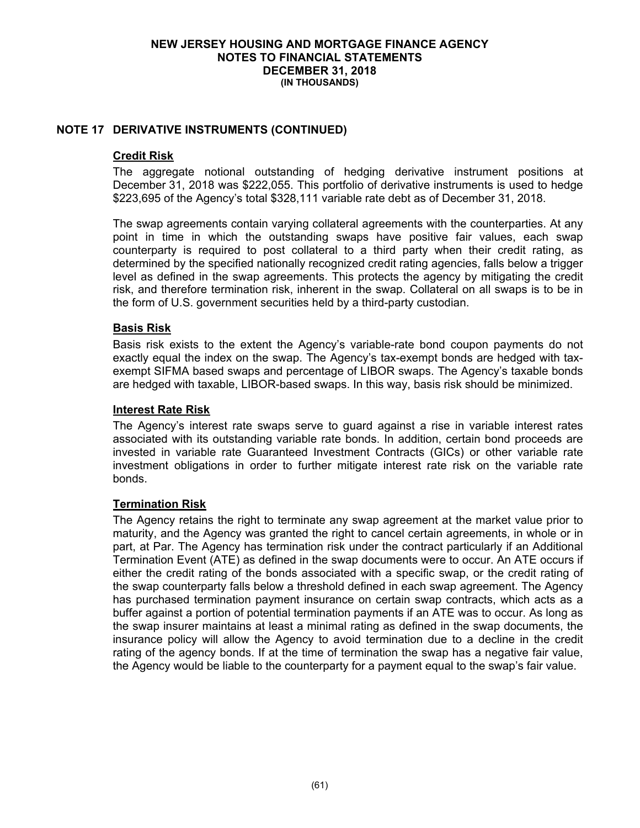### **NOTE 17 DERIVATIVE INSTRUMENTS (CONTINUED)**

### **Credit Risk**

The aggregate notional outstanding of hedging derivative instrument positions at December 31, 2018 was \$222,055. This portfolio of derivative instruments is used to hedge \$223,695 of the Agency's total \$328,111 variable rate debt as of December 31, 2018.

The swap agreements contain varying collateral agreements with the counterparties. At any point in time in which the outstanding swaps have positive fair values, each swap counterparty is required to post collateral to a third party when their credit rating, as determined by the specified nationally recognized credit rating agencies, falls below a trigger level as defined in the swap agreements. This protects the agency by mitigating the credit risk, and therefore termination risk, inherent in the swap. Collateral on all swaps is to be in the form of U.S. government securities held by a third-party custodian.

### **Basis Risk**

Basis risk exists to the extent the Agency's variable-rate bond coupon payments do not exactly equal the index on the swap. The Agency's tax-exempt bonds are hedged with taxexempt SIFMA based swaps and percentage of LIBOR swaps. The Agency's taxable bonds are hedged with taxable, LIBOR-based swaps. In this way, basis risk should be minimized.

### **Interest Rate Risk**

The Agency's interest rate swaps serve to guard against a rise in variable interest rates associated with its outstanding variable rate bonds. In addition, certain bond proceeds are invested in variable rate Guaranteed Investment Contracts (GICs) or other variable rate investment obligations in order to further mitigate interest rate risk on the variable rate bonds.

### **Termination Risk**

The Agency retains the right to terminate any swap agreement at the market value prior to maturity, and the Agency was granted the right to cancel certain agreements, in whole or in part, at Par. The Agency has termination risk under the contract particularly if an Additional Termination Event (ATE) as defined in the swap documents were to occur. An ATE occurs if either the credit rating of the bonds associated with a specific swap, or the credit rating of the swap counterparty falls below a threshold defined in each swap agreement. The Agency has purchased termination payment insurance on certain swap contracts, which acts as a buffer against a portion of potential termination payments if an ATE was to occur. As long as the swap insurer maintains at least a minimal rating as defined in the swap documents, the insurance policy will allow the Agency to avoid termination due to a decline in the credit rating of the agency bonds. If at the time of termination the swap has a negative fair value, the Agency would be liable to the counterparty for a payment equal to the swap's fair value.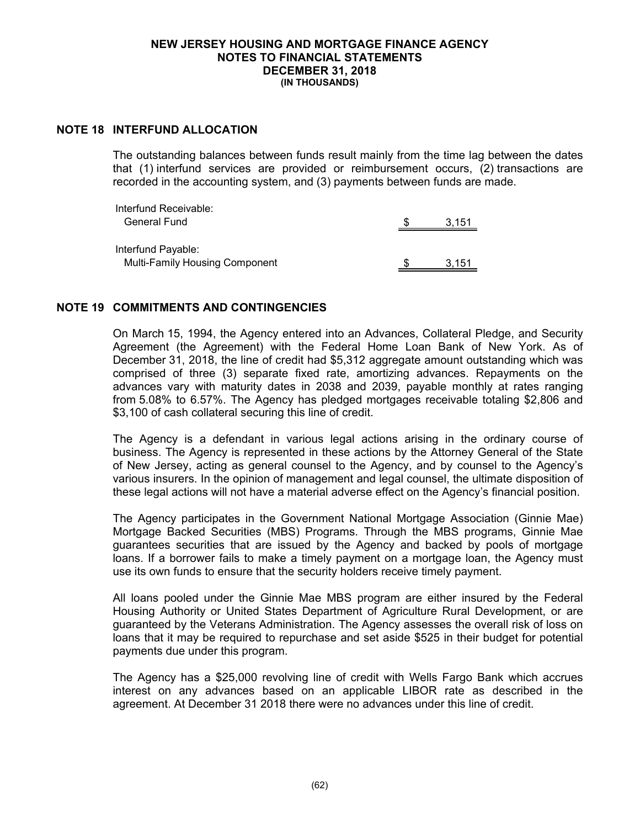### **NOTE 18 INTERFUND ALLOCATION**

The outstanding balances between funds result mainly from the time lag between the dates that (1) interfund services are provided or reimbursement occurs, (2) transactions are recorded in the accounting system, and (3) payments between funds are made.

| Interfund Receivable:                 |       |
|---------------------------------------|-------|
| <b>General Fund</b>                   | 3.151 |
|                                       |       |
| Interfund Payable:                    |       |
| <b>Multi-Family Housing Component</b> | 3.151 |

### **NOTE 19 COMMITMENTS AND CONTINGENCIES**

On March 15, 1994, the Agency entered into an Advances, Collateral Pledge, and Security Agreement (the Agreement) with the Federal Home Loan Bank of New York. As of December 31, 2018, the line of credit had \$5,312 aggregate amount outstanding which was comprised of three (3) separate fixed rate, amortizing advances. Repayments on the advances vary with maturity dates in 2038 and 2039, payable monthly at rates ranging from 5.08% to 6.57%. The Agency has pledged mortgages receivable totaling \$2,806 and \$3,100 of cash collateral securing this line of credit.

The Agency is a defendant in various legal actions arising in the ordinary course of business. The Agency is represented in these actions by the Attorney General of the State of New Jersey, acting as general counsel to the Agency, and by counsel to the Agency's various insurers. In the opinion of management and legal counsel, the ultimate disposition of these legal actions will not have a material adverse effect on the Agency's financial position.

The Agency participates in the Government National Mortgage Association (Ginnie Mae) Mortgage Backed Securities (MBS) Programs. Through the MBS programs, Ginnie Mae guarantees securities that are issued by the Agency and backed by pools of mortgage loans. If a borrower fails to make a timely payment on a mortgage loan, the Agency must use its own funds to ensure that the security holders receive timely payment.

All loans pooled under the Ginnie Mae MBS program are either insured by the Federal Housing Authority or United States Department of Agriculture Rural Development, or are guaranteed by the Veterans Administration. The Agency assesses the overall risk of loss on loans that it may be required to repurchase and set aside \$525 in their budget for potential payments due under this program.

The Agency has a \$25,000 revolving line of credit with Wells Fargo Bank which accrues interest on any advances based on an applicable LIBOR rate as described in the agreement. At December 31 2018 there were no advances under this line of credit.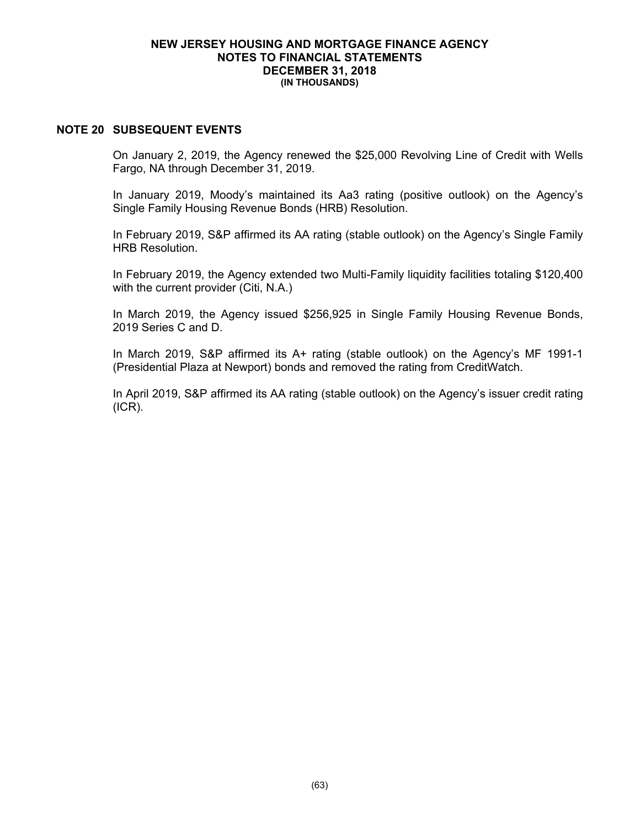#### **NOTE 20 SUBSEQUENT EVENTS**

On January 2, 2019, the Agency renewed the \$25,000 Revolving Line of Credit with Wells Fargo, NA through December 31, 2019.

In January 2019, Moody's maintained its Aa3 rating (positive outlook) on the Agency's Single Family Housing Revenue Bonds (HRB) Resolution.

In February 2019, S&P affirmed its AA rating (stable outlook) on the Agency's Single Family HRB Resolution.

In February 2019, the Agency extended two Multi-Family liquidity facilities totaling \$120,400 with the current provider (Citi, N.A.)

In March 2019, the Agency issued \$256,925 in Single Family Housing Revenue Bonds, 2019 Series C and D.

In March 2019, S&P affirmed its A+ rating (stable outlook) on the Agency's MF 1991-1 (Presidential Plaza at Newport) bonds and removed the rating from CreditWatch.

In April 2019, S&P affirmed its AA rating (stable outlook) on the Agency's issuer credit rating (ICR).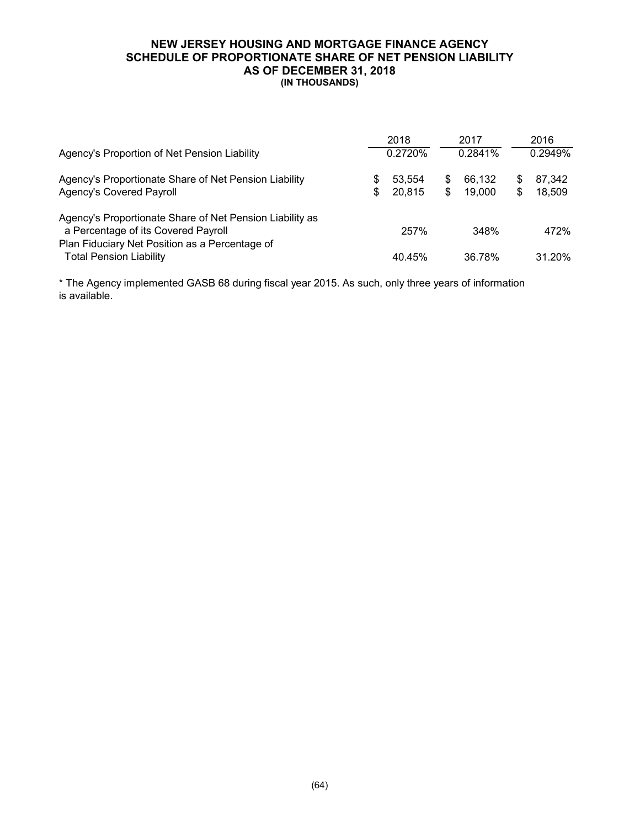#### **NEW JERSEY HOUSING AND MORTGAGE FINANCE AGENCY SCHEDULE OF PROPORTIONATE SHARE OF NET PENSION LIABILITY AS OF DECEMBER 31, 2018 (IN THOUSANDS)**

|                                                          |    | 2018    | 2017         |         | 2016   |
|----------------------------------------------------------|----|---------|--------------|---------|--------|
| Agency's Proportion of Net Pension Liability             |    | 0.2720% | 0.2841%      | 0.2949% |        |
| Agency's Proportionate Share of Net Pension Liability    | SS | 53.554  | \$<br>66.132 | S       | 87.342 |
| Agency's Covered Payroll                                 | \$ | 20.815  | \$<br>19.000 | S       | 18,509 |
| Agency's Proportionate Share of Net Pension Liability as |    |         |              |         |        |
| a Percentage of its Covered Payroll                      |    | 257%    | 348%         |         | 472%   |
| Plan Fiduciary Net Position as a Percentage of           |    |         |              |         |        |
| <b>Total Pension Liability</b>                           |    | 40.45%  | 36.78%       |         | 31.20% |

is available. \* The Agency implemented GASB 68 during fiscal year 2015. As such, only three years of information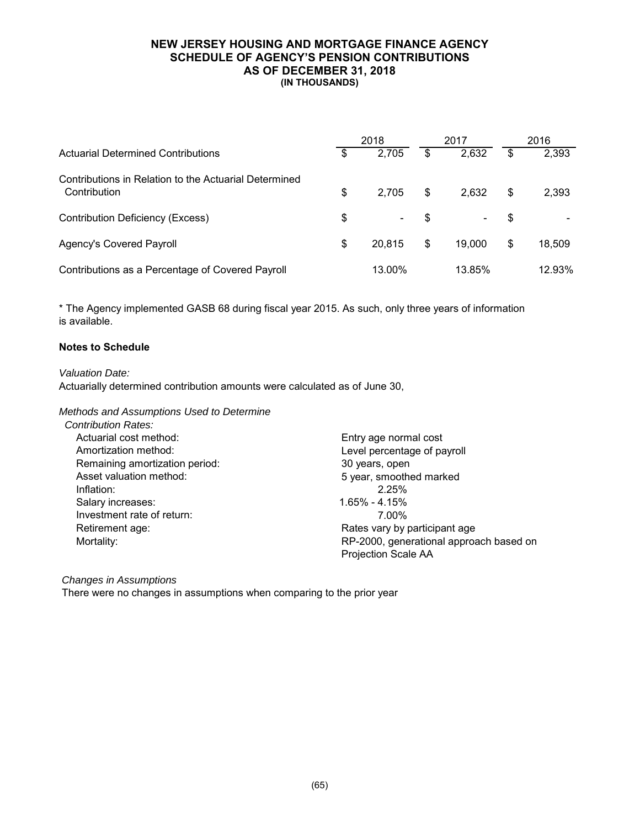#### **NEW JERSEY HOUSING AND MORTGAGE FINANCE AGENCY SCHEDULE OF AGENCY'S PENSION CONTRIBUTIONS AS OF DECEMBER 31, 2018 (IN THOUSANDS)**

|                                                                       | 2018         |    | 2017   | 2016 |        |  |
|-----------------------------------------------------------------------|--------------|----|--------|------|--------|--|
| Actuarial Determined Contributions                                    | \$<br>2,705  | \$ | 2,632  | \$   | 2,393  |  |
| Contributions in Relation to the Actuarial Determined<br>Contribution | \$<br>2,705  | \$ | 2,632  | \$   | 2,393  |  |
| Contribution Deficiency (Excess)                                      | \$<br>-      | S  | -      | S    |        |  |
| <b>Agency's Covered Payroll</b>                                       | \$<br>20,815 | \$ | 19,000 | S    | 18,509 |  |
| Contributions as a Percentage of Covered Payroll                      | 13.00%       |    | 13.85% |      | 12.93% |  |

is available. \* The Agency implemented GASB 68 during fiscal year 2015. As such, only three years of information

### **Notes to Schedule**

*Valuation Date:*

Actuarially determined contribution amounts were calculated as of June 30,

#### *Methods and Assumptions Used to Determine*

| <b>Contribution Rates:</b>     |                                         |
|--------------------------------|-----------------------------------------|
| Actuarial cost method:         | Entry age normal cost                   |
| Amortization method:           | Level percentage of payroll             |
| Remaining amortization period: | 30 years, open                          |
| Asset valuation method:        | 5 year, smoothed marked                 |
| Inflation:                     | 2.25%                                   |
| Salary increases:              | $1.65\% - 4.15\%$                       |
| Investment rate of return:     | 7.00%                                   |
| Retirement age:                | Rates vary by participant age           |
| Mortality:                     | RP-2000, generational approach based on |
|                                | <b>Projection Scale AA</b>              |

#### *Changes in Assumptions*

There were no changes in assumptions when comparing to the prior year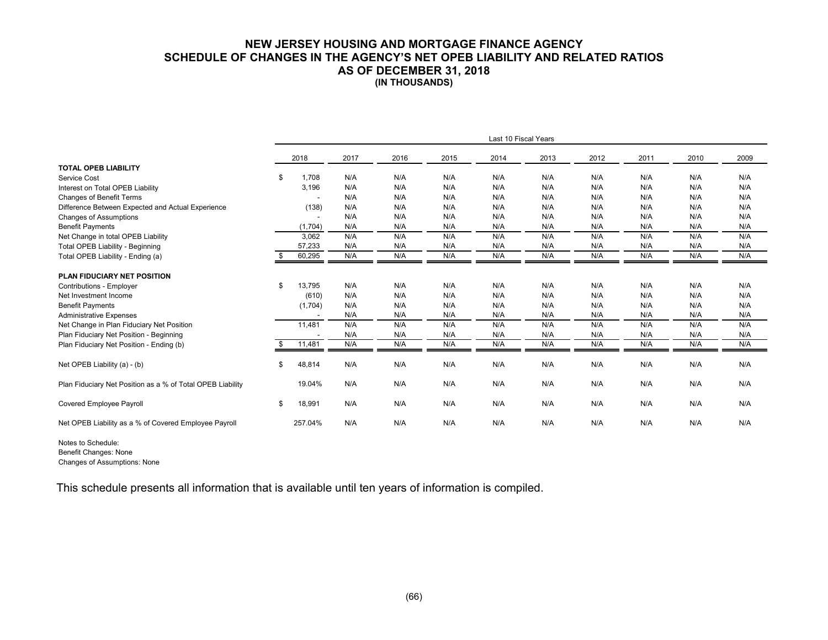#### **NEW JERSEY HOUSING AND MORTGAGE FINANCE AGENCY SCHEDULE OF CHANGES IN THE AGENCY'S NET OPEB LIABILITY AND RELATED RATIOS AS OF DECEMBER 31, 2018 (IN THOUSANDS)**

|                                                            | Last 10 Fiscal Years |         |      |      |      |      |      |      |      |      |      |
|------------------------------------------------------------|----------------------|---------|------|------|------|------|------|------|------|------|------|
|                                                            |                      | 2018    | 2017 | 2016 | 2015 | 2014 | 2013 | 2012 | 2011 | 2010 | 2009 |
| <b>TOTAL OPEB LIABILITY</b>                                |                      |         |      |      |      |      |      |      |      |      |      |
| Service Cost                                               | \$                   | 1.708   | N/A  | N/A  | N/A  | N/A  | N/A  | N/A  | N/A  | N/A  | N/A  |
| Interest on Total OPEB Liability                           |                      | 3,196   | N/A  | N/A  | N/A  | N/A  | N/A  | N/A  | N/A  | N/A  | N/A  |
| Changes of Benefit Terms                                   |                      |         | N/A  | N/A  | N/A  | N/A  | N/A  | N/A  | N/A  | N/A  | N/A  |
| Difference Between Expected and Actual Experience          |                      | (138)   | N/A  | N/A  | N/A  | N/A  | N/A  | N/A  | N/A  | N/A  | N/A  |
| <b>Changes of Assumptions</b>                              |                      |         | N/A  | N/A  | N/A  | N/A  | N/A  | N/A  | N/A  | N/A  | N/A  |
| <b>Benefit Payments</b>                                    |                      | (1,704) | N/A  | N/A  | N/A  | N/A  | N/A  | N/A  | N/A  | N/A  | N/A  |
| Net Change in total OPEB Liability                         |                      | 3,062   | N/A  | N/A  | N/A  | N/A  | N/A  | N/A  | N/A  | N/A  | N/A  |
| <b>Total OPEB Liability - Beginning</b>                    |                      | 57,233  | N/A  | N/A  | N/A  | N/A  | N/A  | N/A  | N/A  | N/A  | N/A  |
| Total OPEB Liability - Ending (a)                          |                      | 60,295  | N/A  | N/A  | N/A  | N/A  | N/A  | N/A  | N/A  | N/A  | N/A  |
| PLAN FIDUCIARY NET POSITION                                |                      |         |      |      |      |      |      |      |      |      |      |
| Contributions - Employer                                   | \$                   | 13,795  | N/A  | N/A  | N/A  | N/A  | N/A  | N/A  | N/A  | N/A  | N/A  |
| Net Investment Income                                      |                      | (610)   | N/A  | N/A  | N/A  | N/A  | N/A  | N/A  | N/A  | N/A  | N/A  |
| <b>Benefit Payments</b>                                    |                      | (1,704) | N/A  | N/A  | N/A  | N/A  | N/A  | N/A  | N/A  | N/A  | N/A  |
| <b>Administrative Expenses</b>                             |                      |         | N/A  | N/A  | N/A  | N/A  | N/A  | N/A  | N/A  | N/A  | N/A  |
| Net Change in Plan Fiduciary Net Position                  |                      | 11,481  | N/A  | N/A  | N/A  | N/A  | N/A  | N/A  | N/A  | N/A  | N/A  |
| Plan Fiduciary Net Position - Beginning                    |                      |         | N/A  | N/A  | N/A  | N/A  | N/A  | N/A  | N/A  | N/A  | N/A  |
| Plan Fiduciary Net Position - Ending (b)                   |                      | 11,481  | N/A  | N/A  | N/A  | N/A  | N/A  | N/A  | N/A  | N/A  | N/A  |
| Net OPEB Liability (a) - (b)                               | \$                   | 48,814  | N/A  | N/A  | N/A  | N/A  | N/A  | N/A  | N/A  | N/A  | N/A  |
| Plan Fiduciary Net Position as a % of Total OPEB Liability |                      | 19.04%  | N/A  | N/A  | N/A  | N/A  | N/A  | N/A  | N/A  | N/A  | N/A  |
| Covered Employee Payroll                                   | \$                   | 18,991  | N/A  | N/A  | N/A  | N/A  | N/A  | N/A  | N/A  | N/A  | N/A  |
| Net OPEB Liability as a % of Covered Employee Payroll      |                      | 257.04% | N/A  | N/A  | N/A  | N/A  | N/A  | N/A  | N/A  | N/A  | N/A  |

Notes to Schedule: Benefit Changes: None Changes of Assumptions: None

This schedule presents all information that is available until ten years of information is compiled.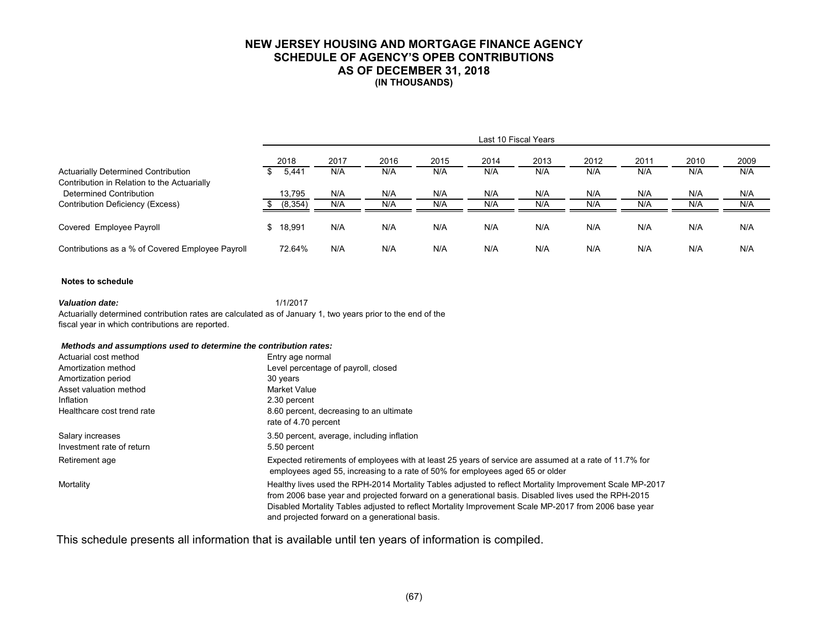### **NEW JERSEY HOUSING AND MORTGAGE FINANCE AGENCY SCHEDULE OF AGENCY'S OPEB CONTRIBUTIONS AS OF DECEMBER 31, 2018 (IN THOUSANDS)**

|                                                                        | Last 10 Fiscal Years |          |      |      |      |      |      |      |      |      |      |  |
|------------------------------------------------------------------------|----------------------|----------|------|------|------|------|------|------|------|------|------|--|
|                                                                        |                      | 2018     | 2017 | 2016 | 2015 | 2014 | 2013 | 2012 | 2011 | 2010 | 2009 |  |
| <b>Actuarially Determined Contribution</b>                             |                      | 5,441    | N/A  | N/A  | N/A  | N/A  | N/A  | N/A  | N/A  | N/A  | N/A  |  |
| Contribution in Relation to the Actuarially<br>Determined Contribution |                      | 13,795   | N/A  | N/A  | N/A  | N/A  | N/A  | N/A  | N/A  | N/A  | N/A  |  |
| Contribution Deficiency (Excess)                                       |                      | (8, 354) | N/A  | N/A  | N/A  | N/A  | N/A  | N/A  | N/A  | N/A  | N/A  |  |
| Covered Employee Payroll                                               | \$                   | 18,991   | N/A  | N/A  | N/A  | N/A  | N/A  | N/A  | N/A  | N/A  | N/A  |  |
| Contributions as a % of Covered Employee Payroll                       |                      | 72.64%   | N/A  | N/A  | N/A  | N/A  | N/A  | N/A  | N/A  | N/A  | N/A  |  |

#### **Notes to schedule**

*Valuation date:* 1/1/2017 Actuarially determined contribution rates are calculated as of January 1, two years prior to the end of the fiscal year in which contributions are reported.

#### *Methods and assumptions used to determine the contribution rates:*

| Actuarial cost method      | Entry age normal                                                                                                                                                                                                                                                                                                                                                           |
|----------------------------|----------------------------------------------------------------------------------------------------------------------------------------------------------------------------------------------------------------------------------------------------------------------------------------------------------------------------------------------------------------------------|
| Amortization method        | Level percentage of payroll, closed                                                                                                                                                                                                                                                                                                                                        |
| Amortization period        | 30 years                                                                                                                                                                                                                                                                                                                                                                   |
| Asset valuation method     | <b>Market Value</b>                                                                                                                                                                                                                                                                                                                                                        |
| Inflation                  | 2.30 percent                                                                                                                                                                                                                                                                                                                                                               |
| Healthcare cost trend rate | 8.60 percent, decreasing to an ultimate<br>rate of 4.70 percent                                                                                                                                                                                                                                                                                                            |
| Salary increases           | 3.50 percent, average, including inflation                                                                                                                                                                                                                                                                                                                                 |
| Investment rate of return  | 5.50 percent                                                                                                                                                                                                                                                                                                                                                               |
| Retirement age             | Expected retirements of employees with at least 25 years of service are assumed at a rate of 11.7% for<br>employees aged 55, increasing to a rate of 50% for employees aged 65 or older                                                                                                                                                                                    |
| Mortality                  | Healthy lives used the RPH-2014 Mortality Tables adjusted to reflect Mortality Improvement Scale MP-2017<br>from 2006 base year and projected forward on a generational basis. Disabled lives used the RPH-2015<br>Disabled Mortality Tables adjusted to reflect Mortality Improvement Scale MP-2017 from 2006 base year<br>and projected forward on a generational basis. |

This schedule presents all information that is available until ten years of information is compiled.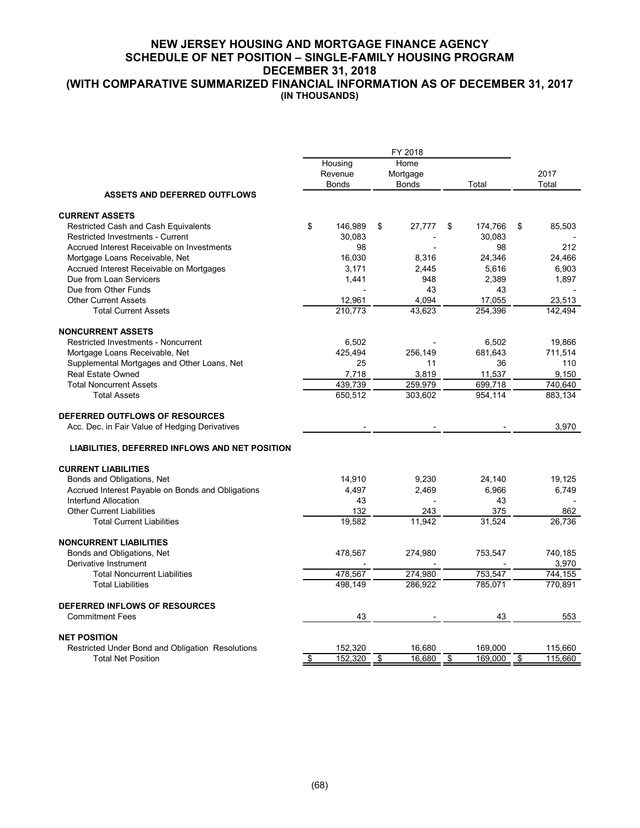# **NEW JERSEY HOUSING AND MORTGAGE FINANCE AGENCY SCHEDULE OF NET POSITION – SINGLE-FAMILY HOUSING PROGRAM DECEMBER 31, 2018**

**(WITH COMPARATIVE SUMMARIZED FINANCIAL INFORMATION AS OF DECEMBER 31, 2017 (IN THOUSANDS)** 

|                                                                  |               |      | FY 2018      |    |         |    |         |  |
|------------------------------------------------------------------|---------------|------|--------------|----|---------|----|---------|--|
|                                                                  | Housing       | Home |              |    |         |    |         |  |
|                                                                  | Revenue       |      | Mortgage     |    |         |    | 2017    |  |
|                                                                  | <b>Bonds</b>  |      | <b>Bonds</b> |    | Total   |    | Total   |  |
| <b>ASSETS AND DEFERRED OUTFLOWS</b>                              |               |      |              |    |         |    |         |  |
| <b>CURRENT ASSETS</b>                                            |               |      |              |    |         |    |         |  |
| Restricted Cash and Cash Equivalents                             | \$<br>146,989 | \$   | 27,777       | \$ | 174,766 | \$ | 85,503  |  |
| Restricted Investments - Current                                 | 30,083        |      |              |    | 30,083  |    |         |  |
| Accrued Interest Receivable on Investments                       | 98            |      |              |    | 98      |    | 212     |  |
| Mortgage Loans Receivable, Net                                   | 16,030        |      | 8,316        |    | 24,346  |    | 24,466  |  |
| Accrued Interest Receivable on Mortgages                         | 3,171         |      | 2,445        |    | 5,616   |    | 6,903   |  |
| Due from Loan Servicers                                          | 1,441         |      | 948          |    | 2,389   |    | 1,897   |  |
| Due from Other Funds                                             |               |      | 43           |    | 43      |    |         |  |
| <b>Other Current Assets</b>                                      | 12,961        |      | 4.094        |    | 17.055  |    | 23,513  |  |
| <b>Total Current Assets</b>                                      | 210,773       |      | 43,623       |    | 254,396 |    | 142,494 |  |
| <b>NONCURRENT ASSETS</b>                                         |               |      |              |    |         |    |         |  |
| <b>Restricted Investments - Noncurrent</b>                       | 6,502         |      |              |    | 6,502   |    | 19,866  |  |
|                                                                  | 425,494       |      | 256,149      |    | 681,643 |    | 711,514 |  |
| Mortgage Loans Receivable, Net                                   | 25            |      | 11           |    | 36      |    | 110     |  |
| Supplemental Mortgages and Other Loans, Net<br>Real Estate Owned |               |      |              |    |         |    |         |  |
|                                                                  | 7,718         |      | 3,819        |    | 11,537  |    | 9,150   |  |
| <b>Total Noncurrent Assets</b>                                   | 439,739       |      | 259,979      |    | 699,718 |    | 740,640 |  |
| <b>Total Assets</b>                                              | 650,512       |      | 303,602      |    | 954,114 |    | 883,134 |  |
| DEFERRED OUTFLOWS OF RESOURCES                                   |               |      |              |    |         |    |         |  |
| Acc. Dec. in Fair Value of Hedging Derivatives                   |               |      |              |    |         |    | 3,970   |  |
| LIABILITIES, DEFERRED INFLOWS AND NET POSITION                   |               |      |              |    |         |    |         |  |
|                                                                  |               |      |              |    |         |    |         |  |
| <b>CURRENT LIABILITIES</b>                                       |               |      |              |    |         |    |         |  |
| Bonds and Obligations, Net                                       | 14,910        |      | 9,230        |    | 24,140  |    | 19,125  |  |
| Accrued Interest Payable on Bonds and Obligations                | 4,497         |      | 2,469        |    | 6,966   |    | 6,749   |  |
| Interfund Allocation                                             | 43            |      |              |    | 43      |    |         |  |
| <b>Other Current Liabilities</b>                                 | 132           |      | 243          |    | 375     |    | 862     |  |
| <b>Total Current Liabilities</b>                                 | 19,582        |      | 11,942       |    | 31,524  |    | 26,736  |  |
| <b>NONCURRENT LIABILITIES</b>                                    |               |      |              |    |         |    |         |  |
| Bonds and Obligations, Net                                       | 478,567       |      | 274,980      |    | 753,547 |    | 740,185 |  |
| Derivative Instrument                                            |               |      |              |    |         |    | 3,970   |  |
| <b>Total Noncurrent Liabilities</b>                              | 478,567       |      | 274,980      |    | 753,547 |    | 744,155 |  |
| <b>Total Liabilities</b>                                         | 498,149       |      | 286,922      |    | 785,071 |    | 770,891 |  |
| <b>DEFERRED INFLOWS OF RESOURCES</b>                             |               |      |              |    |         |    |         |  |
| <b>Commitment Fees</b>                                           | 43            |      |              |    | 43      |    | 553     |  |
|                                                                  |               |      |              |    |         |    |         |  |
| <b>NET POSITION</b>                                              |               |      |              |    |         |    |         |  |
| Restricted Under Bond and Obligation Resolutions                 | 152,320       |      | 16,680       |    | 169,000 |    | 115,660 |  |
| <b>Total Net Position</b>                                        | \$<br>152,320 | \$   | 16,680       | \$ | 169,000 | \$ | 115,660 |  |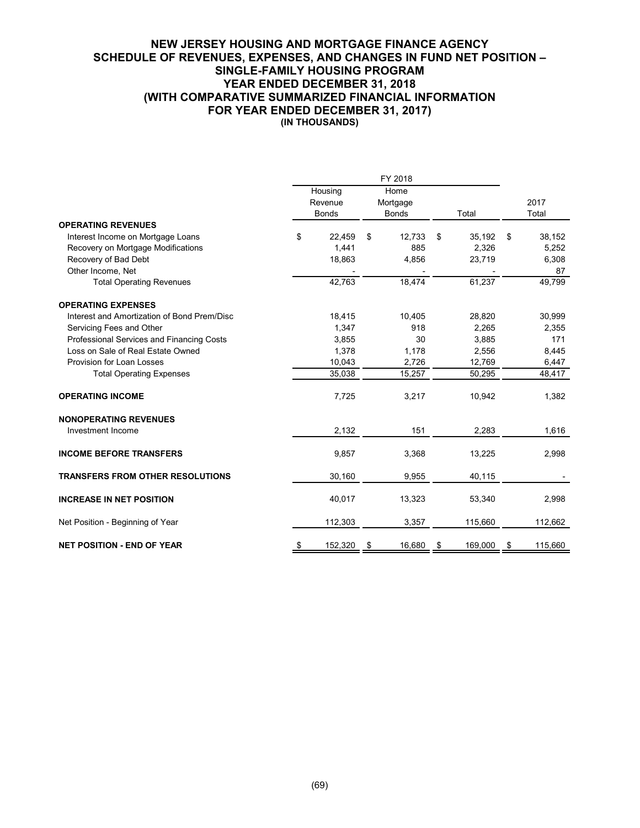#### **NEW JERSEY HOUSING AND MORTGAGE FINANCE AGENCY SCHEDULE OF REVENUES, EXPENSES, AND CHANGES IN FUND NET POSITION – SINGLE-FAMILY HOUSING PROGRAM YEAR ENDED DECEMBER 31, 2018 (WITH COMPARATIVE SUMMARIZED FINANCIAL INFORMATION FOR YEAR ENDED DECEMBER 31, 2017) (IN THOUSANDS)**

|                                             |               | FY 2018      |               |               |
|---------------------------------------------|---------------|--------------|---------------|---------------|
|                                             | Housing       | Home         |               |               |
|                                             | Revenue       | Mortgage     |               | 2017          |
|                                             | <b>Bonds</b>  | <b>Bonds</b> | Total         | Total         |
| <b>OPERATING REVENUES</b>                   |               |              |               |               |
| Interest Income on Mortgage Loans           | \$<br>22,459  | \$<br>12,733 | \$<br>35,192  | \$<br>38,152  |
| Recovery on Mortgage Modifications          | 1,441         | 885          | 2,326         | 5,252         |
| Recovery of Bad Debt                        | 18,863        | 4,856        | 23,719        | 6,308         |
| Other Income, Net                           |               |              |               | 87            |
| <b>Total Operating Revenues</b>             | 42,763        | 18,474       | 61,237        | 49,799        |
| <b>OPERATING EXPENSES</b>                   |               |              |               |               |
| Interest and Amortization of Bond Prem/Disc | 18,415        | 10,405       | 28,820        | 30,999        |
| Servicing Fees and Other                    | 1,347         | 918          | 2.265         | 2,355         |
| Professional Services and Financing Costs   | 3,855         | 30           | 3,885         | 171           |
| Loss on Sale of Real Estate Owned           | 1,378         | 1,178        | 2,556         | 8,445         |
| Provision for Loan Losses                   | 10,043        | 2,726        | 12,769        | 6,447         |
| <b>Total Operating Expenses</b>             | 35,038        | 15,257       | 50,295        | 48,417        |
| <b>OPERATING INCOME</b>                     | 7,725         | 3,217        | 10,942        | 1,382         |
| <b>NONOPERATING REVENUES</b>                |               |              |               |               |
| Investment Income                           | 2,132         | 151          | 2,283         | 1,616         |
| <b>INCOME BEFORE TRANSFERS</b>              | 9,857         | 3,368        | 13,225        | 2,998         |
| <b>TRANSFERS FROM OTHER RESOLUTIONS</b>     | 30,160        | 9,955        | 40,115        |               |
| <b>INCREASE IN NET POSITION</b>             | 40,017        | 13,323       | 53,340        | 2,998         |
| Net Position - Beginning of Year            | 112,303       | 3,357        | 115,660       | 112,662       |
| <b>NET POSITION - END OF YEAR</b>           | \$<br>152,320 | \$<br>16,680 | \$<br>169,000 | \$<br>115,660 |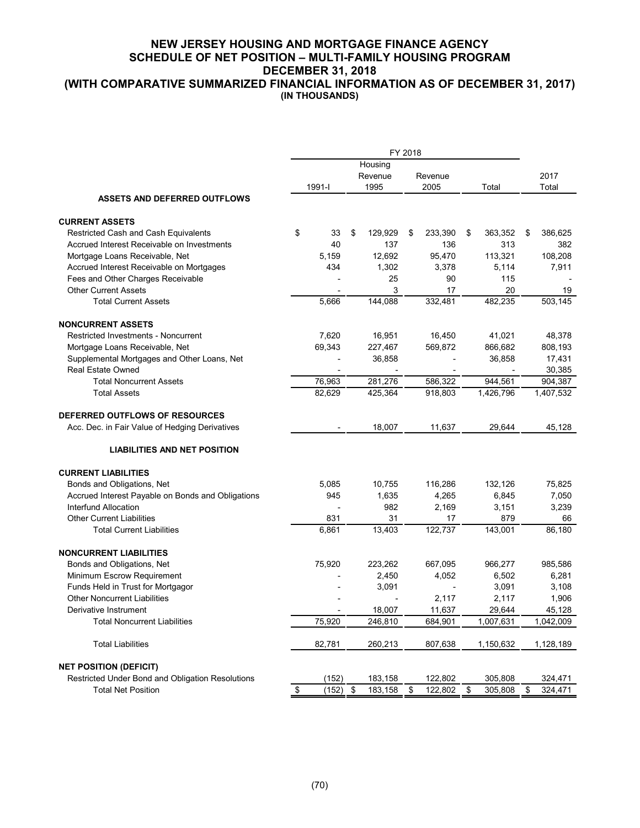# **NEW JERSEY HOUSING AND MORTGAGE FINANCE AGENCY SCHEDULE OF NET POSITION – MULTI-FAMILY HOUSING PROGRAM DECEMBER 31, 2018**

**(WITH COMPARATIVE SUMMARIZED FINANCIAL INFORMATION AS OF DECEMBER 31, 2017) (IN THOUSANDS)** 

|                                                   |                           | FY 2018 |         |         |    |         |    |           |      |           |
|---------------------------------------------------|---------------------------|---------|---------|---------|----|---------|----|-----------|------|-----------|
|                                                   |                           |         | Housing |         |    |         |    |           |      |           |
|                                                   |                           |         |         | Revenue |    | Revenue |    |           | 2017 |           |
|                                                   |                           | 1991-l  |         | 1995    |    | 2005    |    | Total     |      | Total     |
| <b>ASSETS AND DEFERRED OUTFLOWS</b>               |                           |         |         |         |    |         |    |           |      |           |
| <b>CURRENT ASSETS</b>                             |                           |         |         |         |    |         |    |           |      |           |
| Restricted Cash and Cash Equivalents              | \$                        | 33      | \$      | 129,929 | \$ | 233,390 | \$ | 363,352   | \$   | 386,625   |
| Accrued Interest Receivable on Investments        |                           | 40      |         | 137     |    | 136     |    | 313       |      | 382       |
| Mortgage Loans Receivable, Net                    |                           | 5,159   |         | 12,692  |    | 95,470  |    | 113,321   |      | 108,208   |
| Accrued Interest Receivable on Mortgages          |                           | 434     |         | 1,302   |    | 3,378   |    | 5,114     |      | 7,911     |
| Fees and Other Charges Receivable                 |                           |         |         | 25      |    | 90      |    | 115       |      |           |
| <b>Other Current Assets</b>                       |                           |         |         | 3       |    | 17      |    | 20        |      | 19        |
| <b>Total Current Assets</b>                       |                           | 5,666   |         | 144,088 |    | 332,481 |    | 482,235   |      | 503,145   |
| <b>NONCURRENT ASSETS</b>                          |                           |         |         |         |    |         |    |           |      |           |
| <b>Restricted Investments - Noncurrent</b>        |                           | 7,620   |         | 16,951  |    | 16,450  |    | 41,021    |      | 48,378    |
| Mortgage Loans Receivable, Net                    |                           | 69,343  |         | 227,467 |    | 569,872 |    | 866,682   |      | 808,193   |
| Supplemental Mortgages and Other Loans, Net       |                           |         |         | 36,858  |    |         |    | 36,858    |      | 17,431    |
| <b>Real Estate Owned</b>                          |                           |         |         |         |    |         |    |           |      | 30,385    |
| <b>Total Noncurrent Assets</b>                    |                           | 76,963  |         | 281,276 |    | 586,322 |    | 944,561   |      | 904,387   |
| <b>Total Assets</b>                               |                           | 82,629  |         | 425,364 |    | 918,803 |    | 1,426,796 |      | 1,407,532 |
| DEFERRED OUTFLOWS OF RESOURCES                    |                           |         |         |         |    |         |    |           |      |           |
| Acc. Dec. in Fair Value of Hedging Derivatives    |                           |         |         | 18,007  |    | 11,637  |    | 29,644    |      | 45,128    |
| <b>LIABILITIES AND NET POSITION</b>               |                           |         |         |         |    |         |    |           |      |           |
| <b>CURRENT LIABILITIES</b>                        |                           |         |         |         |    |         |    |           |      |           |
| Bonds and Obligations, Net                        |                           | 5,085   |         | 10,755  |    | 116,286 |    | 132,126   |      | 75,825    |
| Accrued Interest Payable on Bonds and Obligations |                           | 945     |         | 1,635   |    | 4,265   |    | 6,845     |      | 7,050     |
| Interfund Allocation                              |                           |         |         | 982     |    | 2,169   |    | 3,151     |      | 3,239     |
| <b>Other Current Liabilities</b>                  |                           | 831     |         | 31      |    | 17      |    | 879       |      | 66        |
| <b>Total Current Liabilities</b>                  |                           | 6,861   |         | 13,403  |    | 122,737 |    | 143,001   |      | 86,180    |
| <b>NONCURRENT LIABILITIES</b>                     |                           |         |         |         |    |         |    |           |      |           |
| Bonds and Obligations, Net                        |                           | 75,920  |         | 223,262 |    | 667,095 |    | 966,277   |      | 985,586   |
| Minimum Escrow Requirement                        |                           |         |         | 2,450   |    | 4,052   |    | 6,502     |      | 6,281     |
| Funds Held in Trust for Mortgagor                 |                           |         |         | 3,091   |    |         |    | 3,091     |      | 3,108     |
| <b>Other Noncurrent Liabilities</b>               |                           |         |         |         |    | 2,117   |    | 2,117     |      | 1,906     |
| Derivative Instrument                             |                           |         |         | 18,007  |    | 11,637  |    | 29,644    |      | 45,128    |
| <b>Total Noncurrent Liabilities</b>               |                           | 75,920  |         | 246,810 |    | 684,901 |    | 1,007,631 |      | 1,042,009 |
| <b>Total Liabilities</b>                          |                           | 82,781  |         | 260,213 |    | 807,638 |    | 1,150,632 |      | 1,128,189 |
| <b>NET POSITION (DEFICIT)</b>                     |                           |         |         |         |    |         |    |           |      |           |
| Restricted Under Bond and Obligation Resolutions  |                           | (152)   |         | 183,158 |    | 122,802 |    | 305,808   |      | 324,471   |
| <b>Total Net Position</b>                         | $\boldsymbol{\mathsf{S}}$ | (152)   | \$      | 183,158 | \$ | 122,802 | \$ | 305,808   | \$   | 324,471   |